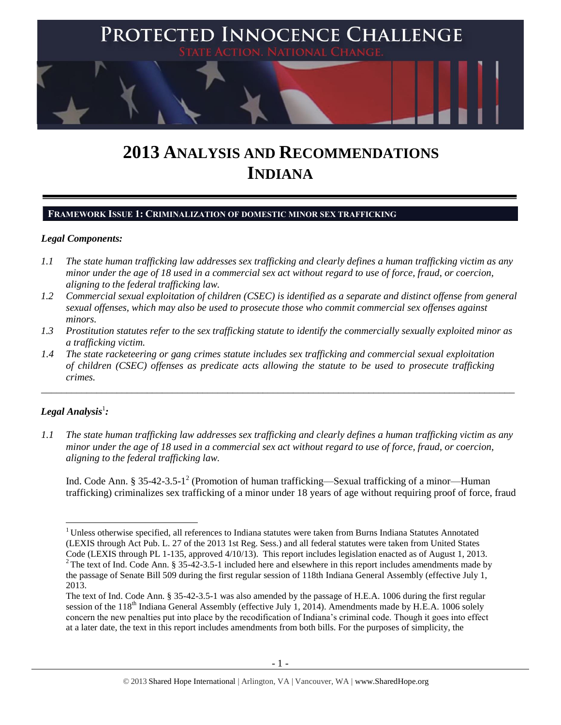

# **2013 ANALYSIS AND RECOMMENDATIONS INDIANA**

# **FRAMEWORK ISSUE 1: CRIMINALIZATION OF DOMESTIC MINOR SEX TRAFFICKING**

# *Legal Components:*

- *1.1 The state human trafficking law addresses sex trafficking and clearly defines a human trafficking victim as any minor under the age of 18 used in a commercial sex act without regard to use of force, fraud, or coercion, aligning to the federal trafficking law.*
- *1.2 Commercial sexual exploitation of children (CSEC) is identified as a separate and distinct offense from general sexual offenses, which may also be used to prosecute those who commit commercial sex offenses against minors.*
- *1.3 Prostitution statutes refer to the sex trafficking statute to identify the commercially sexually exploited minor as a trafficking victim.*

\_\_\_\_\_\_\_\_\_\_\_\_\_\_\_\_\_\_\_\_\_\_\_\_\_\_\_\_\_\_\_\_\_\_\_\_\_\_\_\_\_\_\_\_\_\_\_\_\_\_\_\_\_\_\_\_\_\_\_\_\_\_\_\_\_\_\_\_\_\_\_\_\_\_\_\_\_\_\_\_\_\_\_\_\_\_\_\_\_\_\_\_\_\_

*1.4 The state racketeering or gang crimes statute includes sex trafficking and commercial sexual exploitation of children (CSEC) offenses as predicate acts allowing the statute to be used to prosecute trafficking crimes.* 

# $\bm{L}$ egal Analysis $^1$ :

*1.1 The state human trafficking law addresses sex trafficking and clearly defines a human trafficking victim as any minor under the age of 18 used in a commercial sex act without regard to use of force, fraud, or coercion, aligning to the federal trafficking law.*

<span id="page-0-0"></span>Ind. Code Ann. § 35-42-3.5-1<sup>2</sup> (Promotion of human trafficking—Sexual trafficking of a minor—Human trafficking) criminalizes sex trafficking of a minor under 18 years of age without requiring proof of force, fraud

 $\overline{\phantom{a}}$ <sup>1</sup> Unless otherwise specified, all references to Indiana statutes were taken from Burns Indiana Statutes Annotated (LEXIS through Act Pub. L. 27 of the 2013 1st Reg. Sess.) and all federal statutes were taken from United States Code (LEXIS through PL 1-135, approved 4/10/13). This report includes legislation enacted as of August 1, 2013. <sup>2</sup> The text of Ind. Code Ann. § 35-42-3.5-1 included here and elsewhere in this report includes amendments made by

the passage of Senate Bill 509 during the first regular session of 118th Indiana General Assembly (effective July 1, 2013.

The text of Ind. Code Ann. § 35-42-3.5-1 was also amended by the passage of H.E.A. 1006 during the first regular session of the 118<sup>th</sup> Indiana General Assembly (effective July 1, 2014). Amendments made by H.E.A. 1006 solely concern the new penalties put into place by the recodification of Indiana's criminal code. Though it goes into effect at a later date, the text in this report includes amendments from both bills. For the purposes of simplicity, the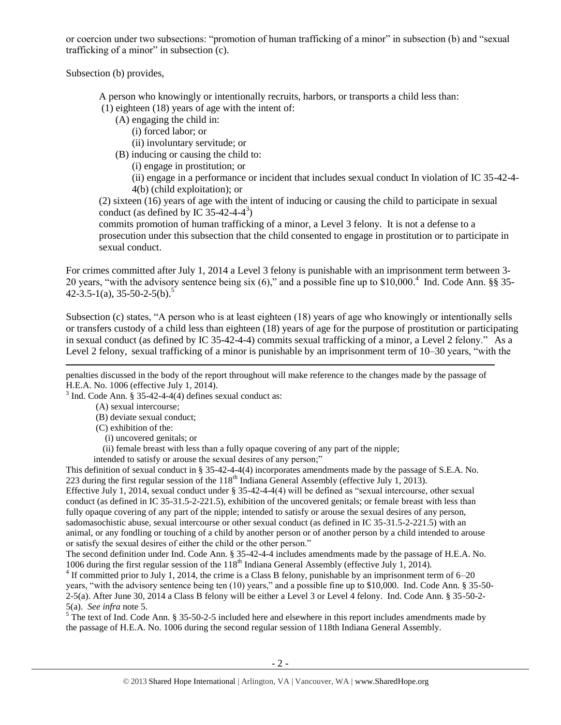or coercion under two subsections: "promotion of human trafficking of a minor" in subsection (b) and "sexual trafficking of a minor" in subsection  $(c)$ .

Subsection (b) provides,

A person who knowingly or intentionally recruits, harbors, or transports a child less than:

(1) eighteen (18) years of age with the intent of:

(A) engaging the child in:

(i) forced labor; or

(ii) involuntary servitude; or

(B) inducing or causing the child to:

(i) engage in prostitution; or

<span id="page-1-1"></span>(ii) engage in a performance or incident that includes sexual conduct In violation of IC 35-42-4- 4(b) (child exploitation); or

(2) sixteen (16) years of age with the intent of inducing or causing the child to participate in sexual conduct (as defined by IC 35-42-4-4<sup>3</sup>)

<span id="page-1-0"></span>commits promotion of human trafficking of a minor, a Level 3 felony. It is not a defense to a prosecution under this subsection that the child consented to engage in prostitution or to participate in sexual conduct.

For crimes committed after July 1, 2014 a Level 3 felony is punishable with an imprisonment term between 3- 20 years, "with the advisory sentence being six (6)," and a possible fine up to \$10,000. 4 Ind. Code Ann. §§ 35-  $42-3.5-1(a)$ ,  $35-50-2-5(b)$ .<sup>5</sup>

Subsection (c) states, "A person who is at least eighteen (18) years of age who knowingly or intentionally sells or transfers custody of a child less than eighteen (18) years of age for the purpose of prostitution or participating in sexual conduct (as defined by IC 35-42-4-4) commits sexual trafficking of a minor, a Level 2 felony." As a Level 2 felony, sexual trafficking of a minor is punishable by an imprisonment term of 10–30 years, "with the

penalties discussed in the body of the report throughout will make reference to the changes made by the passage of H.E.A. No. 1006 (effective July 1, 2014).

 $3$  Ind. Code Ann. § 35-42-4-4(4) defines sexual conduct as:

(A) sexual intercourse;

(B) deviate sexual conduct;

(C) exhibition of the:

 $\overline{\phantom{a}}$ 

(i) uncovered genitals; or

(ii) female breast with less than a fully opaque covering of any part of the nipple;

intended to satisfy or arouse the sexual desires of any person;"

This definition of sexual conduct in § 35-42-4-4(4) incorporates amendments made by the passage of S.E.A. No. 223 during the first regular session of the  $118<sup>th</sup>$  Indiana General Assembly (effective July 1, 2013).

Effective July 1, 2014, sexual conduct under § 35-42-4-4(4) will be defined as "sexual intercourse, other sexual conduct (as defined in IC 35-31.5-2-221.5), exhibition of the uncovered genitals; or female breast with less than fully opaque covering of any part of the nipple; intended to satisfy or arouse the sexual desires of any person, sadomasochistic abuse, sexual intercourse or other sexual conduct (as defined in IC 35-31.5-2-221.5) with an animal, or any fondling or touching of a child by another person or of another person by a child intended to arouse or satisfy the sexual desires of either the child or the other person."

The second definition under Ind. Code Ann. § 35-42-4-4 includes amendments made by the passage of H.E.A. No. 1006 during the first regular session of the  $118<sup>th</sup>$  Indiana General Assembly (effective July 1, 2014).

 $4$  If committed prior to July 1, 2014, the crime is a Class B felony, punishable by an imprisonment term of 6–20 years, "with the advisory sentence being ten (10) years," and a possible fine up to \$10,000. Ind. Code Ann. § 35-50- 2-5(a). After June 30, 2014 a Class B felony will be either a Level 3 or Level 4 felony. Ind. Code Ann. § 35-50-2- 5(a). *See infra* not[e 5.](#page-1-0)

 $\frac{5}{6}$  The text of Ind. Code Ann. § 35-50-2-5 included here and elsewhere in this report includes amendments made by the passage of H.E.A. No. 1006 during the second regular session of 118th Indiana General Assembly.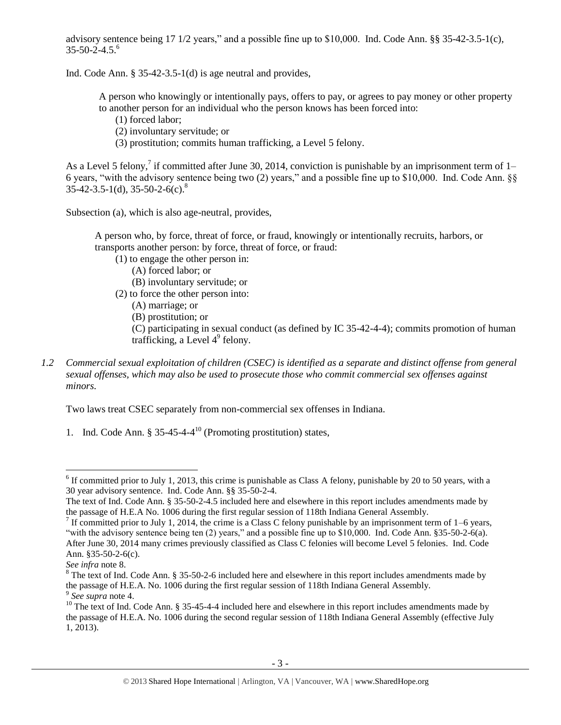<span id="page-2-5"></span><span id="page-2-4"></span>advisory sentence being 17 1/2 years," and a possible fine up to \$10,000. Ind. Code Ann. §§ 35-42-3.5-1(c), 35-50-2-4.5. 6

Ind. Code Ann. § 35-42-3.5-1(d) is age neutral and provides,

A person who knowingly or intentionally pays, offers to pay, or agrees to pay money or other property to another person for an individual who the person knows has been forced into:

- (1) forced labor;
- (2) involuntary servitude; or
- <span id="page-2-3"></span><span id="page-2-2"></span><span id="page-2-1"></span><span id="page-2-0"></span>(3) prostitution; commits human trafficking, a Level 5 felony.

As a Level 5 felony,<sup>7</sup> if committed after June 30, 2014, conviction is punishable by an imprisonment term of 1– 6 years, "with the advisory sentence being two (2) years," and a possible fine up to \$10,000. Ind. Code Ann. §§  $35-42-3.5-1(d)$ ,  $35-50-2-6(c)$ .<sup>8</sup>

Subsection (a), which is also age-neutral, provides,

A person who, by force, threat of force, or fraud, knowingly or intentionally recruits, harbors, or transports another person: by force, threat of force, or fraud:

- (1) to engage the other person in:
	- (A) forced labor; or
	- (B) involuntary servitude; or

(2) to force the other person into:

- (A) marriage; or
- (B) prostitution; or

<span id="page-2-6"></span>(C) participating in sexual conduct (as defined by IC 35-42-4-4); commits promotion of human trafficking, a Level  $4^9$  felony.

*1.2 Commercial sexual exploitation of children (CSEC) is identified as a separate and distinct offense from general sexual offenses, which may also be used to prosecute those who commit commercial sex offenses against minors.*

Two laws treat CSEC separately from non-commercial sex offenses in Indiana.

1. Ind. Code Ann.  $\S 35-45-4-4^{10}$  (Promoting prostitution) states,

<sup>&</sup>lt;sup>6</sup> If committed prior to July 1, 2013, this crime is punishable as Class A felony, punishable by 20 to 50 years, with a 30 year advisory sentence. Ind. Code Ann. §§ 35-50-2-4.

The text of Ind. Code Ann. § 35-50-2-4.5 included here and elsewhere in this report includes amendments made by the passage of H.E.A No. 1006 during the first regular session of 118th Indiana General Assembly.

<sup>&</sup>lt;sup>7</sup> If committed prior to July 1, 2014, the crime is a Class C felony punishable by an imprisonment term of 1–6 years, "with the advisory sentence being ten (2) years," and a possible fine up to \$10,000. Ind. Code Ann. §35-50-2-6(a). After June 30, 2014 many crimes previously classified as Class C felonies will become Level 5 felonies. Ind. Code Ann. §35-50-2-6(c).

*See infra* note [8.](#page-2-0)

<sup>&</sup>lt;sup>8</sup> The text of Ind. Code Ann. § 35-50-2-6 included here and elsewhere in this report includes amendments made by the passage of H.E.A. No. 1006 during the first regular session of 118th Indiana General Assembly.

<sup>9</sup> *See supra* note [4.](#page-1-1)

 $10$  The text of Ind. Code Ann. § 35-45-4-4 included here and elsewhere in this report includes amendments made by the passage of H.E.A. No. 1006 during the second regular session of 118th Indiana General Assembly (effective July 1, 2013).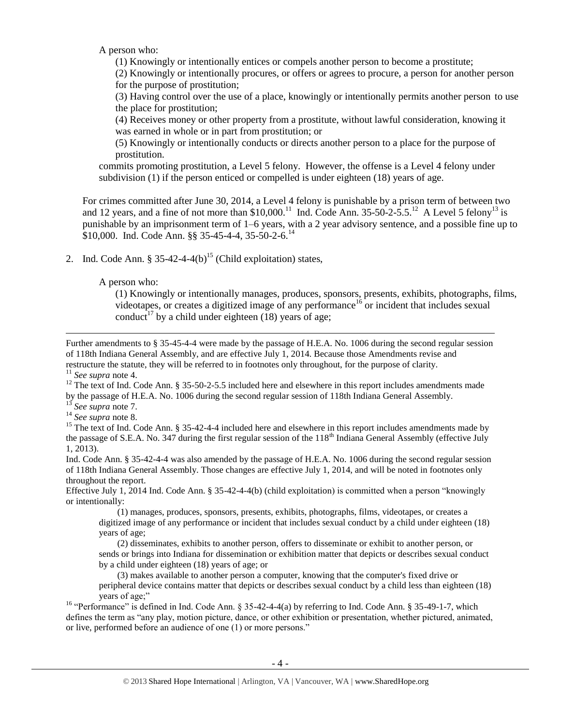A person who:

(1) Knowingly or intentionally entices or compels another person to become a prostitute;

(2) Knowingly or intentionally procures, or offers or agrees to procure, a person for another person for the purpose of prostitution;

(3) Having control over the use of a place, knowingly or intentionally permits another person to use the place for prostitution;

(4) Receives money or other property from a prostitute, without lawful consideration, knowing it was earned in whole or in part from prostitution; or

<span id="page-3-1"></span>(5) Knowingly or intentionally conducts or directs another person to a place for the purpose of prostitution.

commits promoting prostitution, a Level 5 felony. However, the offense is a Level 4 felony under subdivision (1) if the person enticed or compelled is under eighteen (18) years of age.

For crimes committed after June 30, 2014, a Level 4 felony is punishable by a prison term of between two and 12 years, and a fine of not more than \$10,000.<sup>11</sup> Ind. Code Ann. 35-50-2-5.5.<sup>12</sup> A Level 5 felony<sup>13</sup> is punishable by an imprisonment term of 1–6 years, with a 2 year advisory sentence, and a possible fine up to \$10,000. Ind. Code Ann. §§ 35-45-4-4, 35-50-2-6.<sup>14</sup>

2. Ind. Code Ann.  $\frac{835-42-4-4(b)^{15}}{Child(x)}$  (Child exploitation) states,

A person who:

<span id="page-3-2"></span><span id="page-3-0"></span>(1) Knowingly or intentionally manages, produces, sponsors, presents, exhibits, photographs, films, videotapes, or creates a digitized image of any performance<sup>16</sup> or incident that includes sexual conduct<sup>17</sup> by a child under eighteen (18) years of age;

Further amendments to § 35-45-4-4 were made by the passage of H.E.A. No. 1006 during the second regular session of 118th Indiana General Assembly, and are effective July 1, 2014. Because those Amendments revise and restructure the statute, they will be referred to in footnotes only throughout, for the purpose of clarity.

<sup>11</sup> *See supra* note [4.](#page-1-1)

 $\overline{\phantom{a}}$ 

<sup>12</sup> The text of Ind. Code Ann. § 35-50-2-5.5 included here and elsewhere in this report includes amendments made by the passage of H.E.A. No. 1006 during the second regular session of 118th Indiana General Assembly.

<sup>13</sup> *See supra* note [7.](#page-2-1)

Ind. Code Ann. § 35-42-4-4 was also amended by the passage of H.E.A. No. 1006 during the second regular session of 118th Indiana General Assembly. Those changes are effective July 1, 2014, and will be noted in footnotes only throughout the report.

Effective July 1, 2014 Ind. Code Ann. § 35-42-4-4(b) (child exploitation) is committed when a person "knowingly or intentionally:

 (1) manages, produces, sponsors, presents, exhibits, photographs, films, videotapes, or creates a digitized image of any performance or incident that includes sexual conduct by a child under eighteen (18) years of age;

 (2) disseminates, exhibits to another person, offers to disseminate or exhibit to another person, or sends or brings into Indiana for dissemination or exhibition matter that depicts or describes sexual conduct by a child under eighteen (18) years of age; or

 (3) makes available to another person a computer, knowing that the computer's fixed drive or peripheral device contains matter that depicts or describes sexual conduct by a child less than eighteen (18) years of age;"

<sup>16</sup> "Performance" is defined in Ind. Code Ann. § 35-42-4-4(a) by referring to Ind. Code Ann. § 35-49-1-7, which defines the term as "any play, motion picture, dance, or other exhibition or presentation, whether pictured, animated, or live, performed before an audience of one (1) or more persons."

<sup>14</sup> *See supra* note [8.](#page-2-0)

<sup>&</sup>lt;sup>15</sup> The text of Ind. Code Ann. § 35-42-4-4 included here and elsewhere in this report includes amendments made by the passage of S.E.A. No. 347 during the first regular session of the 118<sup>th</sup> Indiana General Assembly (effective July 1, 2013).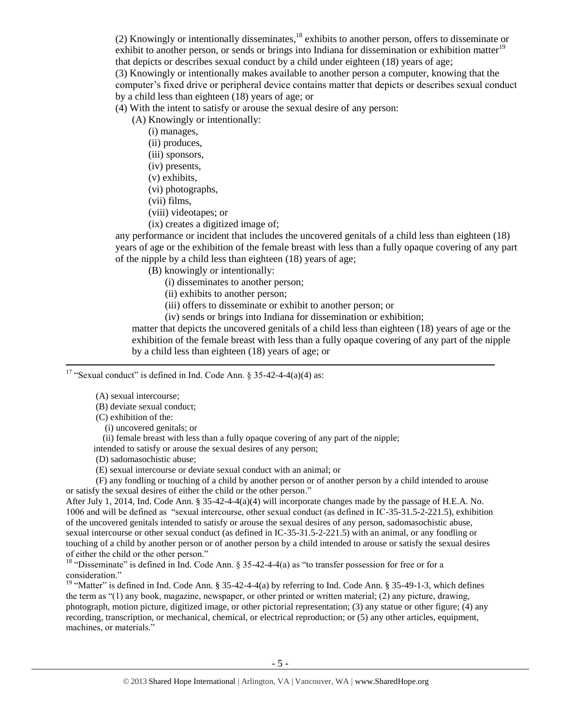(2) Knowingly or intentionally disseminates,  $^{18}$  exhibits to another person, offers to disseminate or exhibit to another person, or sends or brings into Indiana for dissemination or exhibition matter<sup>19</sup> that depicts or describes sexual conduct by a child under eighteen (18) years of age;

(3) Knowingly or intentionally makes available to another person a computer, knowing that the computer's fixed drive or peripheral device contains matter that depicts or describes sexual conduct by a child less than eighteen (18) years of age; or

(4) With the intent to satisfy or arouse the sexual desire of any person:

(A) Knowingly or intentionally:

- (i) manages,
- (ii) produces,
- (iii) sponsors,
- (iv) presents,
- (v) exhibits,
- (vi) photographs,
- (vii) films,
- (viii) videotapes; or
- (ix) creates a digitized image of;

any performance or incident that includes the uncovered genitals of a child less than eighteen (18) years of age or the exhibition of the female breast with less than a fully opaque covering of any part of the nipple by a child less than eighteen (18) years of age;

(B) knowingly or intentionally:

- (i) disseminates to another person;
- (ii) exhibits to another person;
- (iii) offers to disseminate or exhibit to another person; or
- (iv) sends or brings into Indiana for dissemination or exhibition;

matter that depicts the uncovered genitals of a child less than eighteen (18) years of age or the exhibition of the female breast with less than a fully opaque covering of any part of the nipple by a child less than eighteen (18) years of age; or

<sup>17</sup> "Sexual conduct" is defined in Ind. Code Ann. § 35-42-4-4(a)(4) as:

(A) sexual intercourse;

 $\overline{\phantom{a}}$ 

(B) deviate sexual conduct;

(C) exhibition of the:

(i) uncovered genitals; or

(ii) female breast with less than a fully opaque covering of any part of the nipple;

intended to satisfy or arouse the sexual desires of any person;

(D) sadomasochistic abuse;

(E) sexual intercourse or deviate sexual conduct with an animal; or

 (F) any fondling or touching of a child by another person or of another person by a child intended to arouse or satisfy the sexual desires of either the child or the other person."

After July 1, 2014, Ind. Code Ann. § 35-42-4-4(a)(4) will incorporate changes made by the passage of H.E.A. No. 1006 and will be defined as "sexual intercourse, other sexual conduct (as defined in IC-35-31.5-2-221.5), exhibition of the uncovered genitals intended to satisfy or arouse the sexual desires of any person, sadomasochistic abuse, sexual intercourse or other sexual conduct (as defined in IC-35-31.5-2-221.5) with an animal, or any fondling or touching of a child by another person or of another person by a child intended to arouse or satisfy the sexual desires of either the child or the other person."

<sup>18</sup> "Disseminate" is defined in Ind. Code Ann. § 35-42-4-4(a) as "to transfer possession for free or for a consideration."

<sup>19</sup> "Matter" is defined in Ind. Code Ann. § 35-42-4-4(a) by referring to Ind. Code Ann. § 35-49-1-3, which defines the term as "(1) any book, magazine, newspaper, or other printed or written material; (2) any picture, drawing, photograph, motion picture, digitized image, or other pictorial representation; (3) any statue or other figure; (4) any recording, transcription, or mechanical, chemical, or electrical reproduction; or (5) any other articles, equipment, machines, or materials."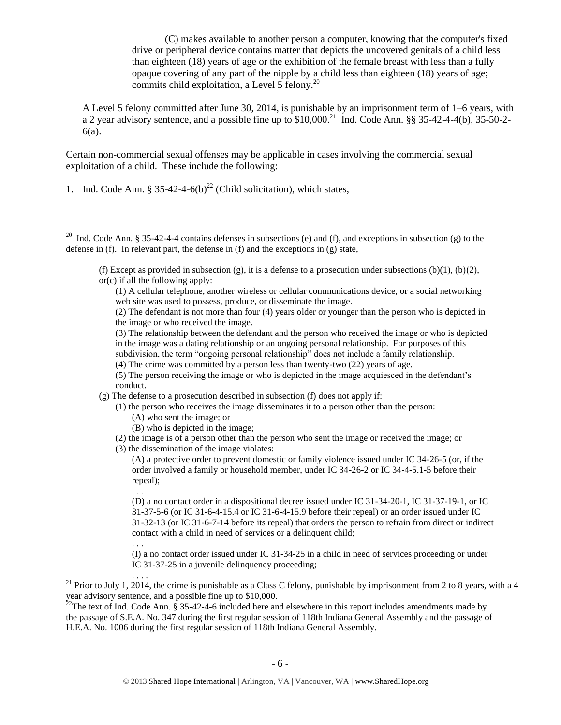(C) makes available to another person a computer, knowing that the computer's fixed drive or peripheral device contains matter that depicts the uncovered genitals of a child less than eighteen (18) years of age or the exhibition of the female breast with less than a fully opaque covering of any part of the nipple by a child less than eighteen (18) years of age; commits child exploitation, a Level 5 felony. $^{20}$ 

A Level 5 felony committed after June 30, 2014, is punishable by an imprisonment term of 1–6 years, with a 2 year advisory sentence, and a possible fine up to  $$10,000$ .<sup>21</sup> Ind. Code Ann. §§ 35-42-4-4(b), 35-50-2-6(a).

Certain non-commercial sexual offenses may be applicable in cases involving the commercial sexual exploitation of a child. These include the following:

1. Ind. Code Ann. § 35-42-4-6(b)<sup>22</sup> (Child solicitation), which states,

- (2) The defendant is not more than four (4) years older or younger than the person who is depicted in the image or who received the image.
- (3) The relationship between the defendant and the person who received the image or who is depicted in the image was a dating relationship or an ongoing personal relationship. For purposes of this subdivision, the term "ongoing personal relationship" does not include a family relationship.
- (4) The crime was committed by a person less than twenty-two (22) years of age.
- (5) The person receiving the image or who is depicted in the image acquiesced in the defendant's conduct.
- (g) The defense to a prosecution described in subsection (f) does not apply if:
	- (1) the person who receives the image disseminates it to a person other than the person:
		- (A) who sent the image; or
		- (B) who is depicted in the image;
	- (2) the image is of a person other than the person who sent the image or received the image; or
	- (3) the dissemination of the image violates:

. . .

(D) a no contact order in a dispositional decree issued under IC 31-34-20-1, IC 31-37-19-1, or IC 31-37-5-6 (or IC 31-6-4-15.4 or IC 31-6-4-15.9 before their repeal) or an order issued under IC 31-32-13 (or IC 31-6-7-14 before its repeal) that orders the person to refrain from direct or indirect contact with a child in need of services or a delinquent child;

. . . (I) a no contact order issued under IC 31-34-25 in a child in need of services proceeding or under IC 31-37-25 in a juvenile delinquency proceeding;

. . . .

<sup>21</sup> Prior to July 1, 2014, the crime is punishable as a Class C felony, punishable by imprisonment from 2 to 8 years, with a 4 year advisory sentence, and a possible fine up to \$10,000.

 $^{22}$ The text of Ind. Code Ann. § 35-42-4-6 included here and elsewhere in this report includes amendments made by the passage of S.E.A. No. 347 during the first regular session of 118th Indiana General Assembly and the passage of H.E.A. No. 1006 during the first regular session of 118th Indiana General Assembly.

<sup>&</sup>lt;sup>20</sup> Ind. Code Ann. § 35-42-4-4 contains defenses in subsections (e) and (f), and exceptions in subsection (g) to the defense in (f). In relevant part, the defense in (f) and the exceptions in (g) state,

<span id="page-5-0"></span><sup>(</sup>f) Except as provided in subsection (g), it is a defense to a prosecution under subsections (b)(1), (b)(2), or(c) if all the following apply:

<sup>(1)</sup> A cellular telephone, another wireless or cellular communications device, or a social networking web site was used to possess, produce, or disseminate the image.

<sup>(</sup>A) a protective order to prevent domestic or family violence issued under IC 34-26-5 (or, if the order involved a family or household member, under IC 34-26-2 or IC 34-4-5.1-5 before their repeal);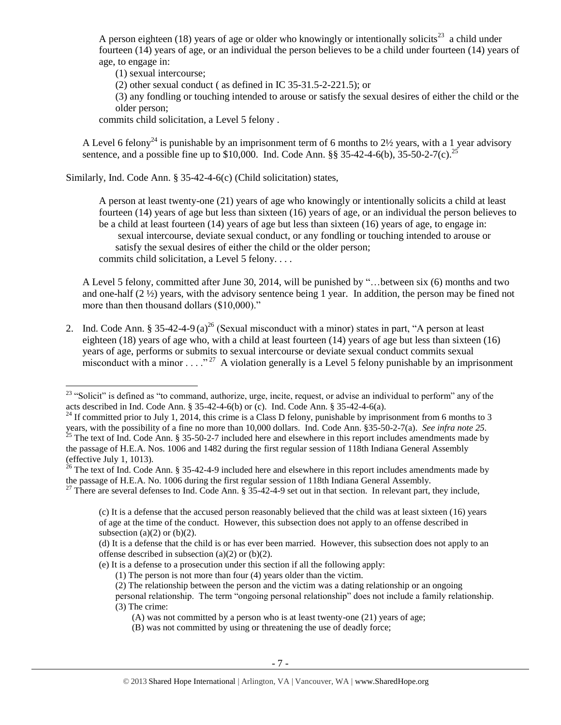A person eighteen (18) years of age or older who knowingly or intentionally solicits<sup>23</sup> a child under fourteen (14) years of age, or an individual the person believes to be a child under fourteen (14) years of age, to engage in:

<span id="page-6-2"></span>(1) sexual intercourse;

(2) other sexual conduct ( as defined in IC 35-31.5-2-221.5); or

<span id="page-6-3"></span><span id="page-6-0"></span>(3) any fondling or touching intended to arouse or satisfy the sexual desires of either the child or the older person;

<span id="page-6-1"></span>commits child solicitation, a Level 5 felony .

A Level 6 felony<sup>24</sup> is punishable by an imprisonment term of 6 months to  $2\frac{1}{2}$  years, with a 1 year advisory sentence, and a possible fine up to \$10,000. Ind. Code Ann. §§ 35-42-4-6(b), 35-50-2-7(c).<sup>25</sup>

Similarly, Ind. Code Ann. § 35-42-4-6(c) (Child solicitation) states,

A person at least twenty-one (21) years of age who knowingly or intentionally solicits a child at least fourteen (14) years of age but less than sixteen (16) years of age, or an individual the person believes to be a child at least fourteen (14) years of age but less than sixteen (16) years of age, to engage in: sexual intercourse, deviate sexual conduct, or any fondling or touching intended to arouse or satisfy the sexual desires of either the child or the older person; commits child solicitation, a Level 5 felony. . . .

<span id="page-6-4"></span>A Level 5 felony, committed after June 30, 2014, will be punished by "…between six (6) months and two and one-half  $(2 \frac{1}{2})$  years, with the advisory sentence being 1 year. In addition, the person may be fined not more than then thousand dollars (\$10,000)."

2. Ind. Code Ann. § 35-42-4-9 (a)<sup>26</sup> (Sexual misconduct with a minor) states in part, "A person at least eighteen (18) years of age who, with a child at least fourteen (14) years of age but less than sixteen (16) years of age, performs or submits to sexual intercourse or deviate sexual conduct commits sexual misconduct with a minor . . . ." <sup>27</sup> A violation generally is a Level 5 felony punishable by an imprisonment

 $\overline{\phantom{a}}$ 

 $23$  "Solicit" is defined as "to command, authorize, urge, incite, request, or advise an individual to perform" any of the acts described in Ind. Code Ann. § 35-42-4-6(b) or (c). Ind. Code Ann. § 35-42-4-6(a).

 $^{24}$  If committed prior to July 1, 2014, this crime is a Class D felony, punishable by imprisonment from 6 months to 3 years, with the possibility of a fine no more than 10,000 dollars. Ind. Code Ann. §35-50-2-7(a). *See infra note [25.](#page-6-0)*

 $^{25}$  The text of Ind. Code Ann. § 35-50-2-7 included here and elsewhere in this report includes amendments made by the passage of H.E.A. Nos. 1006 and 1482 during the first regular session of 118th Indiana General Assembly (effective July 1, 1013).

 $^{26}$  The text of Ind. Code Ann. § 35-42-4-9 included here and elsewhere in this report includes amendments made by the passage of H.E.A. No. 1006 during the first regular session of 118th Indiana General Assembly.

 $^{27}$  There are several defenses to Ind. Code Ann. § 35-42-4-9 set out in that section. In relevant part, they include,

<sup>(</sup>c) It is a defense that the accused person reasonably believed that the child was at least sixteen (16) years of age at the time of the conduct. However, this subsection does not apply to an offense described in subsection (a) $(2)$  or (b) $(2)$ .

<sup>(</sup>d) It is a defense that the child is or has ever been married. However, this subsection does not apply to an offense described in subsection  $(a)(2)$  or  $(b)(2)$ .

<sup>(</sup>e) It is a defense to a prosecution under this section if all the following apply:

<sup>(1)</sup> The person is not more than four (4) years older than the victim.

<sup>(2)</sup> The relationship between the person and the victim was a dating relationship or an ongoing personal relationship. The term "ongoing personal relationship" does not include a family relationship.

<sup>(3)</sup> The crime:

<sup>(</sup>A) was not committed by a person who is at least twenty-one (21) years of age;

<sup>(</sup>B) was not committed by using or threatening the use of deadly force;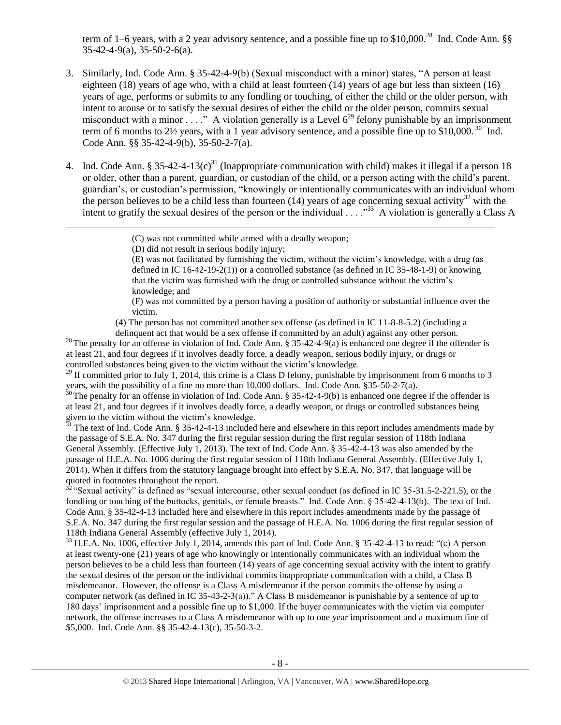<span id="page-7-2"></span>term of 1–6 years, with a 2 year advisory sentence, and a possible fine up to \$10,000.<sup>28</sup> Ind. Code Ann. §§ 35-42-4-9(a), 35-50-2-6(a).

- 3. Similarly, Ind. Code Ann. § 35-42-4-9(b) (Sexual misconduct with a minor) states, "A person at least eighteen (18) years of age who, with a child at least fourteen (14) years of age but less than sixteen (16) years of age, performs or submits to any fondling or touching, of either the child or the older person, with intent to arouse or to satisfy the sexual desires of either the child or the older person, commits sexual misconduct with a minor . . . ." A violation generally is a Level  $6^{29}$  felony punishable by an imprisonment term of 6 months to 2 $\frac{1}{2}$  years, with a 1 year advisory sentence, and a possible fine up to \$10,000.<sup>30</sup> Ind. Code Ann. §§ 35-42-4-9(b), 35-50-2-7(a).
- 4. Ind. Code Ann. § 35-42-4-13(c)<sup>31</sup> (Inappropriate communication with child) makes it illegal if a person 18 or older, other than a parent, guardian, or custodian of the child, or a person acting with the child's parent, guardian's, or custodian's permission, "knowingly or intentionally communicates with an individual whom the person believes to be a child less than fourteen  $(14)$  years of age concerning sexual activity<sup>32</sup> with the intent to gratify the sexual desires of the person or the individual  $\ldots$ ."<sup>33</sup> A violation is generally a Class A

 $\overline{\phantom{a}}$ 

(E) was not facilitated by furnishing the victim, without the victim's knowledge, with a drug (as defined in IC 16-42-19-2(1)) or a controlled substance (as defined in IC 35-48-1-9) or knowing that the victim was furnished with the drug or controlled substance without the victim's knowledge; and

(F) was not committed by a person having a position of authority or substantial influence over the victim.

(4) The person has not committed another sex offense (as defined in IC 11-8-8-5.2) (including a

delinquent act that would be a sex offense if committed by an adult) against any other person. <sup>28</sup> The penalty for an offense in violation of Ind. Code Ann. § 35-42-4-9(a) is enhanced one degree if the offender is at least 21, and four degrees if it involves deadly force, a deadly weapon, serious bodily injury, or drugs or controlled substances being given to the victim without the victim's knowledge.

<sup>29</sup> If committed prior to July 1, 2014, this crime is a Class D felony, punishable by imprisonment from 6 months to 3 years, with the possibility of a fine no more than 10,000 dollars. Ind. Code Ann. §35-50-2-7(a).

 $30$  The penalty for an offense in violation of Ind. Code Ann. § 35-42-4-9(b) is enhanced one degree if the offender is at least 21, and four degrees if it involves deadly force, a deadly weapon, or drugs or controlled substances being given to the victim without the victim's knowledge.

 $31$  The text of Ind. Code Ann. § 35-42-4-13 included here and elsewhere in this report includes amendments made by the passage of S.E.A. No. 347 during the first regular session during the first regular session of 118th Indiana General Assembly. (Effective July 1, 2013). The text of Ind. Code Ann. § 35-42-4-13 was also amended by the passage of H.E.A. No. 1006 during the first regular session of 118th Indiana General Assembly. (Effective July 1, 2014). When it differs from the statutory language brought into effect by S.E.A. No. 347, that language will be quoted in footnotes throughout the report.

 $32$  "Sexual activity" is defined as "sexual intercourse, other sexual conduct (as defined in IC 35-31.5-2-221.5), or the fondling or touching of the buttocks, genitals, or female breasts." Ind. Code Ann. § 35-42-4-13(b). The text of Ind. Code Ann. § 35-42-4-13 included here and elsewhere in this report includes amendments made by the passage of S.E.A. No. 347 during the first regular session and the passage of H.E.A. No. 1006 during the first regular session of 118th Indiana General Assembly (effective July 1, 2014).

<sup>33</sup> H.E.A. No. 1006, effective July 1, 2014, amends this part of Ind. Code Ann. § 35-42-4-13 to read: "(c) A person at least twenty-one (21) years of age who knowingly or intentionally communicates with an individual whom the person believes to be a child less than fourteen (14) years of age concerning sexual activity with the intent to gratify the sexual desires of the person or the individual commits inappropriate communication with a child, a Class B misdemeanor. However, the offense is a Class A misdemeanor if the person commits the offense by using a computer network (as defined in IC 35-43-2-3(a))." A Class B misdemeanor is punishable by a sentence of up to 180 days' imprisonment and a possible fine up to \$1,000. If the buyer communicates with the victim via computer network, the offense increases to a Class A misdemeanor with up to one year imprisonment and a maximum fine of \$5,000. Ind. Code Ann. §§ 35-42-4-13(c), 35-50-3-2.

<span id="page-7-4"></span><span id="page-7-3"></span><span id="page-7-1"></span><span id="page-7-0"></span><sup>(</sup>C) was not committed while armed with a deadly weapon;

<sup>(</sup>D) did not result in serious bodily injury;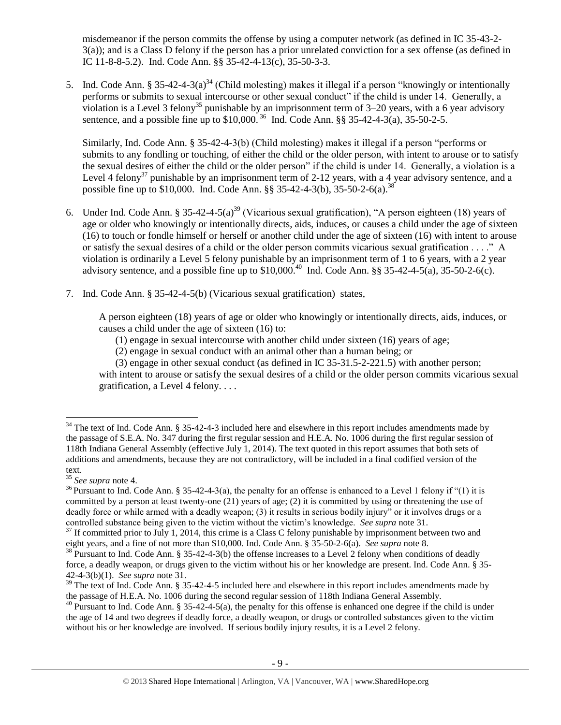<span id="page-8-0"></span>misdemeanor if the person commits the offense by using a computer network (as defined in IC 35-43-2- 3(a)); and is a Class D felony if the person has a prior unrelated conviction for a sex offense (as defined in IC 11-8-8-5.2). Ind. Code Ann. §§ 35-42-4-13(c), 35-50-3-3.

5. Ind. Code Ann. § 35-42-4-3(a)<sup>34</sup> (Child molesting) makes it illegal if a person "knowingly or intentionally performs or submits to sexual intercourse or other sexual conduct" if the child is under 14. Generally, a violation is a Level 3 felony<sup>35</sup> punishable by an imprisonment term of 3–20 years, with a 6 year advisory sentence, and a possible fine up to  $$10,000$ .<sup>36</sup> Ind. Code Ann. §§ 35-42-4-3(a), 35-50-2-5.

<span id="page-8-2"></span><span id="page-8-1"></span>Similarly, Ind. Code Ann. § 35-42-4-3(b) (Child molesting) makes it illegal if a person "performs or submits to any fondling or touching, of either the child or the older person, with intent to arouse or to satisfy the sexual desires of either the child or the older person" if the child is under 14. Generally, a violation is a Level 4 felony<sup>37</sup> punishable by an imprisonment term of 2-12 years, with a 4 year advisory sentence, and a possible fine up to \$10,000. Ind. Code Ann. §§ 35-42-4-3(b), 35-50-2-6(a).<sup>38</sup>

- 6. Under Ind. Code Ann. § 35-42-4-5(a)<sup>39</sup> (Vicarious sexual gratification), "A person eighteen (18) years of age or older who knowingly or intentionally directs, aids, induces, or causes a child under the age of sixteen (16) to touch or fondle himself or herself or another child under the age of sixteen (16) with intent to arouse or satisfy the sexual desires of a child or the older person commits vicarious sexual gratification . . . ." A violation is ordinarily a Level 5 felony punishable by an imprisonment term of 1 to 6 years, with a 2 year advisory sentence, and a possible fine up to  $$10,000$ .<sup>40</sup> Ind. Code Ann. §§ 35-42-4-5(a), 35-50-2-6(c).
- 7. Ind. Code Ann. § 35-42-4-5(b) (Vicarious sexual gratification) states,

A person eighteen (18) years of age or older who knowingly or intentionally directs, aids, induces, or causes a child under the age of sixteen (16) to:

- <span id="page-8-3"></span>(1) engage in sexual intercourse with another child under sixteen (16) years of age;
- (2) engage in sexual conduct with an animal other than a human being; or

(3) engage in other sexual conduct (as defined in IC 35-31.5-2-221.5) with another person; with intent to arouse or satisfy the sexual desires of a child or the older person commits vicarious sexual gratification, a Level 4 felony. . . .

 $\overline{\phantom{a}}$ 

 $34$  The text of Ind. Code Ann. § 35-42-4-3 included here and elsewhere in this report includes amendments made by the passage of S.E.A. No. 347 during the first regular session and H.E.A. No. 1006 during the first regular session of 118th Indiana General Assembly (effective July 1, 2014). The text quoted in this report assumes that both sets of additions and amendments, because they are not contradictory, will be included in a final codified version of the text.

<sup>35</sup> *See supra* note [4.](#page-1-1)

 $36$  Pursuant to Ind. Code Ann. § 35-42-4-3(a), the penalty for an offense is enhanced to a Level 1 felony if "(1) it is committed by a person at least twenty-one (21) years of age; (2) it is committed by using or threatening the use of deadly force or while armed with a deadly weapon; (3) it results in serious bodily injury" or it involves drugs or a controlled substance being given to the victim without the victim's knowledge. *See supra* not[e 31.](#page-7-0)

 $37$  If committed prior to July 1, 2014, this crime is a Class C felony punishable by imprisonment between two and eight years, and a fine of not more than \$10,000. Ind. Code Ann. § 35-50-2-6(a). *See supra* note [8.](#page-2-2)

<sup>&</sup>lt;sup>38</sup> Pursuant to Ind. Code Ann. § 35-42-4-3(b) the offense increases to a Level 2 felony when conditions of deadly force, a deadly weapon, or drugs given to the victim without his or her knowledge are present. Ind. Code Ann. § 35- 42-4-3(b)(1). *See supra* note [31.](#page-7-0)

 $39$  The text of Ind. Code Ann. § 35-42-4-5 included here and elsewhere in this report includes amendments made by the passage of H.E.A. No. 1006 during the second regular session of 118th Indiana General Assembly.

 $^{40}$  Pursuant to Ind. Code Ann. § 35-42-4-5(a), the penalty for this offense is enhanced one degree if the child is under the age of 14 and two degrees if deadly force, a deadly weapon, or drugs or controlled substances given to the victim without his or her knowledge are involved. If serious bodily injury results, it is a Level 2 felony.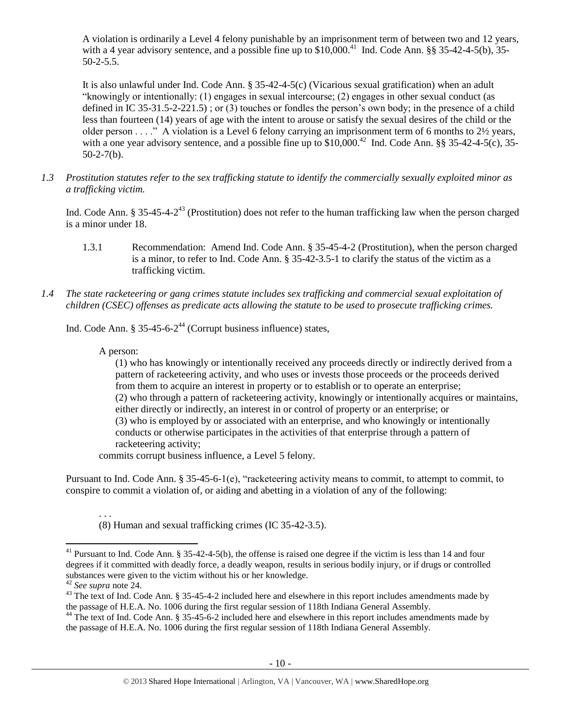<span id="page-9-0"></span>A violation is ordinarily a Level 4 felony punishable by an imprisonment term of between two and 12 years, with a 4 year advisory sentence, and a possible fine up to  $$10,000$ .<sup>41</sup> Ind. Code Ann. §§ 35-42-4-5(b), 35-50-2-5.5.

It is also unlawful under Ind. Code Ann. § 35-42-4-5(c) (Vicarious sexual gratification) when an adult "knowingly or intentionally: (1) engages in sexual intercourse; (2) engages in other sexual conduct (as defined in IC 35-31.5-2-221.5) ; or (3) touches or fondles the person's own body; in the presence of a child less than fourteen (14) years of age with the intent to arouse or satisfy the sexual desires of the child or the older person . . . ." A violation is a Level 6 felony carrying an imprisonment term of 6 months to 2½ years, with a one year advisory sentence, and a possible fine up to  $$10,000.<sup>42</sup>$  Ind. Code Ann. §§ 35-42-4-5(c), 35- $50-2-7(b)$ .

*1.3 Prostitution statutes refer to the sex trafficking statute to identify the commercially sexually exploited minor as a trafficking victim.* 

Ind. Code Ann. § 35-45-4- $2^{43}$  (Prostitution) does not refer to the human trafficking law when the person charged is a minor under 18.

- <span id="page-9-2"></span>1.3.1 Recommendation: Amend Ind. Code Ann. § 35-45-4-2 (Prostitution), when the person charged is a minor, to refer to Ind. Code Ann. § 35-42-3.5-1 to clarify the status of the victim as a trafficking victim.
- *1.4 The state racketeering or gang crimes statute includes sex trafficking and commercial sexual exploitation of children (CSEC) offenses as predicate acts allowing the statute to be used to prosecute trafficking crimes.*

Ind. Code Ann. § 35-45-6-2<sup>44</sup> (Corrupt business influence) states,

A person:

<span id="page-9-1"></span>(1) who has knowingly or intentionally received any proceeds directly or indirectly derived from a pattern of racketeering activity, and who uses or invests those proceeds or the proceeds derived from them to acquire an interest in property or to establish or to operate an enterprise; (2) who through a pattern of racketeering activity, knowingly or intentionally acquires or maintains, either directly or indirectly, an interest in or control of property or an enterprise; or (3) who is employed by or associated with an enterprise, and who knowingly or intentionally conducts or otherwise participates in the activities of that enterprise through a pattern of racketeering activity;

commits corrupt business influence, a Level 5 felony.

Pursuant to Ind. Code Ann. § 35-45-6-1(e), "racketeering activity means to commit, to attempt to commit, to conspire to commit a violation of, or aiding and abetting in a violation of any of the following:

. . . (8) Human and sexual trafficking crimes (IC 35-42-3.5).

 $\overline{\phantom{a}}$ 

<sup>&</sup>lt;sup>41</sup> Pursuant to Ind. Code Ann.  $\S 35-42-4-5(b)$ , the offense is raised one degree if the victim is less than 14 and four degrees if it committed with deadly force, a deadly weapon, results in serious bodily injury, or if drugs or controlled substances were given to the victim without his or her knowledge.

<sup>42</sup> *See supra* note [24.](#page-6-1)

<sup>&</sup>lt;sup>43</sup> The text of Ind. Code Ann. § 35-45-4-2 included here and elsewhere in this report includes amendments made by the passage of H.E.A. No. 1006 during the first regular session of 118th Indiana General Assembly.

<sup>&</sup>lt;sup>44</sup> The text of Ind. Code Ann. § 35-45-6-2 included here and elsewhere in this report includes amendments made by the passage of H.E.A. No. 1006 during the first regular session of 118th Indiana General Assembly.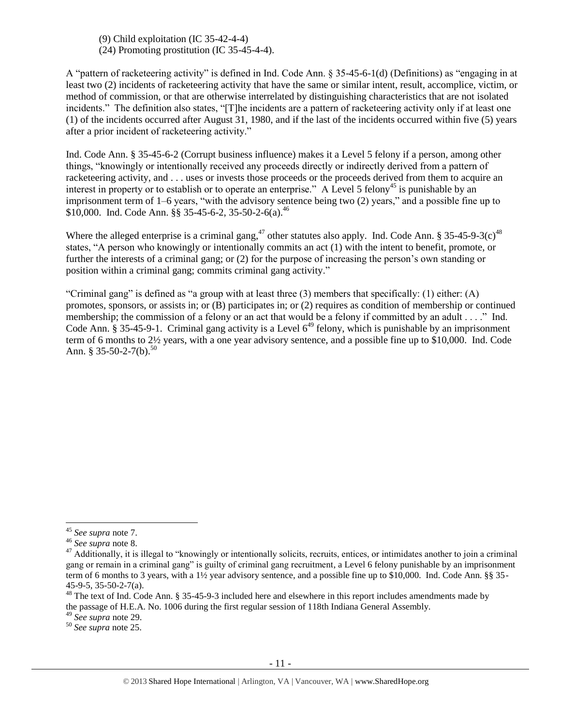(9) Child exploitation (IC 35-42-4-4) (24) Promoting prostitution (IC 35-45-4-4).

A "pattern of racketeering activity" is defined in Ind. Code Ann. § 35-45-6-1(d) (Definitions) as "engaging in at least two (2) incidents of racketeering activity that have the same or similar intent, result, accomplice, victim, or method of commission, or that are otherwise interrelated by distinguishing characteristics that are not isolated incidents." The definition also states, "[T]he incidents are a pattern of racketeering activity only if at least one (1) of the incidents occurred after August 31, 1980, and if the last of the incidents occurred within five (5) years after a prior incident of racketeering activity."

Ind. Code Ann. § 35-45-6-2 (Corrupt business influence) makes it a Level 5 felony if a person, among other things, "knowingly or intentionally received any proceeds directly or indirectly derived from a pattern of racketeering activity, and . . . uses or invests those proceeds or the proceeds derived from them to acquire an interest in property or to establish or to operate an enterprise." A Level 5 felony<sup>45</sup> is punishable by an imprisonment term of 1–6 years, "with the advisory sentence being two (2) years," and a possible fine up to \$10,000. Ind. Code Ann. §§ 35-45-6-2, 35-50-2-6(a).<sup>46</sup>

Where the alleged enterprise is a criminal gang,<sup>47</sup> other statutes also apply. Ind. Code Ann. § 35-45-9-3(c)<sup>48</sup> states, "A person who knowingly or intentionally commits an act (1) with the intent to benefit, promote, or further the interests of a criminal gang; or (2) for the purpose of increasing the person's own standing or position within a criminal gang; commits criminal gang activity."

"Criminal gang" is defined as "a group with at least three  $(3)$  members that specifically:  $(1)$  either:  $(A)$ promotes, sponsors, or assists in; or (B) participates in; or (2) requires as condition of membership or continued membership; the commission of a felony or an act that would be a felony if committed by an adult . . . ." Ind. Code Ann. § 35-45-9-1. Criminal gang activity is a Level  $6^{49}$  felony, which is punishable by an imprisonment term of 6 months to 2½ years, with a one year advisory sentence, and a possible fine up to \$10,000. Ind. Code Ann. § 35-50-2-7(b).<sup>50</sup>

 $\overline{\phantom{a}}$ 

<sup>49</sup> *See supra* note [29.](#page-7-1)

<sup>45</sup> *See supra* note [7.](#page-2-3)

<sup>46</sup> *See supra* note [8.](#page-2-0)

<sup>&</sup>lt;sup>47</sup> Additionally, it is illegal to "knowingly or intentionally solicits, recruits, entices, or intimidates another to join a criminal gang or remain in a criminal gang" is guilty of criminal gang recruitment, a Level 6 felony punishable by an imprisonment term of 6 months to 3 years, with a 1½ year advisory sentence, and a possible fine up to \$10,000. Ind. Code Ann. §§ 35- 45-9-5, 35-50-2-7(a).

<sup>&</sup>lt;sup>48</sup> The text of Ind. Code Ann. § 35-45-9-3 included here and elsewhere in this report includes amendments made by the passage of H.E.A. No. 1006 during the first regular session of 118th Indiana General Assembly.

<sup>50</sup> *See supra* note [25.](#page-6-0)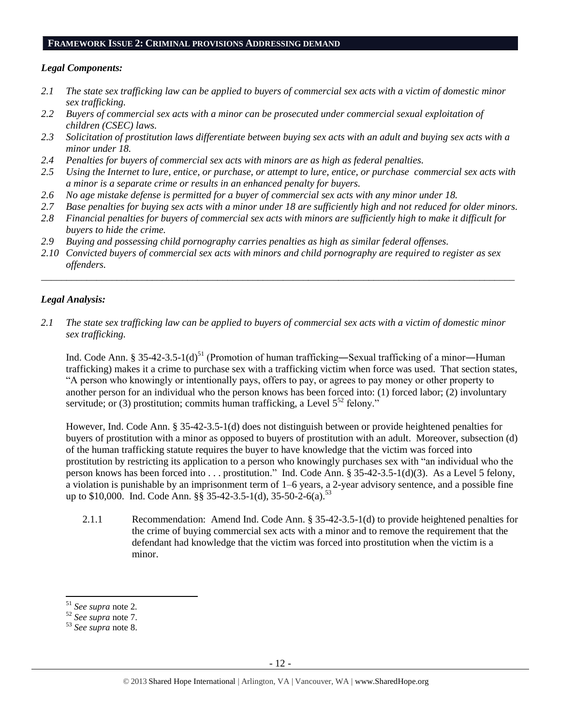#### **FRAMEWORK ISSUE 2: CRIMINAL PROVISIONS ADDRESSING DEMAND**

## *Legal Components:*

- *2.1 The state sex trafficking law can be applied to buyers of commercial sex acts with a victim of domestic minor sex trafficking.*
- *2.2 Buyers of commercial sex acts with a minor can be prosecuted under commercial sexual exploitation of children (CSEC) laws.*
- *2.3 Solicitation of prostitution laws differentiate between buying sex acts with an adult and buying sex acts with a minor under 18.*
- *2.4 Penalties for buyers of commercial sex acts with minors are as high as federal penalties.*
- *2.5 Using the Internet to lure, entice, or purchase, or attempt to lure, entice, or purchase commercial sex acts with a minor is a separate crime or results in an enhanced penalty for buyers.*
- *2.6 No age mistake defense is permitted for a buyer of commercial sex acts with any minor under 18.*
- *2.7 Base penalties for buying sex acts with a minor under 18 are sufficiently high and not reduced for older minors.*
- *2.8 Financial penalties for buyers of commercial sex acts with minors are sufficiently high to make it difficult for buyers to hide the crime.*
- *2.9 Buying and possessing child pornography carries penalties as high as similar federal offenses.*
- *2.10 Convicted buyers of commercial sex acts with minors and child pornography are required to register as sex offenders.*

\_\_\_\_\_\_\_\_\_\_\_\_\_\_\_\_\_\_\_\_\_\_\_\_\_\_\_\_\_\_\_\_\_\_\_\_\_\_\_\_\_\_\_\_\_\_\_\_\_\_\_\_\_\_\_\_\_\_\_\_\_\_\_\_\_\_\_\_\_\_\_\_\_\_\_\_\_\_\_\_\_\_\_\_\_\_\_\_\_\_\_\_\_\_

# *Legal Analysis:*

*2.1 The state sex trafficking law can be applied to buyers of commercial sex acts with a victim of domestic minor sex trafficking.* 

Ind. Code Ann. § 35-42-3.5-1(d)<sup>51</sup> (Promotion of human trafficking—Sexual trafficking of a minor—Human trafficking) makes it a crime to purchase sex with a trafficking victim when force was used. That section states, "A person who knowingly or intentionally pays, offers to pay, or agrees to pay money or other property to another person for an individual who the person knows has been forced into: (1) forced labor; (2) involuntary servitude; or (3) prostitution; commits human trafficking, a Level  $5^{52}$  felony."

However, Ind. Code Ann. § 35-42-3.5-1(d) does not distinguish between or provide heightened penalties for buyers of prostitution with a minor as opposed to buyers of prostitution with an adult. Moreover, subsection (d) of the human trafficking statute requires the buyer to have knowledge that the victim was forced into prostitution by restricting its application to a person who knowingly purchases sex with "an individual who the person knows has been forced into . . . prostitution." Ind. Code Ann. § 35-42-3.5-1(d)(3). As a Level 5 felony, a violation is punishable by an imprisonment term of 1–6 years, a 2-year advisory sentence, and a possible fine up to \$10,000. Ind. Code Ann. §§ 35-42-3.5-1(d), 35-50-2-6(a).<sup>53</sup>

2.1.1 Recommendation: Amend Ind. Code Ann. § 35-42-3.5-1(d) to provide heightened penalties for the crime of buying commercial sex acts with a minor and to remove the requirement that the defendant had knowledge that the victim was forced into prostitution when the victim is a minor.

l

<sup>51</sup> *See supra* note [2](#page-0-0)*.*

<sup>52</sup> *See supra* note [7.](#page-2-3)

<sup>53</sup> *See supra* note [8.](#page-2-0)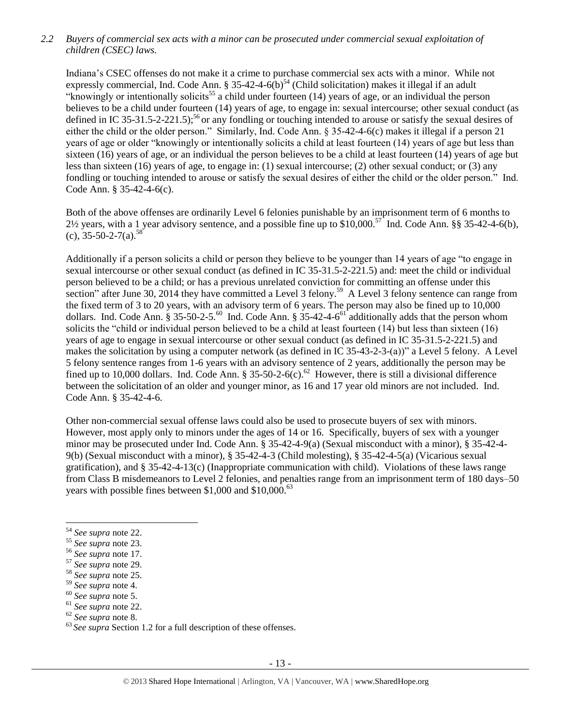# *2.2 Buyers of commercial sex acts with a minor can be prosecuted under commercial sexual exploitation of children (CSEC) laws.*

Indiana's CSEC offenses do not make it a crime to purchase commercial sex acts with a minor. While not expressly commercial, Ind. Code Ann. § 35-42-4-6(b)<sup>54</sup> (Child solicitation) makes it illegal if an adult "knowingly or intentionally solicits<sup>55</sup> a child under fourteen (14) years of age, or an individual the person believes to be a child under fourteen (14) years of age, to engage in: sexual intercourse; other sexual conduct (as defined in IC 35-31.5-2-221.5);<sup>56</sup> or any fondling or touching intended to arouse or satisfy the sexual desires of either the child or the older person." Similarly, Ind. Code Ann. § 35-42-4-6(c) makes it illegal if a person 21 years of age or older "knowingly or intentionally solicits a child at least fourteen (14) years of age but less than sixteen (16) years of age, or an individual the person believes to be a child at least fourteen (14) years of age but less than sixteen (16) years of age, to engage in: (1) sexual intercourse; (2) other sexual conduct; or (3) any fondling or touching intended to arouse or satisfy the sexual desires of either the child or the older person." Ind. Code Ann. § 35-42-4-6(c).

Both of the above offenses are ordinarily Level 6 felonies punishable by an imprisonment term of 6 months to  $2\frac{1}{2}$  years, with a 1 year advisory sentence, and a possible fine up to \$10,000.<sup>57</sup> Ind. Code Ann. §§ 35-42-4-6(b),  $(c), 35 - 50 - 2 - 7(a).$ <sup>58</sup>

Additionally if a person solicits a child or person they believe to be younger than 14 years of age "to engage in sexual intercourse or other sexual conduct (as defined in IC 35-31.5-2-221.5) and: meet the child or individual person believed to be a child; or has a previous unrelated conviction for committing an offense under this section" after June 30, 2014 they have committed a Level 3 felony.<sup>59</sup> A Level 3 felony sentence can range from the fixed term of 3 to 20 years, with an advisory term of 6 years. The person may also be fined up to 10,000 dollars. Ind. Code Ann.  $\S 35-50-2-5.^{60}$  Ind. Code Ann.  $\S 35-42-4-6^{61}$  additionally adds that the person whom solicits the "child or individual person believed to be a child at least fourteen (14) but less than sixteen (16) years of age to engage in sexual intercourse or other sexual conduct (as defined in IC 35-31.5-2-221.5) and makes the solicitation by using a computer network (as defined in IC 35-43-2-3-(a))" a Level 5 felony. A Level 5 felony sentence ranges from 1-6 years with an advisory sentence of 2 years, additionally the person may be fined up to 10,000 dollars. Ind. Code Ann. § 35-50-2-6(c).<sup>62</sup> However, there is still a divisional difference between the solicitation of an older and younger minor, as 16 and 17 year old minors are not included. Ind. Code Ann. § 35-42-4-6.

Other non-commercial sexual offense laws could also be used to prosecute buyers of sex with minors. However, most apply only to minors under the ages of 14 or 16. Specifically, buyers of sex with a younger minor may be prosecuted under Ind. Code Ann. § 35-42-4-9(a) (Sexual misconduct with a minor), § 35-42-4- 9(b) (Sexual misconduct with a minor), § 35-42-4-3 (Child molesting), § 35-42-4-5(a) (Vicarious sexual gratification), and § 35-42-4-13(c) (Inappropriate communication with child). Violations of these laws range from Class B misdemeanors to Level 2 felonies, and penalties range from an imprisonment term of 180 days–50 years with possible fines between \$1,000 and \$10,000. $^{63}$ 

 $\overline{\phantom{a}}$ 

<sup>54</sup> *See supra* note [22.](#page-5-0) 

<sup>55</sup> *See supra* note [23.](#page-6-2)

<sup>56</sup> *See supra* note [17.](#page-3-0) 

<sup>57</sup> *See supra* note [29.](#page-7-1) 

<sup>58</sup> *See supra* note [25.](#page-6-3)

<sup>59</sup> *See supra* note [4.](#page-1-1)

<sup>60</sup> *See supra* note [5.](#page-1-0)

<sup>61</sup> *See supra* note [22.](#page-5-0)

<sup>62</sup> *See supra* note [8.](#page-2-2)

<sup>&</sup>lt;sup>63</sup> See supra Section 1.2 for a full description of these offenses.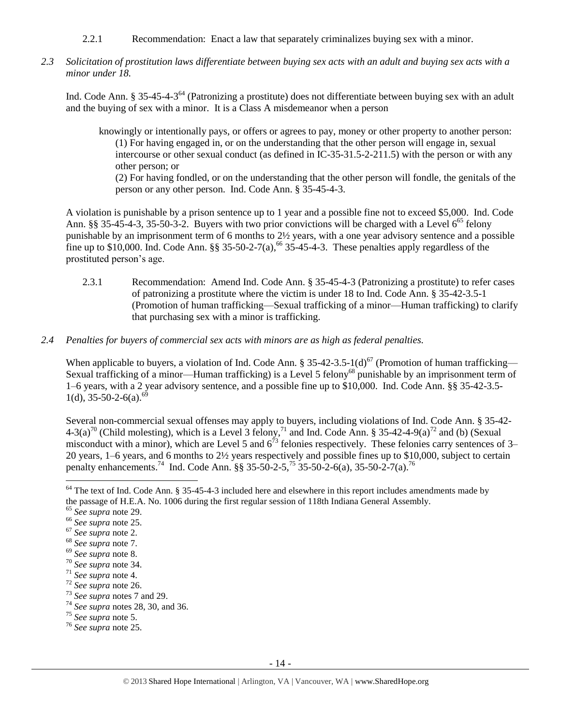- 2.2.1 Recommendation: Enact a law that separately criminalizes buying sex with a minor.
- *2.3 Solicitation of prostitution laws differentiate between buying sex acts with an adult and buying sex acts with a minor under 18.*

Ind. Code Ann. § 35-45-4-3<sup>64</sup> (Patronizing a prostitute) does not differentiate between buying sex with an adult and the buying of sex with a minor. It is a Class A misdemeanor when a person

<span id="page-13-0"></span>knowingly or intentionally pays, or offers or agrees to pay, money or other property to another person: (1) For having engaged in, or on the understanding that the other person will engage in, sexual intercourse or other sexual conduct (as defined in IC-35-31.5-2-211.5) with the person or with any other person; or (2) For having fondled, or on the understanding that the other person will fondle, the genitals of the

person or any other person. Ind. Code Ann. § 35-45-4-3.

A violation is punishable by a prison sentence up to 1 year and a possible fine not to exceed \$5,000. Ind. Code Ann. §§ 35-45-4-3, 35-50-3-2. Buyers with two prior convictions will be charged with a Level  $6^{65}$  felony punishable by an imprisonment term of 6 months to 2½ years, with a one year advisory sentence and a possible fine up to \$10,000. Ind. Code Ann.  $\S$ § 35-50-2-7(a),<sup>66</sup> 35-45-4-3. These penalties apply regardless of the prostituted person's age.

- 2.3.1 Recommendation: Amend Ind. Code Ann. § 35-45-4-3 (Patronizing a prostitute) to refer cases of patronizing a prostitute where the victim is under 18 to Ind. Code Ann. § 35-42-3.5-1 (Promotion of human trafficking—Sexual trafficking of a minor—Human trafficking) to clarify that purchasing sex with a minor is trafficking.
- *2.4 Penalties for buyers of commercial sex acts with minors are as high as federal penalties.*

When applicable to buyers, a violation of Ind. Code Ann. § 35-42-3.5-1(d)<sup>67</sup> (Promotion of human trafficking— Sexual trafficking of a minor—Human trafficking) is a Level 5 felony<sup>68</sup> punishable by an imprisonment term of 1–6 years, with a 2 year advisory sentence, and a possible fine up to \$10,000. Ind. Code Ann. §§ 35-42-3.5-  $1(d)$ , 35-50-2-6(a).<sup>69</sup>

Several non-commercial sexual offenses may apply to buyers, including violations of Ind. Code Ann. § 35-42-  $4-3(a)^{70}$  (Child molesting), which is a Level 3 felony,<sup>71</sup> and Ind. Code Ann. § 35-42-4-9(a)<sup>72</sup> and (b) (Sexual misconduct with a minor), which are Level 5 and  $6^{73}$  felonies respectively. These felonies carry sentences of 3– 20 years, 1–6 years, and 6 months to 2½ years respectively and possible fines up to \$10,000, subject to certain penalty enhancements.<sup>74</sup> Ind. Code Ann. §§ 35-50-2-5,<sup>75</sup> 35-50-2-6(a), 35-50-2-7(a).<sup>76</sup>

 $\overline{\phantom{a}}$  $64$  The text of Ind. Code Ann. § 35-45-4-3 included here and elsewhere in this report includes amendments made by the passage of H.E.A. No. 1006 during the first regular session of 118th Indiana General Assembly.

<sup>65</sup> *See supra* note [29.](#page-7-1)

<sup>66</sup> *See supra* note [25.](#page-6-3)

<sup>67</sup> *See supra* note [2.](#page-0-0)

<sup>68</sup> *See supra* note [7.](#page-2-3)

<sup>69</sup> *See supra* note [8.](#page-2-0)

<sup>70</sup> *See supra* note [34.](#page-8-0)

<sup>71</sup> *See supra* note [4.](#page-1-1)

<sup>72</sup> *See supra* note [26.](#page-6-4)

<sup>73</sup> *See supra* notes [7](#page-2-3) an[d 29.](#page-7-1)

<sup>74</sup> *See supra* notes [28,](#page-7-2) [30,](#page-7-3) and [36.](#page-8-1)

<sup>75</sup> *See supra* note [5.](#page-1-0)

<sup>76</sup> *See supra* note [25.](#page-6-3)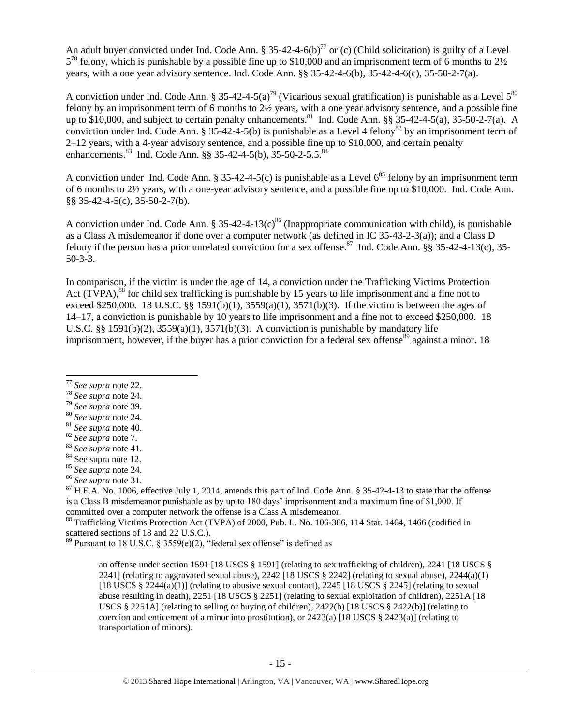An adult buyer convicted under Ind. Code Ann. § 35-42-4-6(b)<sup>77</sup> or (c) (Child solicitation) is guilty of a Level  $5^{78}$  felony, which is punishable by a possible fine up to \$10,000 and an imprisonment term of 6 months to 2½ years, with a one year advisory sentence. Ind. Code Ann. §§ 35-42-4-6(b), 35-42-4-6(c), 35-50-2-7(a).

A conviction under Ind. Code Ann. § 35-42-4-5(a)<sup>79</sup> (Vicarious sexual gratification) is punishable as a Level  $5^{80}$ felony by an imprisonment term of 6 months to 2½ years, with a one year advisory sentence, and a possible fine up to \$10,000, and subject to certain penalty enhancements.<sup>81</sup> Ind. Code Ann. §§ 35-42-4-5(a), 35-50-2-7(a). A conviction under Ind. Code Ann. § 35-42-4-5(b) is punishable as a Level 4 felony<sup>82</sup> by an imprisonment term of 2–12 years, with a 4-year advisory sentence, and a possible fine up to \$10,000, and certain penalty enhancements.<sup>83</sup> Ind. Code Ann. §§ 35-42-4-5(b), 35-50-2-5.5.<sup>84</sup>

A conviction under Ind. Code Ann. § 35-42-4-5(c) is punishable as a Level  $6^{85}$  felony by an imprisonment term of 6 months to 2½ years, with a one-year advisory sentence, and a possible fine up to \$10,000. Ind. Code Ann. §§ 35-42-4-5(c), 35-50-2-7(b).

A conviction under Ind. Code Ann. § 35-42-4-13(c)<sup>86</sup> (Inappropriate communication with child), is punishable as a Class A misdemeanor if done over a computer network (as defined in IC 35-43-2-3(a)); and a Class D felony if the person has a prior unrelated conviction for a sex offense.<sup>87</sup> Ind. Code Ann. §§ 35-42-4-13(c), 35-50-3-3.

<span id="page-14-0"></span>In comparison, if the victim is under the age of 14, a conviction under the Trafficking Victims Protection Act (TVPA),<sup>88</sup> for child sex trafficking is punishable by 15 years to life imprisonment and a fine not to exceed \$250,000. 18 U.S.C. §§ 1591(b)(1),  $3559(a)(1)$ ,  $3571(b)(3)$ . If the victim is between the ages of 14–17, a conviction is punishable by 10 years to life imprisonment and a fine not to exceed \$250,000. 18 U.S.C. §§ 1591(b)(2),  $3559(a)(1)$ ,  $3571(b)(3)$ . A conviction is punishable by mandatory life imprisonment, however, if the buyer has a prior conviction for a federal sex offense $^{89}$  against a minor. 18

<span id="page-14-1"></span> $\overline{a}$ 

- <sup>78</sup> *See supra* note [24.](#page-6-1)
- <sup>79</sup> *See supra* note [39.](#page-8-2)
- <sup>80</sup> *See supra* note [24.](#page-6-1)

 $^{87}$  H.E.A. No. 1006, effective July 1, 2014, amends this part of Ind. Code Ann. § 35-42-4-13 to state that the offense is a Class B misdemeanor punishable as by up to 180 days' imprisonment and a maximum fine of \$1,000. If committed over a computer network the offense is a Class A misdemeanor.

<sup>88</sup> Trafficking Victims Protection Act (TVPA) of 2000, Pub. L. No. 106-386, 114 Stat. 1464, 1466 (codified in scattered sections of 18 and 22 U.S.C.).

<sup>89</sup> Pursuant to 18 U.S.C. § 3559(e)(2), "federal sex offense" is defined as

an offense under section 1591 [18 USCS § 1591] (relating to sex trafficking of children), 2241 [18 USCS § 2241] (relating to aggravated sexual abuse),  $2242$  [18 USCS § 2242] (relating to sexual abuse),  $2244(a)(1)$ [18 USCS § 2244(a)(1)] (relating to abusive sexual contact), 2245 [18 USCS § 2245] (relating to sexual abuse resulting in death), 2251 [18 USCS § 2251] (relating to sexual exploitation of children), 2251A [18 USCS § 2251A] (relating to selling or buying of children), 2422(b) [18 USCS § 2422(b)] (relating to coercion and enticement of a minor into prostitution), or  $2423(a)$  [18 USCS §  $2423(a)$ ] (relating to transportation of minors).

<sup>77</sup> *See supra* note [22.](#page-5-0)

<sup>81</sup> *See supra* note [40.](#page-8-3)

<sup>82</sup> *See supra* note [7.](#page-2-3)

<sup>83</sup> *See supra* note [41.](#page-9-0)

<sup>&</sup>lt;sup>84</sup> See supra note [12.](#page-3-1)

<sup>85</sup> *See supra* note [24.](#page-6-1)

<sup>86</sup> *See supra* note [31.](#page-7-0)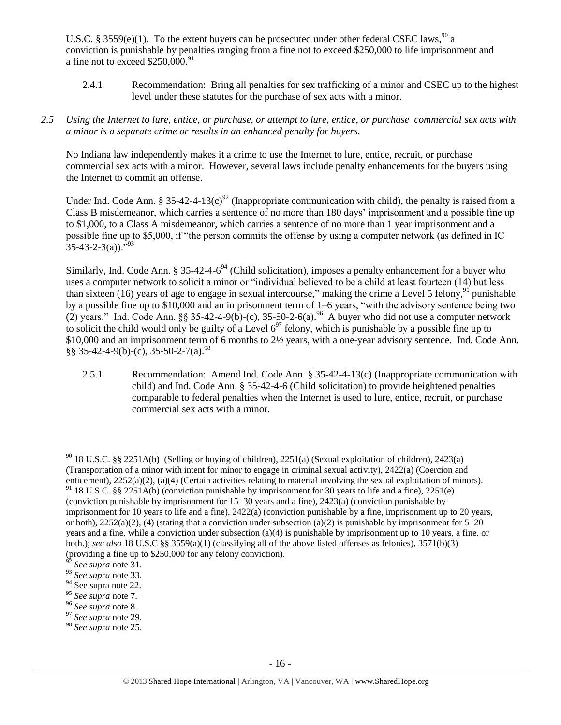U.S.C. § 3559(e)(1). To the extent buyers can be prosecuted under other federal CSEC laws,  $^{90}$  a conviction is punishable by penalties ranging from a fine not to exceed \$250,000 to life imprisonment and a fine not to exceed  $$250,000.<sup>91</sup>$ 

2.4.1 Recommendation: Bring all penalties for sex trafficking of a minor and CSEC up to the highest level under these statutes for the purchase of sex acts with a minor.

# *2.5 Using the Internet to lure, entice, or purchase, or attempt to lure, entice, or purchase commercial sex acts with a minor is a separate crime or results in an enhanced penalty for buyers.*

No Indiana law independently makes it a crime to use the Internet to lure, entice, recruit, or purchase commercial sex acts with a minor. However, several laws include penalty enhancements for the buyers using the Internet to commit an offense.

Under Ind. Code Ann. § 35-42-4-13(c)<sup>92</sup> (Inappropriate communication with child), the penalty is raised from a Class B misdemeanor, which carries a sentence of no more than 180 days' imprisonment and a possible fine up to \$1,000, to a Class A misdemeanor, which carries a sentence of no more than 1 year imprisonment and a possible fine up to \$5,000, if "the person commits the offense by using a computer network (as defined in IC  $35-43-2-3(a)$ .  $\frac{1}{2}$ 

Similarly, Ind. Code Ann. § 35-42-4-6<sup>94</sup> (Child solicitation), imposes a penalty enhancement for a buyer who uses a computer network to solicit a minor or "individual believed to be a child at least fourteen (14) but less than sixteen (16) years of age to engage in sexual intercourse," making the crime a Level 5 felony,  $95$  punishable by a possible fine up to \$10,000 and an imprisonment term of 1–6 years, "with the advisory sentence being two (2) years." Ind. Code Ann. §§ 35-42-4-9(b)-(c), 35-50-2-6(a).<sup>96</sup> A buyer who did not use a computer network to solicit the child would only be guilty of a Level  $6^{97}$  felony, which is punishable by a possible fine up to \$10,000 and an imprisonment term of 6 months to 2½ years, with a one-year advisory sentence. Ind. Code Ann.  $\S$ § 35-42-4-9(b)-(c), 35-50-2-7(a).<sup>98</sup>

2.5.1 Recommendation: Amend Ind. Code Ann. § 35-42-4-13(c) (Inappropriate communication with child) and Ind. Code Ann. § 35-42-4-6 (Child solicitation) to provide heightened penalties comparable to federal penalties when the Internet is used to lure, entice, recruit, or purchase commercial sex acts with a minor.

 $\overline{\phantom{a}}$ 

<sup>&</sup>lt;sup>90</sup> 18 U.S.C. §§ 2251A(b) (Selling or buying of children), 2251(a) (Sexual exploitation of children), 2423(a) (Transportation of a minor with intent for minor to engage in criminal sexual activity), 2422(a) (Coercion and enticement), 2252(a)(2), (a)(4) (Certain activities relating to material involving the sexual exploitation of minors).

 $91$  18 U.S.C. §§ 2251A(b) (conviction punishable by imprisonment for 30 years to life and a fine), 2251(e) (conviction punishable by imprisonment for 15–30 years and a fine), 2423(a) (conviction punishable by imprisonment for 10 years to life and a fine), 2422(a) (conviction punishable by a fine, imprisonment up to 20 years, or both),  $2252(a)(2)$ , (4) (stating that a conviction under subsection (a)(2) is punishable by imprisonment for 5–20 years and a fine, while a conviction under subsection (a)(4) is punishable by imprisonment up to 10 years, a fine, or both.); *see also* 18 U.S.C §§ 3559(a)(1) (classifying all of the above listed offenses as felonies), 3571(b)(3) (providing a fine up to \$250,000 for any felony conviction).

<sup>92</sup> *See supra* note [31.](#page-7-0)

<sup>93</sup> *See supra* note [33.](#page-7-4)

<sup>&</sup>lt;sup>94</sup> See supra note [22.](#page-5-0)

<sup>95</sup> *See supra* note [7.](#page-2-3)

<sup>96</sup> *See supra* note [8.](#page-2-0)

<sup>97</sup> *See supra* note [29.](#page-7-1)

<sup>98</sup> *See supra* note [25.](#page-6-3)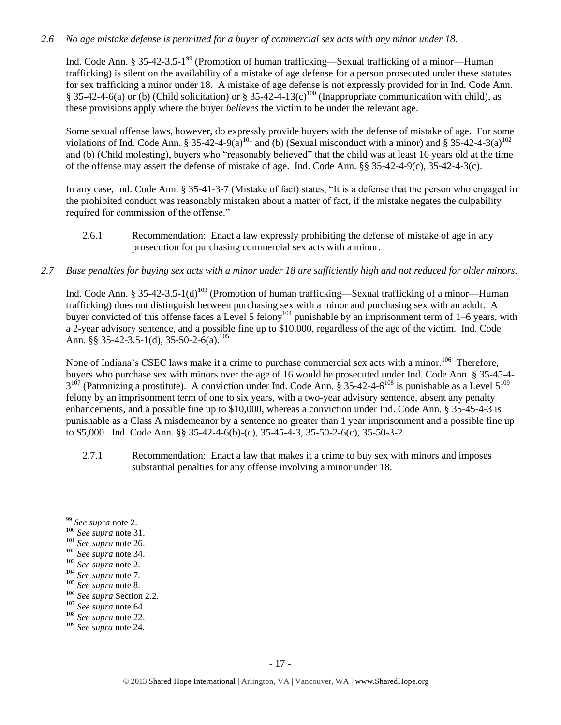# *2.6 No age mistake defense is permitted for a buyer of commercial sex acts with any minor under 18.*

Ind. Code Ann. § 35-42-3.5-1<sup>99</sup> (Promotion of human trafficking—Sexual trafficking of a minor—Human trafficking) is silent on the availability of a mistake of age defense for a person prosecuted under these statutes for sex trafficking a minor under 18. A mistake of age defense is not expressly provided for in Ind. Code Ann. § 35-42-4-6(a) or (b) (Child solicitation) or § 35-42-4-13(c)<sup>100</sup> (Inappropriate communication with child), as these provisions apply where the buyer *believes* the victim to be under the relevant age.

Some sexual offense laws, however, do expressly provide buyers with the defense of mistake of age. For some violations of Ind. Code Ann. § 35-42-4-9(a)<sup>101</sup> and (b) (Sexual misconduct with a minor) and § 35-42-4-3(a)<sup>102</sup> and (b) (Child molesting), buyers who "reasonably believed" that the child was at least 16 years old at the time of the offense may assert the defense of mistake of age. Ind. Code Ann. §§ 35-42-4-9(c), 35-42-4-3(c).

In any case, Ind. Code Ann. § 35-41-3-7 (Mistake of fact) states, "It is a defense that the person who engaged in the prohibited conduct was reasonably mistaken about a matter of fact, if the mistake negates the culpability required for commission of the offense."

- 2.6.1 Recommendation: Enact a law expressly prohibiting the defense of mistake of age in any prosecution for purchasing commercial sex acts with a minor.
- *2.7 Base penalties for buying sex acts with a minor under 18 are sufficiently high and not reduced for older minors.*

Ind. Code Ann. § 35-42-3.5-1(d)<sup>103</sup> (Promotion of human trafficking—Sexual trafficking of a minor—Human trafficking) does not distinguish between purchasing sex with a minor and purchasing sex with an adult. A buyer convicted of this offense faces a Level 5 felony<sup>104</sup> punishable by an imprisonment term of 1–6 years, with a 2-year advisory sentence, and a possible fine up to \$10,000, regardless of the age of the victim. Ind. Code Ann. §§ 35-42-3.5-1(d), 35-50-2-6(a).<sup>105</sup>

None of Indiana's CSEC laws make it a crime to purchase commercial sex acts with a minor.<sup>106</sup> Therefore, buyers who purchase sex with minors over the age of 16 would be prosecuted under Ind. Code Ann. § 35-45-4-  $3^{107}$  (Patronizing a prostitute). A conviction under Ind. Code Ann. § 35-42-4-6<sup>108</sup> is punishable as a Level 5<sup>109</sup> felony by an imprisonment term of one to six years, with a two-year advisory sentence, absent any penalty enhancements, and a possible fine up to \$10,000, whereas a conviction under Ind. Code Ann. § 35-45-4-3 is punishable as a Class A misdemeanor by a sentence no greater than 1 year imprisonment and a possible fine up to \$5,000. Ind. Code Ann. §§ 35-42-4-6(b)-(c), 35-45-4-3, 35-50-2-6(c), 35-50-3-2.

2.7.1 Recommendation: Enact a law that makes it a crime to buy sex with minors and imposes substantial penalties for any offense involving a minor under 18.

 $\overline{\phantom{a}}$ 

<sup>105</sup> *See supra* not[e 8.](#page-2-0)

<sup>99</sup> *See supra* note [2.](#page-0-0)

<sup>100</sup> *See supra* not[e 31.](#page-7-0)

<sup>101</sup> *See supra* not[e 26.](#page-6-4)

<sup>102</sup> *See supra* not[e 34.](#page-8-0)

<sup>103</sup> *See supra* not[e 2.](#page-0-0)

<sup>104</sup> *See supra* not[e 7.](#page-2-3)

<sup>106</sup> *See supra* Section 2.2.

<sup>107</sup> *See supra* not[e 64.](#page-13-0)

<sup>108</sup> *See supra* not[e 22.](#page-5-0)

<sup>109</sup> *See supra* note [24.](#page-6-1)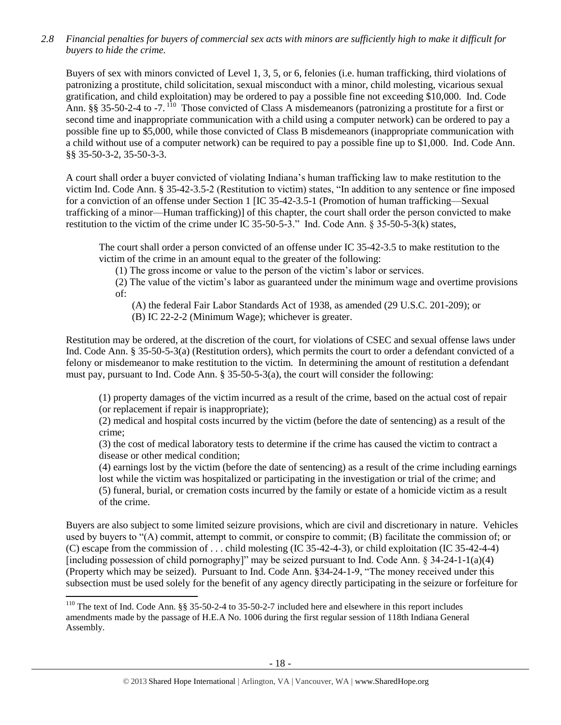*2.8 Financial penalties for buyers of commercial sex acts with minors are sufficiently high to make it difficult for buyers to hide the crime.*

<span id="page-17-0"></span>Buyers of sex with minors convicted of Level 1, 3, 5, or 6, felonies (i.e. human trafficking, third violations of patronizing a prostitute, child solicitation, sexual misconduct with a minor, child molesting, vicarious sexual gratification, and child exploitation) may be ordered to pay a possible fine not exceeding \$10,000. Ind. Code Ann. §§ 35-50-2-4 to -7. <sup>110</sup> Those convicted of Class A misdemeanors (patronizing a prostitute for a first or second time and inappropriate communication with a child using a computer network) can be ordered to pay a possible fine up to \$5,000, while those convicted of Class B misdemeanors (inappropriate communication with a child without use of a computer network) can be required to pay a possible fine up to \$1,000. Ind. Code Ann. §§ 35-50-3-2, 35-50-3-3.

A court shall order a buyer convicted of violating Indiana's human trafficking law to make restitution to the victim Ind. Code Ann. § 35-42-3.5-2 (Restitution to victim) states, "In addition to any sentence or fine imposed for a conviction of an offense under Section 1 [IC 35-42-3.5-1 (Promotion of human trafficking—Sexual trafficking of a minor—Human trafficking)] of this chapter, the court shall order the person convicted to make restitution to the victim of the crime under IC 35-50-5-3." Ind. Code Ann. § 35-50-5-3(k) states,

The court shall order a person convicted of an offense under IC 35-42-3.5 to make restitution to the victim of the crime in an amount equal to the greater of the following:

(1) The gross income or value to the person of the victim's labor or services.

(2) The value of the victim's labor as guaranteed under the minimum wage and overtime provisions of:

(A) the federal Fair Labor Standards Act of 1938, as amended (29 U.S.C. 201-209); or

(B) IC 22-2-2 (Minimum Wage); whichever is greater.

Restitution may be ordered, at the discretion of the court, for violations of CSEC and sexual offense laws under Ind. Code Ann. § 35-50-5-3(a) (Restitution orders), which permits the court to order a defendant convicted of a felony or misdemeanor to make restitution to the victim. In determining the amount of restitution a defendant must pay, pursuant to Ind. Code Ann. § 35-50-5-3(a), the court will consider the following:

(1) property damages of the victim incurred as a result of the crime, based on the actual cost of repair (or replacement if repair is inappropriate);

(2) medical and hospital costs incurred by the victim (before the date of sentencing) as a result of the crime;

(3) the cost of medical laboratory tests to determine if the crime has caused the victim to contract a disease or other medical condition;

(4) earnings lost by the victim (before the date of sentencing) as a result of the crime including earnings lost while the victim was hospitalized or participating in the investigation or trial of the crime; and (5) funeral, burial, or cremation costs incurred by the family or estate of a homicide victim as a result of the crime.

Buyers are also subject to some limited seizure provisions, which are civil and discretionary in nature. Vehicles used by buyers to "(A) commit, attempt to commit, or conspire to commit; (B) facilitate the commission of; or (C) escape from the commission of . . . child molesting (IC 35-42-4-3), or child exploitation (IC 35-42-4-4) [including possession of child pornography]" may be seized pursuant to Ind. Code Ann.  $\S 34-24-1(1a)(4)$ (Property which may be seized). Pursuant to Ind. Code Ann. §34-24-1-9, "The money received under this subsection must be used solely for the benefit of any agency directly participating in the seizure or forfeiture for

l <sup>110</sup> The text of Ind. Code Ann. §§ 35-50-2-4 to 35-50-2-7 included here and elsewhere in this report includes amendments made by the passage of H.E.A No. 1006 during the first regular session of 118th Indiana General Assembly.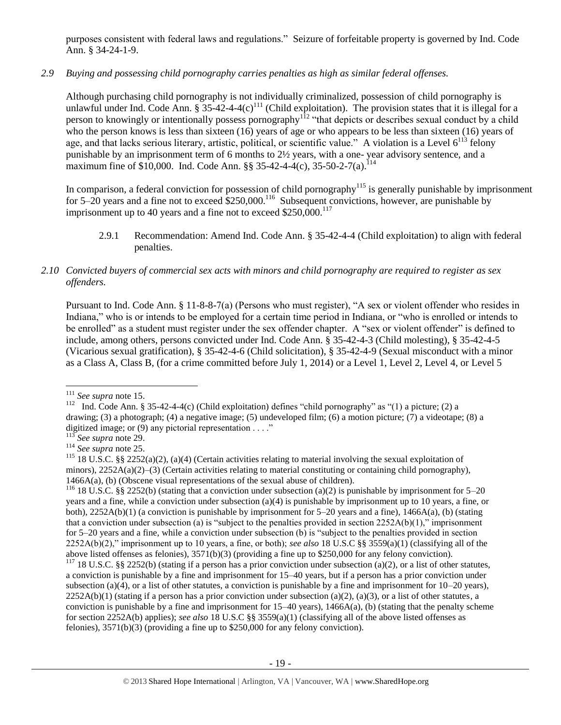purposes consistent with federal laws and regulations." Seizure of forfeitable property is governed by Ind. Code Ann. § 34-24-1-9.

# *2.9 Buying and possessing child pornography carries penalties as high as similar federal offenses.*

Although purchasing child pornography is not individually criminalized, possession of child pornography is unlawful under Ind. Code Ann.  $\S 35-42-4-(c)^{111}$  (Child exploitation). The provision states that it is illegal for a person to knowingly or intentionally possess pornography<sup>112</sup> "that depicts or describes sexual conduct by a child who the person knows is less than sixteen (16) years of age or who appears to be less than sixteen (16) years of age, and that lacks serious literary, artistic, political, or scientific value." A violation is a Level  $6^{113}$  felony punishable by an imprisonment term of 6 months to 2½ years, with a one- year advisory sentence, and a maximum fine of \$10,000. Ind. Code Ann. §§ 35-42-4-4(c), 35-50-2-7(a).<sup>114</sup>

In comparison, a federal conviction for possession of child pornography<sup>115</sup> is generally punishable by imprisonment for  $5-20$  years and a fine not to exceed \$250,000.<sup>116</sup> Subsequent convictions, however, are punishable by imprisonment up to 40 years and a fine not to exceed  $$250,000$ .<sup>117</sup>

2.9.1 Recommendation: Amend Ind. Code Ann. § 35-42-4-4 (Child exploitation) to align with federal penalties.

## *2.10 Convicted buyers of commercial sex acts with minors and child pornography are required to register as sex offenders.*

Pursuant to Ind. Code Ann. § 11-8-8-7(a) (Persons who must register), "A sex or violent offender who resides in Indiana," who is or intends to be employed for a certain time period in Indiana, or "who is enrolled or intends to be enrolled" as a student must register under the sex offender chapter. A "sex or violent offender" is defined to include, among others, persons convicted under Ind. Code Ann. § 35-42-4-3 (Child molesting), § 35-42-4-5 (Vicarious sexual gratification), § 35-42-4-6 (Child solicitation), § 35-42-4-9 (Sexual misconduct with a minor as a Class A, Class B, (for a crime committed before July 1, 2014) or a Level 1, Level 2, Level 4, or Level 5

<sup>116</sup> 18 U.S.C. §§ 2252(b) (stating that a conviction under subsection (a)(2) is punishable by imprisonment for 5–20 years and a fine, while a conviction under subsection (a)(4) is punishable by imprisonment up to 10 years, a fine, or both),  $2252A(b)(1)$  (a conviction is punishable by imprisonment for 5–20 years and a fine), 1466A(a), (b) (stating that a conviction under subsection (a) is "subject to the penalties provided in section  $2252A(b)(1)$ ," imprisonment for 5–20 years and a fine, while a conviction under subsection (b) is "subject to the penalties provided in section 2252A(b)(2)," imprisonment up to 10 years, a fine, or both); *see also* 18 U.S.C §§ 3559(a)(1) (classifying all of the above listed offenses as felonies), 3571(b)(3) (providing a fine up to \$250,000 for any felony conviction).

<sup>117</sup> 18 U.S.C. §§ 2252(b) (stating if a person has a prior conviction under subsection (a)(2), or a list of other statutes, a conviction is punishable by a fine and imprisonment for 15–40 years, but if a person has a prior conviction under subsection (a)(4), or a list of other statutes, a conviction is punishable by a fine and imprisonment for  $10-20$  years),  $2252A(b)(1)$  (stating if a person has a prior conviction under subsection (a)(2), (a)(3), or a list of other statutes, a conviction is punishable by a fine and imprisonment for  $15-40$  years),  $1466A(a)$ , (b) (stating that the penalty scheme for section 2252A(b) applies); *see also* 18 U.S.C §§ 3559(a)(1) (classifying all of the above listed offenses as felonies), 3571(b)(3) (providing a fine up to \$250,000 for any felony conviction).

 $\overline{\phantom{a}}$ <sup>111</sup> *See supra* not[e 15.](#page-3-2)

<sup>&</sup>lt;sup>112</sup> Ind. Code Ann. § 35-42-4-4(c) (Child exploitation) defines "child pornography" as "(1) a picture; (2) a drawing; (3) a photograph; (4) a negative image; (5) undeveloped film; (6) a motion picture; (7) a videotape; (8) a digitized image; or (9) any pictorial representation . . . ."

<sup>113</sup> *See supra* not[e 29.](#page-7-1)

<sup>114</sup> *See supra* not[e 25.](#page-6-3)

<sup>&</sup>lt;sup>115</sup> 18 U.S.C. §§ 2252(a)(2), (a)(4) (Certain activities relating to material involving the sexual exploitation of minors),  $2252A(a)(2)$ –(3) (Certain activities relating to material constituting or containing child pornography), 1466A(a), (b) (Obscene visual representations of the sexual abuse of children).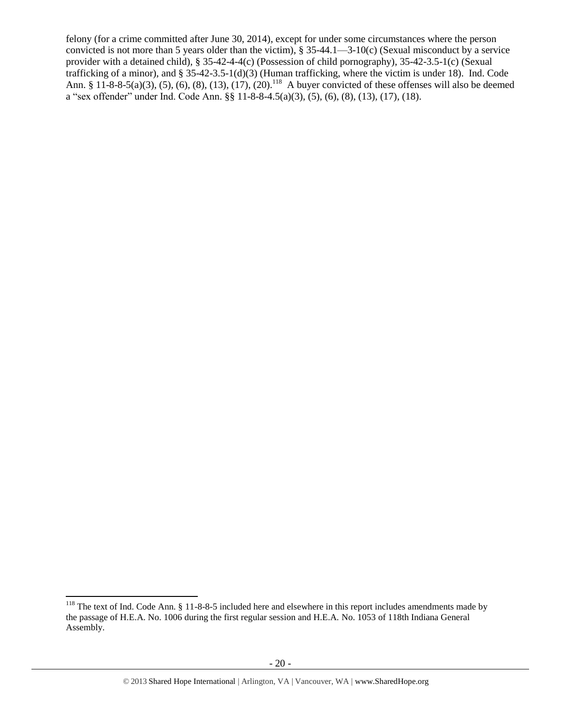<span id="page-19-0"></span>felony (for a crime committed after June 30, 2014), except for under some circumstances where the person convicted is not more than 5 years older than the victim), § 35-44.1—3-10(c) (Sexual misconduct by a service provider with a detained child), § 35-42-4-4(c) (Possession of child pornography), 35-42-3.5-1(c) (Sexual trafficking of a minor), and § 35-42-3.5-1(d)(3) (Human trafficking, where the victim is under 18). Ind. Code Ann. § 11-8-8-5(a)(3), (5), (6), (8), (13), (17), (20).<sup>118</sup> A buyer convicted of these offenses will also be deemed a "sex offender" under Ind. Code Ann. §§ 11-8-8-4.5(a)(3), (5), (6), (8), (13), (17), (18).

l  $118$  The text of Ind. Code Ann. § 11-8-8-5 included here and elsewhere in this report includes amendments made by the passage of H.E.A. No. 1006 during the first regular session and H.E.A. No. 1053 of 118th Indiana General Assembly.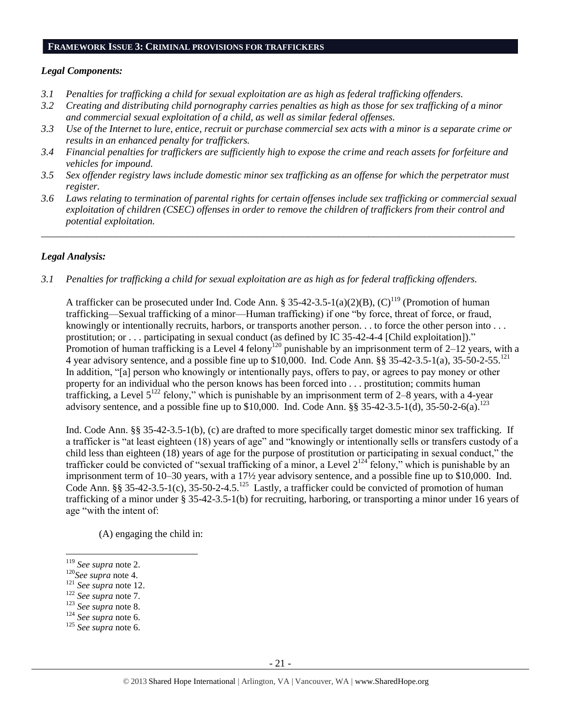#### **FRAMEWORK ISSUE 3: CRIMINAL PROVISIONS FOR TRAFFICKERS**

#### *Legal Components:*

- *3.1 Penalties for trafficking a child for sexual exploitation are as high as federal trafficking offenders.*
- *3.2 Creating and distributing child pornography carries penalties as high as those for sex trafficking of a minor and commercial sexual exploitation of a child, as well as similar federal offenses.*
- *3.3 Use of the Internet to lure, entice, recruit or purchase commercial sex acts with a minor is a separate crime or results in an enhanced penalty for traffickers.*
- *3.4 Financial penalties for traffickers are sufficiently high to expose the crime and reach assets for forfeiture and vehicles for impound.*
- *3.5 Sex offender registry laws include domestic minor sex trafficking as an offense for which the perpetrator must register.*
- *3.6 Laws relating to termination of parental rights for certain offenses include sex trafficking or commercial sexual exploitation of children (CSEC) offenses in order to remove the children of traffickers from their control and potential exploitation.*

*\_\_\_\_\_\_\_\_\_\_\_\_\_\_\_\_\_\_\_\_\_\_\_\_\_\_\_\_\_\_\_\_\_\_\_\_\_\_\_\_\_\_\_\_\_\_\_\_\_\_\_\_\_\_\_\_\_\_\_\_\_\_\_\_\_\_\_\_\_\_\_\_\_\_\_\_\_\_\_\_\_\_\_\_\_\_\_\_\_\_\_\_\_\_*

#### *Legal Analysis:*

*3.1 Penalties for trafficking a child for sexual exploitation are as high as for federal trafficking offenders.* 

A trafficker can be prosecuted under Ind. Code Ann. § 35-42-3.5-1(a)(2)(B),  $(C)^{119}$  (Promotion of human trafficking—Sexual trafficking of a minor—Human trafficking) if one "by force, threat of force, or fraud, knowingly or intentionally recruits, harbors, or transports another person. . . to force the other person into . . . prostitution; or . . . participating in sexual conduct (as defined by IC 35-42-4-4 [Child exploitation])." Promotion of human trafficking is a Level 4 felony<sup>120</sup> punishable by an imprisonment term of 2–12 years, with a 4 year advisory sentence, and a possible fine up to \$10,000. Ind. Code Ann. §§ 35-42-3.5-1(a), 35-50-2-55.<sup>121</sup> In addition, "[a] person who knowingly or intentionally pays, offers to pay, or agrees to pay money or other property for an individual who the person knows has been forced into . . . prostitution; commits human trafficking, a Level  $5^{122}$  felony," which is punishable by an imprisonment term of 2–8 years, with a 4-year advisory sentence, and a possible fine up to \$10,000. Ind. Code Ann.  $\S$ § 35-42-3.5-1(d), 35-50-2-6(a). <sup>123</sup>

Ind. Code Ann. §§ 35-42-3.5-1(b), (c) are drafted to more specifically target domestic minor sex trafficking. If a trafficker is "at least eighteen (18) years of age" and "knowingly or intentionally sells or transfers custody of a child less than eighteen (18) years of age for the purpose of prostitution or participating in sexual conduct," the trafficker could be convicted of "sexual trafficking of a minor, a Level  $2^{124}$  felony," which is punishable by an imprisonment term of 10–30 years, with a 17½ year advisory sentence, and a possible fine up to \$10,000. Ind. Code Ann. §§ 35-42-3.5-1(c), 35-50-2-4.5.<sup>125</sup> Lastly, a trafficker could be convicted of promotion of human trafficking of a minor under § 35-42-3.5-1(b) for recruiting, harboring, or transporting a minor under 16 years of age "with the intent of:

(A) engaging the child in:

l

- <sup>123</sup> *See supra* not[e 8.](#page-2-0)
- <sup>124</sup> *See supra* not[e 6.](#page-2-4)

<sup>119</sup> *See supra* not[e 2.](#page-0-0)

<sup>120</sup>*See supra* note [4.](#page-1-1)

<sup>121</sup> *See supra* not[e 12.](#page-3-1)

<sup>122</sup> *See supra* not[e 7.](#page-2-3)

<sup>125</sup> *See supra* not[e 6.](#page-2-5)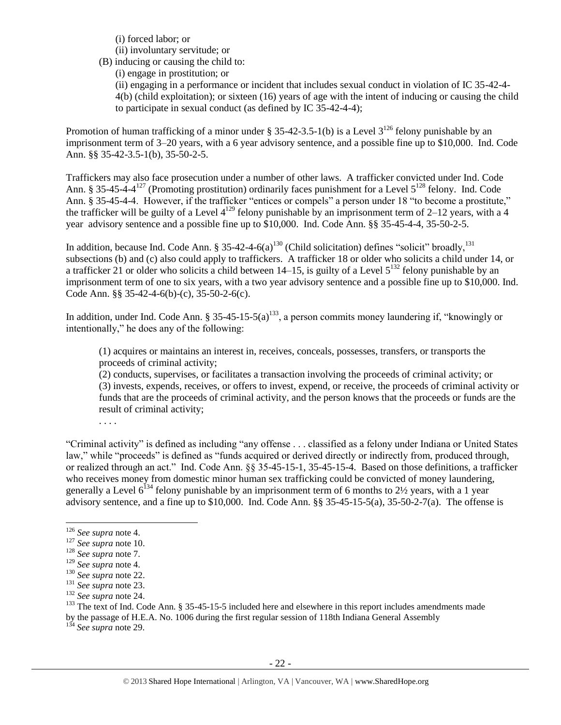(i) forced labor; or

(ii) involuntary servitude; or

(B) inducing or causing the child to:

(i) engage in prostitution; or

(ii) engaging in a performance or incident that includes sexual conduct in violation of IC 35-42-4- 4(b) (child exploitation); or sixteen (16) years of age with the intent of inducing or causing the child to participate in sexual conduct (as defined by IC 35-42-4-4);

Promotion of human trafficking of a minor under § 35-42-3.5-1(b) is a Level  $3^{126}$  felony punishable by an imprisonment term of 3–20 years, with a 6 year advisory sentence, and a possible fine up to \$10,000. Ind. Code Ann. §§ 35-42-3.5-1(b), 35-50-2-5.

Traffickers may also face prosecution under a number of other laws. A trafficker convicted under Ind. Code Ann. § 35-45-4-4<sup>127</sup> (Promoting prostitution) ordinarily faces punishment for a Level  $5^{128}$  felony. Ind. Code Ann. § 35-45-4-4. However, if the trafficker "entices or compels" a person under 18 "to become a prostitute," the trafficker will be guilty of a Level  $4^{129}$  felony punishable by an imprisonment term of 2–12 years, with a 4 year advisory sentence and a possible fine up to \$10,000. Ind. Code Ann. §§ 35-45-4-4, 35-50-2-5.

In addition, because Ind. Code Ann. § 35-42-4-6(a)<sup>130</sup> (Child solicitation) defines "solicit" broadly,<sup>131</sup> subsections (b) and (c) also could apply to traffickers. A trafficker 18 or older who solicits a child under 14, or a trafficker 21 or older who solicits a child between  $14-15$ , is guilty of a Level  $5^{132}$  felony punishable by an imprisonment term of one to six years, with a two year advisory sentence and a possible fine up to \$10,000. Ind. Code Ann. §§ 35-42-4-6(b)-(c), 35-50-2-6(c).

In addition, under Ind. Code Ann. § 35-45-15-5(a)<sup>133</sup>, a person commits money laundering if, "knowingly or intentionally," he does any of the following:

<span id="page-21-0"></span>(1) acquires or maintains an interest in, receives, conceals, possesses, transfers, or transports the proceeds of criminal activity;

(2) conducts, supervises, or facilitates a transaction involving the proceeds of criminal activity; or (3) invests, expends, receives, or offers to invest, expend, or receive, the proceeds of criminal activity or funds that are the proceeds of criminal activity, and the person knows that the proceeds or funds are the result of criminal activity;

. . . .

"Criminal activity" is defined as including "any offense . . . classified as a felony under Indiana or United States law," while "proceeds" is defined as "funds acquired or derived directly or indirectly from, produced through, or realized through an act." Ind. Code Ann. §§ 35-45-15-1, 35-45-15-4. Based on those definitions, a trafficker who receives money from domestic minor human sex trafficking could be convicted of money laundering, generally a Level  $6^{134}$  felony punishable by an imprisonment term of 6 months to 2½ years, with a 1 year advisory sentence, and a fine up to \$10,000. Ind. Code Ann. §§ 35-45-15-5(a), 35-50-2-7(a). The offense is

 $\overline{\phantom{a}}$ 

<sup>134</sup> *See supra* note [29.](#page-7-1)

<sup>126</sup> *See supra* not[e 4.](#page-1-1)

<sup>127</sup> *See supra* not[e 10.](#page-2-6)

<sup>128</sup> *See supra* not[e 7.](#page-2-3)

<sup>129</sup> *See supra* not[e 4.](#page-1-1)

<sup>130</sup> *See supra* not[e 22.](#page-5-0)

<sup>131</sup> *See supra* not[e 23.](#page-6-2)

<sup>132</sup> *See supra* not[e 24.](#page-6-1)

<sup>&</sup>lt;sup>133</sup> The text of Ind. Code Ann. § 35-45-15-5 included here and elsewhere in this report includes amendments made

by the passage of H.E.A. No. 1006 during the first regular session of 118th Indiana General Assembly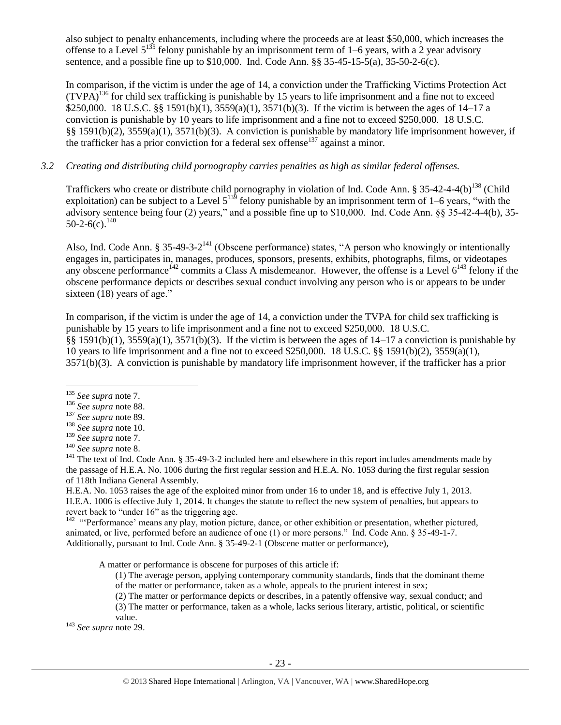also subject to penalty enhancements, including where the proceeds are at least \$50,000, which increases the offense to a Level  $5^{135}$  felony punishable by an imprisonment term of 1–6 years, with a 2 year advisory sentence, and a possible fine up to \$10,000. Ind. Code Ann. §§ 35-45-15-5(a), 35-50-2-6(c).

In comparison, if the victim is under the age of 14, a conviction under the Trafficking Victims Protection Act  $(TVPA)^{136}$  for child sex trafficking is punishable by 15 years to life imprisonment and a fine not to exceed \$250,000. 18 U.S.C. §§ 1591(b)(1), 3559(a)(1), 3571(b)(3). If the victim is between the ages of 14–17 a conviction is punishable by 10 years to life imprisonment and a fine not to exceed \$250,000. 18 U.S.C. §§ 1591(b)(2), 3559(a)(1), 3571(b)(3). A conviction is punishable by mandatory life imprisonment however, if the trafficker has a prior conviction for a federal sex offense<sup>137</sup> against a minor.

# *3.2 Creating and distributing child pornography carries penalties as high as similar federal offenses.*

Traffickers who create or distribute child pornography in violation of Ind. Code Ann. § 35-42-4-4(b)<sup>138</sup> (Child exploitation) can be subject to a Level  $5^{139}$  felony punishable by an imprisonment term of 1–6 years, "with the advisory sentence being four (2) years," and a possible fine up to \$10,000. Ind. Code Ann. §§ 35-42-4-4(b), 35-  $50-2-6(c).$ <sup>140</sup>

<span id="page-22-1"></span><span id="page-22-0"></span>Also, Ind. Code Ann. § 35-49-3-2<sup>141</sup> (Obscene performance) states, "A person who knowingly or intentionally engages in, participates in, manages, produces, sponsors, presents, exhibits, photographs, films, or videotapes any obscene performance<sup>142</sup> commits a Class A misdemeanor. However, the offense is a Level  $6^{143}$  felony if the obscene performance depicts or describes sexual conduct involving any person who is or appears to be under sixteen (18) years of age."

In comparison, if the victim is under the age of 14, a conviction under the TVPA for child sex trafficking is punishable by 15 years to life imprisonment and a fine not to exceed \$250,000. 18 U.S.C. §§ 1591(b)(1), 3559(a)(1), 3571(b)(3). If the victim is between the ages of  $14-17$  a conviction is punishable by 10 years to life imprisonment and a fine not to exceed \$250,000. 18 U.S.C. §§ 1591(b)(2), 3559(a)(1), 3571(b)(3). A conviction is punishable by mandatory life imprisonment however, if the trafficker has a prior

 $\overline{\phantom{a}}$ 

H.E.A. No. 1053 raises the age of the exploited minor from under 16 to under 18, and is effective July 1, 2013. H.E.A. 1006 is effective July 1, 2014. It changes the statute to reflect the new system of penalties, but appears to revert back to "under 16" as the triggering age.

<sup>142</sup> "Performance' means any play, motion picture, dance, or other exhibition or presentation, whether pictured, animated, or live, performed before an audience of one (1) or more persons." Ind. Code Ann. § 35-49-1-7. Additionally, pursuant to Ind. Code Ann. § 35-49-2-1 (Obscene matter or performance),

A matter or performance is obscene for purposes of this article if:

- (1) The average person, applying contemporary community standards, finds that the dominant theme of the matter or performance, taken as a whole, appeals to the prurient interest in sex;
- (2) The matter or performance depicts or describes, in a patently offensive way, sexual conduct; and

(3) The matter or performance, taken as a whole, lacks serious literary, artistic, political, or scientific value.

<sup>143</sup> *See supra* not[e 29.](#page-7-1)

<sup>135</sup> *See supra* note [7.](#page-2-3)

<sup>136</sup> *See supra* not[e 88.](#page-14-0)

<sup>137</sup> *See supra* not[e 89.](#page-14-1)

<sup>138</sup> *See supra* not[e 10.](#page-2-6)

<sup>139</sup> *See supra* not[e 7.](#page-2-3)

<sup>140</sup> *See supra* not[e 8.](#page-2-0)

<sup>&</sup>lt;sup>141</sup> The text of Ind. Code Ann. § 35-49-3-2 included here and elsewhere in this report includes amendments made by the passage of H.E.A. No. 1006 during the first regular session and H.E.A. No. 1053 during the first regular session of 118th Indiana General Assembly.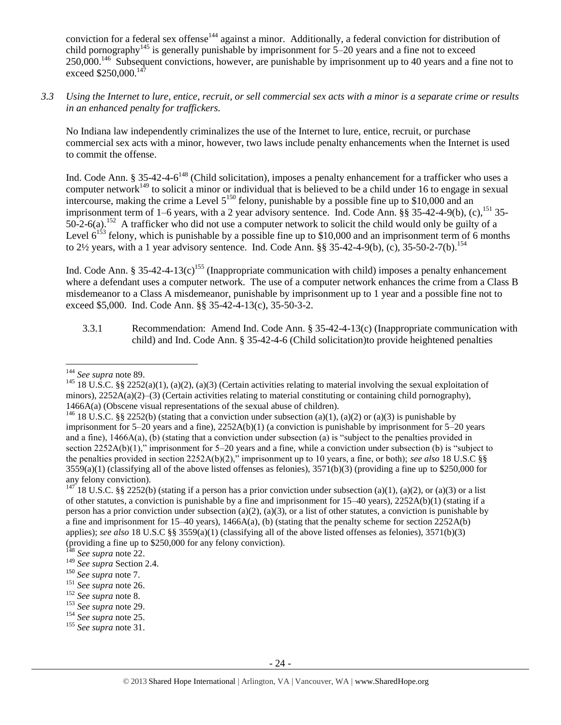conviction for a federal sex offense<sup>144</sup> against a minor. Additionally, a federal conviction for distribution of child pornography<sup>145</sup> is generally punishable by imprisonment for  $5-20$  years and a fine not to exceed 250,000.<sup>146</sup> Subsequent convictions, however, are punishable by imprisonment up to 40 years and a fine not to exceed \$250,000.<sup>147</sup>

*3.3 Using the Internet to lure, entice, recruit, or sell commercial sex acts with a minor is a separate crime or results in an enhanced penalty for traffickers.*

No Indiana law independently criminalizes the use of the Internet to lure, entice, recruit, or purchase commercial sex acts with a minor, however, two laws include penalty enhancements when the Internet is used to commit the offense.

Ind. Code Ann. § 35-42-4-6<sup>148</sup> (Child solicitation), imposes a penalty enhancement for a trafficker who uses a computer network<sup>149</sup> to solicit a minor or individual that is believed to be a child under 16 to engage in sexual intercourse, making the crime a Level  $5^{150}$  felony, punishable by a possible fine up to \$10,000 and an imprisonment term of 1–6 years, with a 2 year advisory sentence. Ind. Code Ann. §§ 35-42-4-9(b), (c),<sup>151</sup> 35- $50-2-6(a)$ .<sup>152</sup> A trafficker who did not use a computer network to solicit the child would only be guilty of a Level  $6^{153}$  felony, which is punishable by a possible fine up to \$10,000 and an imprisonment term of 6 months to 2½ years, with a 1 year advisory sentence. Ind. Code Ann. §§ 35-42-4-9(b), (c), 35-50-2-7(b). 154

Ind. Code Ann. § 35-42-4-13(c)<sup>155</sup> (Inappropriate communication with child) imposes a penalty enhancement where a defendant uses a computer network. The use of a computer network enhances the crime from a Class B misdemeanor to a Class A misdemeanor, punishable by imprisonment up to 1 year and a possible fine not to exceed \$5,000. Ind. Code Ann. §§ 35-42-4-13(c), 35-50-3-2.

3.3.1 Recommendation: Amend Ind. Code Ann. § 35-42-4-13(c) (Inappropriate communication with child) and Ind. Code Ann. § 35-42-4-6 (Child solicitation)to provide heightened penalties

 $\overline{\phantom{a}}$ <sup>144</sup> *See supra* not[e 89.](#page-14-1)

<sup>&</sup>lt;sup>145</sup> 18 U.S.C. §§ 2252(a)(1), (a)(2), (a)(3) (Certain activities relating to material involving the sexual exploitation of minors), 2252A(a)(2)–(3) (Certain activities relating to material constituting or containing child pornography), 1466A(a) (Obscene visual representations of the sexual abuse of children).

<sup>&</sup>lt;sup>146</sup> 18 U.S.C. §§ 2252(b) (stating that a conviction under subsection (a)(1), (a)(2) or (a)(3) is punishable by imprisonment for 5–20 years and a fine), 2252A(b)(1) (a conviction is punishable by imprisonment for 5–20 years and a fine),  $1466A(a)$ , (b) (stating that a conviction under subsection (a) is "subject to the penalties provided in section 2252A(b)(1)," imprisonment for 5–20 years and a fine, while a conviction under subsection (b) is "subject to the penalties provided in section 2252A(b)(2)," imprisonment up to 10 years, a fine, or both); *see also* 18 U.S.C §§  $3559(a)(1)$  (classifying all of the above listed offenses as felonies),  $3571(b)(3)$  (providing a fine up to \$250,000 for any felony conviction).

<sup>&</sup>lt;sup>147</sup> 18 U.S.C. §§ 2252(b) (stating if a person has a prior conviction under subsection (a)(1), (a)(2), or (a)(3) or a list of other statutes, a conviction is punishable by a fine and imprisonment for  $15-40$  years),  $2252A(b)(1)$  (stating if a person has a prior conviction under subsection (a)(2), (a)(3), or a list of other statutes, a conviction is punishable by a fine and imprisonment for 15–40 years), 1466A(a), (b) (stating that the penalty scheme for section 2252A(b) applies); *see also* 18 U.S.C §§ 3559(a)(1) (classifying all of the above listed offenses as felonies), 3571(b)(3) (providing a fine up to \$250,000 for any felony conviction).

See supra not[e 22.](#page-5-0)

<sup>149</sup> *See supra* Section 2.4.

<sup>150</sup> *See supra* note [7.](#page-2-3)

<sup>151</sup> *See supra* not[e 26.](#page-6-4)

<sup>152</sup> *See supra* not[e 8.](#page-2-0)

<sup>153</sup> *See supra* not[e 29.](#page-7-1)

<sup>154</sup> *See supra* not[e 25.](#page-6-0)

<sup>155</sup> *See supra* not[e 31.](#page-7-0)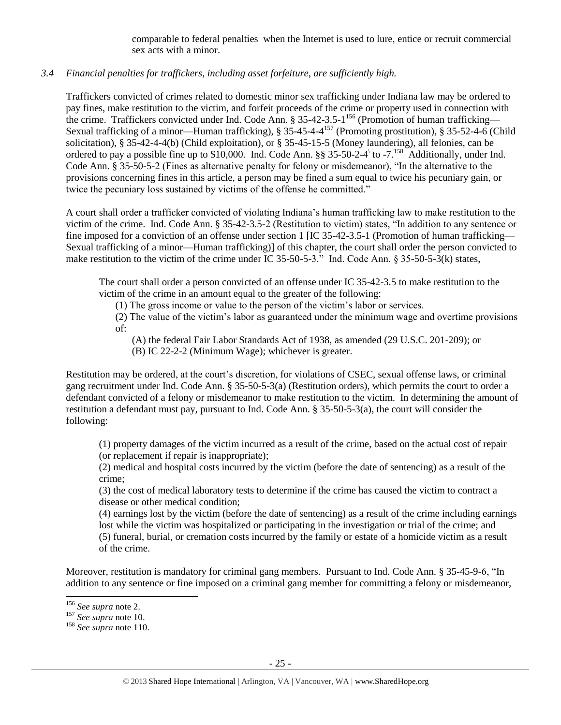comparable to federal penalties when the Internet is used to lure, entice or recruit commercial sex acts with a minor.

# *3.4 Financial penalties for traffickers, including asset forfeiture, are sufficiently high.*

Traffickers convicted of crimes related to domestic minor sex trafficking under Indiana law may be ordered to pay fines, make restitution to the victim, and forfeit proceeds of the crime or property used in connection with the crime. Traffickers convicted under Ind. Code Ann. § 35-42-3.5-1<sup>156</sup> (Promotion of human trafficking— Sexual trafficking of a minor—Human trafficking), § 35-45-4-4<sup>157</sup> (Promoting prostitution), § 35-52-4-6 (Child solicitation), § 35-42-4-4(b) (Child exploitation), or § 35-45-15-5 (Money laundering), all felonies, can be ordered to pay a possible fine up to \$10,000. Ind. Code Ann. §§ 35-50-2-4 to -7.<sup>158</sup> Additionally, under Ind. Code Ann. § 35-50-5-2 (Fines as alternative penalty for felony or misdemeanor), "In the alternative to the provisions concerning fines in this article, a person may be fined a sum equal to twice his pecuniary gain, or twice the pecuniary loss sustained by victims of the offense he committed."

A court shall order a trafficker convicted of violating Indiana's human trafficking law to make restitution to the victim of the crime. Ind. Code Ann. § 35-42-3.5-2 (Restitution to victim) states, "In addition to any sentence or fine imposed for a conviction of an offense under section 1 [IC 35-42-3.5-1 (Promotion of human trafficking— Sexual trafficking of a minor—Human trafficking)] of this chapter, the court shall order the person convicted to make restitution to the victim of the crime under IC 35-50-5-3." Ind. Code Ann. § 35-50-5-3(k) states,

The court shall order a person convicted of an offense under IC 35-42-3.5 to make restitution to the victim of the crime in an amount equal to the greater of the following:

(1) The gross income or value to the person of the victim's labor or services.

(2) The value of the victim's labor as guaranteed under the minimum wage and overtime provisions of:

(A) the federal Fair Labor Standards Act of 1938, as amended (29 U.S.C. 201-209); or

(B) IC 22-2-2 (Minimum Wage); whichever is greater.

Restitution may be ordered, at the court's discretion, for violations of CSEC, sexual offense laws, or criminal gang recruitment under Ind. Code Ann. § 35-50-5-3(a) (Restitution orders), which permits the court to order a defendant convicted of a felony or misdemeanor to make restitution to the victim. In determining the amount of restitution a defendant must pay, pursuant to Ind. Code Ann. § 35-50-5-3(a), the court will consider the following:

(1) property damages of the victim incurred as a result of the crime, based on the actual cost of repair (or replacement if repair is inappropriate);

(2) medical and hospital costs incurred by the victim (before the date of sentencing) as a result of the crime;

(3) the cost of medical laboratory tests to determine if the crime has caused the victim to contract a disease or other medical condition;

(4) earnings lost by the victim (before the date of sentencing) as a result of the crime including earnings lost while the victim was hospitalized or participating in the investigation or trial of the crime; and (5) funeral, burial, or cremation costs incurred by the family or estate of a homicide victim as a result of the crime.

Moreover, restitution is mandatory for criminal gang members. Pursuant to Ind. Code Ann. § 35-45-9-6, "In addition to any sentence or fine imposed on a criminal gang member for committing a felony or misdemeanor,

l <sup>156</sup> *See supra* not[e 2.](#page-0-0)

<sup>157</sup> *See supra* not[e 10.](#page-2-6)

<sup>158</sup> *See supra* not[e 110.](#page-17-0)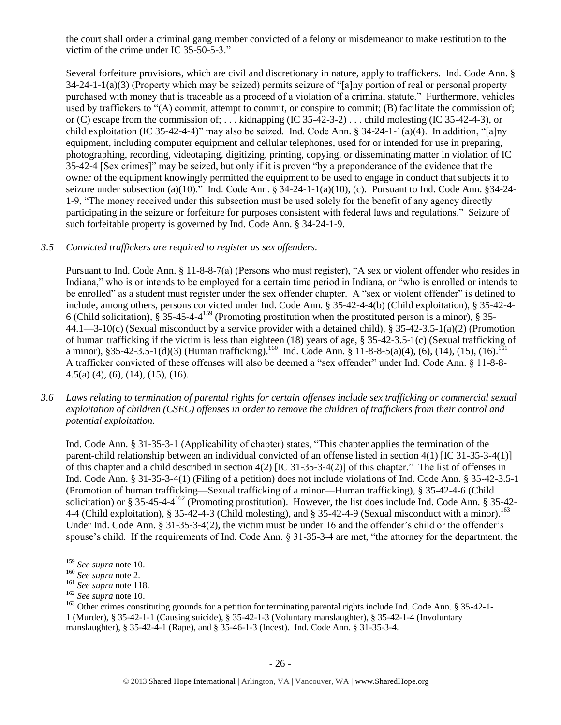the court shall order a criminal gang member convicted of a felony or misdemeanor to make restitution to the victim of the crime under IC 35-50-5-3."

Several forfeiture provisions, which are civil and discretionary in nature, apply to traffickers. Ind. Code Ann. § 34-24-1-1(a)(3) (Property which may be seized) permits seizure of "[a]ny portion of real or personal property purchased with money that is traceable as a proceed of a violation of a criminal statute." Furthermore, vehicles used by traffickers to "(A) commit, attempt to commit, or conspire to commit; (B) facilitate the commission of; or (C) escape from the commission of; ... kidnapping (IC 35-42-3-2) ... child molesting (IC 35-42-4-3), or child exploitation (IC 35-42-4-4)" may also be seized. Ind. Code Ann. § 34-24-1-1(a)(4). In addition, "[a]ny equipment, including computer equipment and cellular telephones, used for or intended for use in preparing, photographing, recording, videotaping, digitizing, printing, copying, or disseminating matter in violation of IC 35-42-4 [Sex crimes]" may be seized, but only if it is proven "by a preponderance of the evidence that the owner of the equipment knowingly permitted the equipment to be used to engage in conduct that subjects it to seizure under subsection (a)(10)." Ind. Code Ann. § 34-24-1-1(a)(10), (c). Pursuant to Ind. Code Ann. §34-24- 1-9, "The money received under this subsection must be used solely for the benefit of any agency directly participating in the seizure or forfeiture for purposes consistent with federal laws and regulations." Seizure of such forfeitable property is governed by Ind. Code Ann. § 34-24-1-9.

# *3.5 Convicted traffickers are required to register as sex offenders.*

Pursuant to Ind. Code Ann. § 11-8-8-7(a) (Persons who must register), "A sex or violent offender who resides in Indiana," who is or intends to be employed for a certain time period in Indiana, or "who is enrolled or intends to be enrolled" as a student must register under the sex offender chapter. A "sex or violent offender" is defined to include, among others, persons convicted under Ind. Code Ann. § 35-42-4-4(b) (Child exploitation), § 35-42-4- 6 (Child solicitation),  $\S 35-45-4-4^{159}$  (Promoting prostitution when the prostituted person is a minor),  $\S 35-$ 44.1—3-10(c) (Sexual misconduct by a service provider with a detained child), § 35-42-3.5-1(a)(2) (Promotion of human trafficking if the victim is less than eighteen (18) years of age, § 35-42-3.5-1(c) (Sexual trafficking of a minor), §35-42-3.5-1(d)(3) (Human trafficking).<sup>160</sup> Ind. Code Ann. § 11-8-8-5(a)(4), (6), (14), (15), (16).<sup>161</sup> A trafficker convicted of these offenses will also be deemed a "sex offender" under Ind. Code Ann. § 11-8-8- 4.5(a) (4), (6), (14), (15), (16).

*3.6 Laws relating to termination of parental rights for certain offenses include sex trafficking or commercial sexual exploitation of children (CSEC) offenses in order to remove the children of traffickers from their control and potential exploitation.* 

Ind. Code Ann. § 31-35-3-1 (Applicability of chapter) states, "This chapter applies the termination of the parent-child relationship between an individual convicted of an offense listed in section 4(1) [IC 31-35-3-4(1)] of this chapter and a child described in section  $4(2)$  [IC 31-35-3-4(2)] of this chapter." The list of offenses in Ind. Code Ann. § 31-35-3-4(1) (Filing of a petition) does not include violations of Ind. Code Ann. § 35-42-3.5-1 (Promotion of human trafficking—Sexual trafficking of a minor—Human trafficking), § 35-42-4-6 (Child solicitation) or § 35-45-4-4<sup>162</sup> (Promoting prostitution). However, the list does include Ind. Code Ann. § 35-42-4-4 (Child exploitation), § 35-42-4-3 (Child molesting), and § 35-42-4-9 (Sexual misconduct with a minor).<sup>163</sup> Under Ind. Code Ann. § 31-35-3-4(2), the victim must be under 16 and the offender's child or the offender's spouse's child. If the requirements of Ind. Code Ann. § 31-35-3-4 are met, "the attorney for the department, the

l

<sup>159</sup> *See supra* not[e 10.](#page-2-6)

<sup>160</sup> *See supra* not[e 2.](#page-0-0)

<sup>161</sup> *See supra* not[e 118.](#page-19-0)

<sup>162</sup> *See supra* not[e 10.](#page-2-6)

<sup>&</sup>lt;sup>163</sup> Other crimes constituting grounds for a petition for terminating parental rights include Ind. Code Ann. § 35-42-1-1 (Murder), § 35-42-1-1 (Causing suicide), § 35-42-1-3 (Voluntary manslaughter), § 35-42-1-4 (Involuntary manslaughter), § 35-42-4-1 (Rape), and § 35-46-1-3 (Incest). Ind. Code Ann. § 31-35-3-4.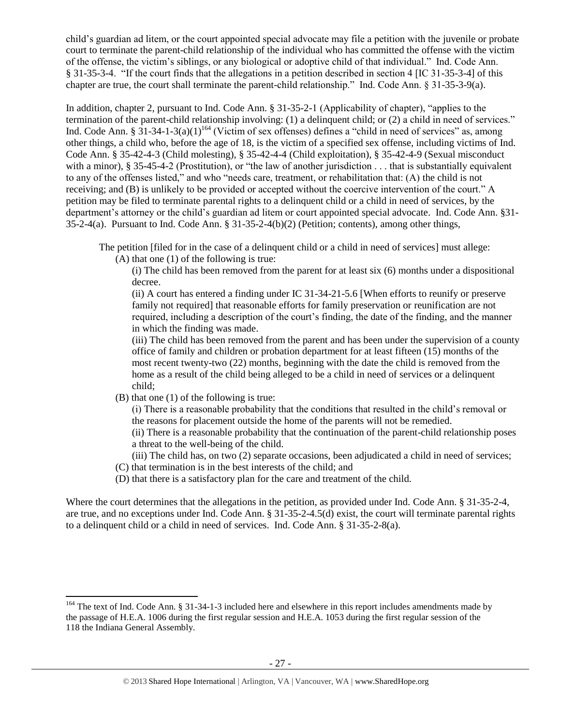child's guardian ad litem, or the court appointed special advocate may file a petition with the juvenile or probate court to terminate the parent-child relationship of the individual who has committed the offense with the victim of the offense, the victim's siblings, or any biological or adoptive child of that individual." Ind. Code Ann. § 31-35-3-4. "If the court finds that the allegations in a petition described in section 4 [IC 31-35-3-4] of this chapter are true, the court shall terminate the parent-child relationship." Ind. Code Ann. § 31-35-3-9(a).

<span id="page-26-0"></span>In addition, chapter 2, pursuant to Ind. Code Ann. § 31-35-2-1 (Applicability of chapter), "applies to the termination of the parent-child relationship involving: (1) a delinquent child; or (2) a child in need of services." Ind. Code Ann. §  $31-34-1-3(a)(1)^{164}$  (Victim of sex offenses) defines a "child in need of services" as, among other things, a child who, before the age of 18, is the victim of a specified sex offense, including victims of Ind. Code Ann. § 35-42-4-3 (Child molesting), § 35-42-4-4 (Child exploitation), § 35-42-4-9 (Sexual misconduct with a minor), § 35-45-4-2 (Prostitution), or "the law of another jurisdiction . . . that is substantially equivalent to any of the offenses listed," and who "needs care, treatment, or rehabilitation that: (A) the child is not receiving; and (B) is unlikely to be provided or accepted without the coercive intervention of the court." A petition may be filed to terminate parental rights to a delinquent child or a child in need of services, by the department's attorney or the child's guardian ad litem or court appointed special advocate. Ind. Code Ann. §31- 35-2-4(a). Pursuant to Ind. Code Ann. § 31-35-2-4(b)(2) (Petition; contents), among other things,

The petition [filed for in the case of a delinquent child or a child in need of services] must allege: (A) that one (1) of the following is true:

(i) The child has been removed from the parent for at least six (6) months under a dispositional decree.

(ii) A court has entered a finding under IC 31-34-21-5.6 [When efforts to reunify or preserve family not required] that reasonable efforts for family preservation or reunification are not required, including a description of the court's finding, the date of the finding, and the manner in which the finding was made.

(iii) The child has been removed from the parent and has been under the supervision of a county office of family and children or probation department for at least fifteen (15) months of the most recent twenty-two (22) months, beginning with the date the child is removed from the home as a result of the child being alleged to be a child in need of services or a delinquent child;

(B) that one (1) of the following is true:

(i) There is a reasonable probability that the conditions that resulted in the child's removal or the reasons for placement outside the home of the parents will not be remedied.

(ii) There is a reasonable probability that the continuation of the parent-child relationship poses a threat to the well-being of the child.

(iii) The child has, on two (2) separate occasions, been adjudicated a child in need of services; (C) that termination is in the best interests of the child; and

(D) that there is a satisfactory plan for the care and treatment of the child.

Where the court determines that the allegations in the petition, as provided under Ind. Code Ann. § 31-35-2-4, are true, and no exceptions under Ind. Code Ann. § 31-35-2-4.5(d) exist, the court will terminate parental rights to a delinquent child or a child in need of services. Ind. Code Ann. § 31-35-2-8(a).

l <sup>164</sup> The text of Ind. Code Ann. § 31-34-1-3 included here and elsewhere in this report includes amendments made by the passage of H.E.A. 1006 during the first regular session and H.E.A. 1053 during the first regular session of the 118 the Indiana General Assembly.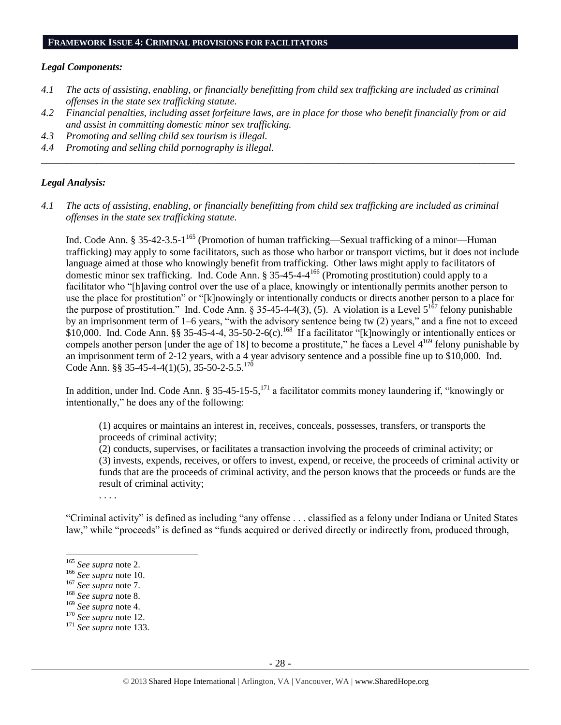#### **FRAMEWORK ISSUE 4: CRIMINAL PROVISIONS FOR FACILITATORS**

#### *Legal Components:*

- *4.1 The acts of assisting, enabling, or financially benefitting from child sex trafficking are included as criminal offenses in the state sex trafficking statute.*
- *4.2 Financial penalties, including asset forfeiture laws, are in place for those who benefit financially from or aid and assist in committing domestic minor sex trafficking.*

*\_\_\_\_\_\_\_\_\_\_\_\_\_\_\_\_\_\_\_\_\_\_\_\_\_\_\_\_\_\_\_\_\_\_\_\_\_\_\_\_\_\_\_\_\_\_\_\_\_\_\_\_\_\_\_\_\_\_\_\_\_\_\_\_\_\_\_\_\_\_\_\_\_\_\_\_\_\_\_\_\_\_\_\_\_\_\_\_\_\_\_\_\_\_*

- *4.3 Promoting and selling child sex tourism is illegal.*
- *4.4 Promoting and selling child pornography is illegal.*

#### *Legal Analysis:*

*4.1 The acts of assisting, enabling, or financially benefitting from child sex trafficking are included as criminal offenses in the state sex trafficking statute.*

Ind. Code Ann. § 35-42-3.5-1<sup>165</sup> (Promotion of human trafficking—Sexual trafficking of a minor—Human trafficking) may apply to some facilitators, such as those who harbor or transport victims, but it does not include language aimed at those who knowingly benefit from trafficking. Other laws might apply to facilitators of domestic minor sex trafficking. Ind. Code Ann. § 35-45-4-4 <sup>166</sup> (Promoting prostitution) could apply to a facilitator who "[h]aving control over the use of a place, knowingly or intentionally permits another person to use the place for prostitution" or "[k]nowingly or intentionally conducts or directs another person to a place for the purpose of prostitution." Ind. Code Ann. § 35-45-4-4(3), (5). A violation is a Level  $5^{167}$  felony punishable by an imprisonment term of 1–6 years, "with the advisory sentence being tw (2) years," and a fine not to exceed  $$10,000$ . Ind. Code Ann. §§ 35-45-4-4, 35-50-2-6(c).<sup>168</sup> If a facilitator "[k]nowingly or intentionally entices or compels another person [under the age of 18] to become a prostitute," he faces a Level  $4^{169}$  felony punishable by an imprisonment term of 2-12 years, with a 4 year advisory sentence and a possible fine up to \$10,000. Ind. Code Ann. §§ 35-45-4-4(1)(5), 35-50-2-5.5.<sup>170</sup>

In addition, under Ind. Code Ann. § 35-45-15-5,<sup>171</sup> a facilitator commits money laundering if, "knowingly or intentionally," he does any of the following:

(1) acquires or maintains an interest in, receives, conceals, possesses, transfers, or transports the proceeds of criminal activity;

(2) conducts, supervises, or facilitates a transaction involving the proceeds of criminal activity; or (3) invests, expends, receives, or offers to invest, expend, or receive, the proceeds of criminal activity or funds that are the proceeds of criminal activity, and the person knows that the proceeds or funds are the result of criminal activity;

"Criminal activity" is defined as including "any offense . . . classified as a felony under Indiana or United States law," while "proceeds" is defined as "funds acquired or derived directly or indirectly from, produced through,

l

. . . .

<sup>170</sup> *See supra* not[e 12.](#page-3-1)

<sup>165</sup> *See supra* not[e 2.](#page-0-0)

<sup>166</sup> *See supra* not[e 10.](#page-2-6)

<sup>167</sup> *See supra* not[e 7.](#page-2-3)

<sup>168</sup> *See supra* not[e 8.](#page-2-0)

<sup>169</sup> *See supra* not[e 4.](#page-1-1)

<sup>171</sup> *See supra* not[e 133.](#page-21-0)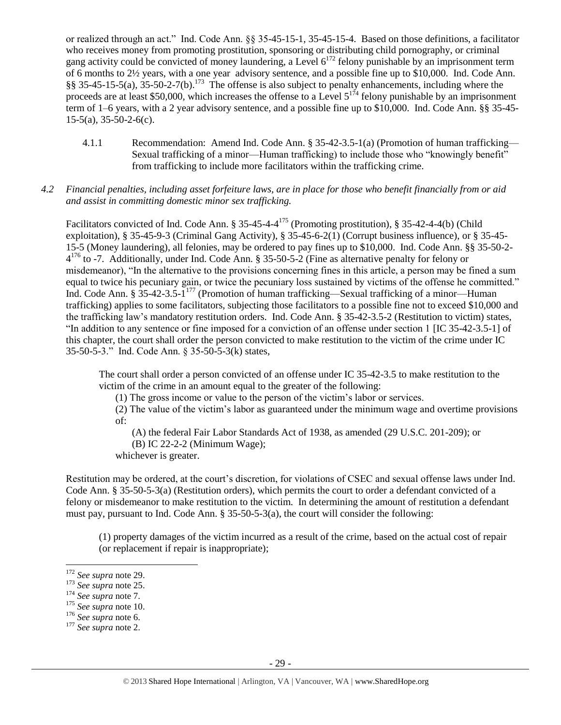or realized through an act." Ind. Code Ann. §§ 35-45-15-1, 35-45-15-4. Based on those definitions, a facilitator who receives money from promoting prostitution, sponsoring or distributing child pornography, or criminal gang activity could be convicted of money laundering, a Level  $6^{172}$  felony punishable by an imprisonment term of 6 months to 2½ years, with a one year advisory sentence, and a possible fine up to \$10,000. Ind. Code Ann.  $\S$ § 35-45-15-5(a), 35-50-2-7(b).<sup>173</sup> The offense is also subject to penalty enhancements, including where the proceeds are at least \$50,000, which increases the offense to a Level  $5^{174}$  felony punishable by an imprisonment term of 1–6 years, with a 2 year advisory sentence, and a possible fine up to \$10,000. Ind. Code Ann. §§ 35-45- 15-5(a), 35-50-2-6(c).

4.1.1 Recommendation: Amend Ind. Code Ann. § 35-42-3.5-1(a) (Promotion of human trafficking— Sexual trafficking of a minor—Human trafficking) to include those who "knowingly benefit" from trafficking to include more facilitators within the trafficking crime.

#### *4.2 Financial penalties, including asset forfeiture laws, are in place for those who benefit financially from or aid and assist in committing domestic minor sex trafficking.*

Facilitators convicted of Ind. Code Ann. § 35-45-4-4<sup>175</sup> (Promoting prostitution), § 35-42-4-4(b) (Child exploitation), § 35-45-9-3 (Criminal Gang Activity), § 35-45-6-2(1) (Corrupt business influence), or § 35-45- 15-5 (Money laundering), all felonies, may be ordered to pay fines up to \$10,000. Ind. Code Ann. §§ 35-50-2- 4<sup>176</sup> to -7. Additionally, under Ind. Code Ann. § 35-50-5-2 (Fine as alternative penalty for felony or misdemeanor), "In the alternative to the provisions concerning fines in this article, a person may be fined a sum equal to twice his pecuniary gain, or twice the pecuniary loss sustained by victims of the offense he committed." Ind. Code Ann. § 35-42-3.5-1<sup>177</sup> (Promotion of human trafficking—Sexual trafficking of a minor—Human trafficking) applies to some facilitators, subjecting those facilitators to a possible fine not to exceed \$10,000 and the trafficking law's mandatory restitution orders. Ind. Code Ann. § 35-42-3.5-2 (Restitution to victim) states, "In addition to any sentence or fine imposed for a conviction of an offense under section 1 [IC 35-42-3.5-1] of this chapter, the court shall order the person convicted to make restitution to the victim of the crime under IC 35-50-5-3." Ind. Code Ann. § 35-50-5-3(k) states,

The court shall order a person convicted of an offense under IC 35-42-3.5 to make restitution to the victim of the crime in an amount equal to the greater of the following:

(1) The gross income or value to the person of the victim's labor or services.

(2) The value of the victim's labor as guaranteed under the minimum wage and overtime provisions of:

(A) the federal Fair Labor Standards Act of 1938, as amended (29 U.S.C. 201-209); or

(B) IC 22-2-2 (Minimum Wage);

whichever is greater.

Restitution may be ordered, at the court's discretion, for violations of CSEC and sexual offense laws under Ind. Code Ann. § 35-50-5-3(a) (Restitution orders), which permits the court to order a defendant convicted of a felony or misdemeanor to make restitution to the victim. In determining the amount of restitution a defendant must pay, pursuant to Ind. Code Ann. § 35-50-5-3(a), the court will consider the following:

(1) property damages of the victim incurred as a result of the crime, based on the actual cost of repair (or replacement if repair is inappropriate);

 $\overline{a}$ 

<sup>172</sup> *See supra* not[e 29.](#page-7-1)

<sup>173</sup> *See supra* not[e 25.](#page-6-3)

<sup>174</sup> *See supra* not[e 7.](#page-2-3)

<sup>175</sup> *See supra* not[e 10.](#page-2-6)

<sup>176</sup> *See supra* not[e 6.](#page-2-5)

<sup>177</sup> *See supra* not[e 2.](#page-0-0)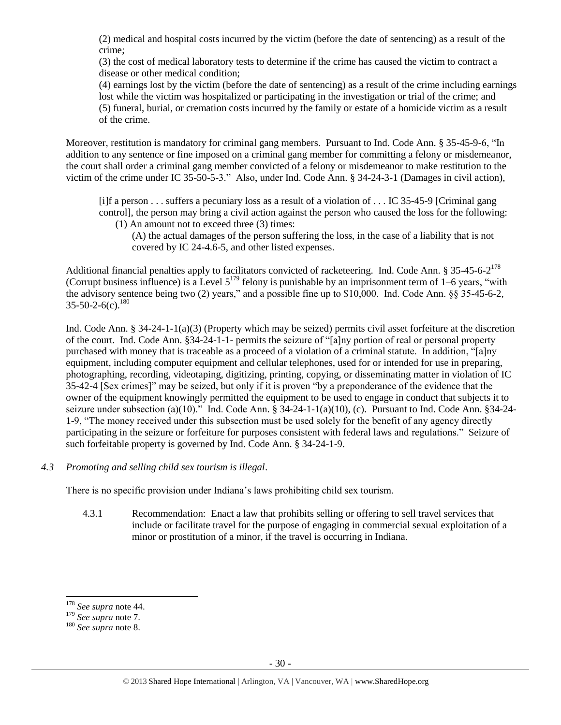(2) medical and hospital costs incurred by the victim (before the date of sentencing) as a result of the crime;

(3) the cost of medical laboratory tests to determine if the crime has caused the victim to contract a disease or other medical condition;

(4) earnings lost by the victim (before the date of sentencing) as a result of the crime including earnings lost while the victim was hospitalized or participating in the investigation or trial of the crime; and (5) funeral, burial, or cremation costs incurred by the family or estate of a homicide victim as a result of the crime.

Moreover, restitution is mandatory for criminal gang members. Pursuant to Ind. Code Ann. § 35-45-9-6, "In addition to any sentence or fine imposed on a criminal gang member for committing a felony or misdemeanor, the court shall order a criminal gang member convicted of a felony or misdemeanor to make restitution to the victim of the crime under IC 35-50-5-3." Also, under Ind. Code Ann. § 34-24-3-1 (Damages in civil action),

[i]f a person . . . suffers a pecuniary loss as a result of a violation of . . . IC 35-45-9 [Criminal gang control], the person may bring a civil action against the person who caused the loss for the following:

(1) An amount not to exceed three (3) times:

(A) the actual damages of the person suffering the loss, in the case of a liability that is not covered by IC 24-4.6-5, and other listed expenses.

Additional financial penalties apply to facilitators convicted of racketeering. Ind. Code Ann. § 35-45-6-2<sup>178</sup> (Corrupt business influence) is a Level  $5^{179}$  felony is punishable by an imprisonment term of 1–6 years, "with the advisory sentence being two (2) years," and a possible fine up to \$10,000. Ind. Code Ann. §§ 35-45-6-2,  $35 - 50 - 2 - 6(c).$ <sup>180</sup>

Ind. Code Ann. § 34-24-1-1(a)(3) (Property which may be seized) permits civil asset forfeiture at the discretion of the court. Ind. Code Ann. §34-24-1-1- permits the seizure of "[a]ny portion of real or personal property purchased with money that is traceable as a proceed of a violation of a criminal statute. In addition, "[a]ny equipment, including computer equipment and cellular telephones, used for or intended for use in preparing, photographing, recording, videotaping, digitizing, printing, copying, or disseminating matter in violation of IC 35-42-4 [Sex crimes]" may be seized, but only if it is proven "by a preponderance of the evidence that the owner of the equipment knowingly permitted the equipment to be used to engage in conduct that subjects it to seizure under subsection (a)(10)." Ind. Code Ann. § 34-24-1-1(a)(10), (c). Pursuant to Ind. Code Ann. §34-24- 1-9, "The money received under this subsection must be used solely for the benefit of any agency directly participating in the seizure or forfeiture for purposes consistent with federal laws and regulations." Seizure of such forfeitable property is governed by Ind. Code Ann. § 34-24-1-9.

*4.3 Promoting and selling child sex tourism is illegal*.

There is no specific provision under Indiana's laws prohibiting child sex tourism.

4.3.1 Recommendation: Enact a law that prohibits selling or offering to sell travel services that include or facilitate travel for the purpose of engaging in commercial sexual exploitation of a minor or prostitution of a minor, if the travel is occurring in Indiana.

l

<sup>178</sup> *See supra* not[e 44.](#page-9-1)

<sup>179</sup> *See supra* not[e 7.](#page-2-3)

<sup>180</sup> *See supra* not[e 8.](#page-2-0)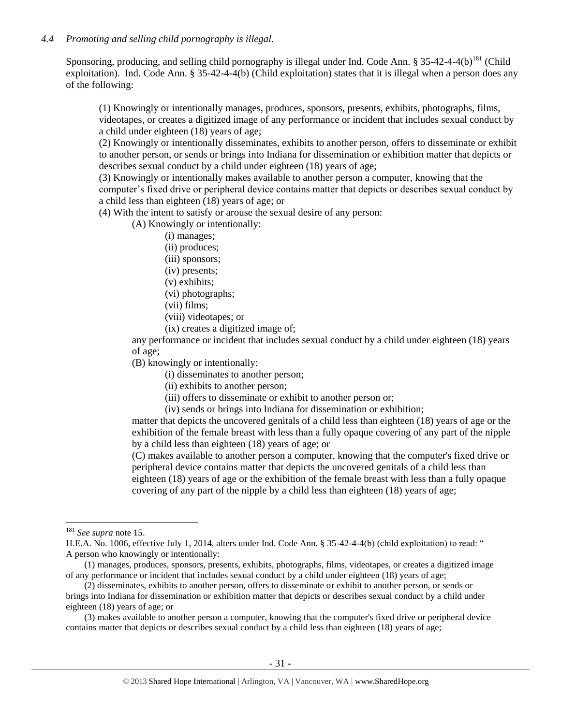## *4.4 Promoting and selling child pornography is illegal.*

Sponsoring, producing, and selling child pornography is illegal under Ind. Code Ann. § 35-42-4-4(b)<sup>181</sup> (Child exploitation). Ind. Code Ann. § 35-42-4-4(b) (Child exploitation) states that it is illegal when a person does any of the following:

(1) Knowingly or intentionally manages, produces, sponsors, presents, exhibits, photographs, films, videotapes, or creates a digitized image of any performance or incident that includes sexual conduct by a child under eighteen (18) years of age;

(2) Knowingly or intentionally disseminates, exhibits to another person, offers to disseminate or exhibit to another person, or sends or brings into Indiana for dissemination or exhibition matter that depicts or describes sexual conduct by a child under eighteen (18) years of age;

(3) Knowingly or intentionally makes available to another person a computer, knowing that the computer's fixed drive or peripheral device contains matter that depicts or describes sexual conduct by a child less than eighteen (18) years of age; or

(4) With the intent to satisfy or arouse the sexual desire of any person:

(A) Knowingly or intentionally:

- (i) manages;
- (ii) produces;
- (iii) sponsors;
- (iv) presents;
- (v) exhibits;
- (vi) photographs;
- (vii) films;
- (viii) videotapes; or
- (ix) creates a digitized image of;

any performance or incident that includes sexual conduct by a child under eighteen (18) years of age;

(B) knowingly or intentionally:

(i) disseminates to another person;

- (ii) exhibits to another person;
- (iii) offers to disseminate or exhibit to another person or;

(iv) sends or brings into Indiana for dissemination or exhibition;

matter that depicts the uncovered genitals of a child less than eighteen (18) years of age or the exhibition of the female breast with less than a fully opaque covering of any part of the nipple by a child less than eighteen (18) years of age; or

(C) makes available to another person a computer, knowing that the computer's fixed drive or peripheral device contains matter that depicts the uncovered genitals of a child less than eighteen (18) years of age or the exhibition of the female breast with less than a fully opaque covering of any part of the nipple by a child less than eighteen (18) years of age;

 $\overline{\phantom{a}}$ 

<sup>181</sup> *See supra* not[e 15.](#page-3-2)

H.E.A. No. 1006, effective July 1, 2014, alters under Ind. Code Ann. § 35-42-4-4(b) (child exploitation) to read: " A person who knowingly or intentionally:

 <sup>(1)</sup> manages, produces, sponsors, presents, exhibits, photographs, films, videotapes, or creates a digitized image of any performance or incident that includes sexual conduct by a child under eighteen (18) years of age;

 <sup>(2)</sup> disseminates, exhibits to another person, offers to disseminate or exhibit to another person, or sends or brings into Indiana for dissemination or exhibition matter that depicts or describes sexual conduct by a child under eighteen (18) years of age; or

 <sup>(3)</sup> makes available to another person a computer, knowing that the computer's fixed drive or peripheral device contains matter that depicts or describes sexual conduct by a child less than eighteen (18) years of age;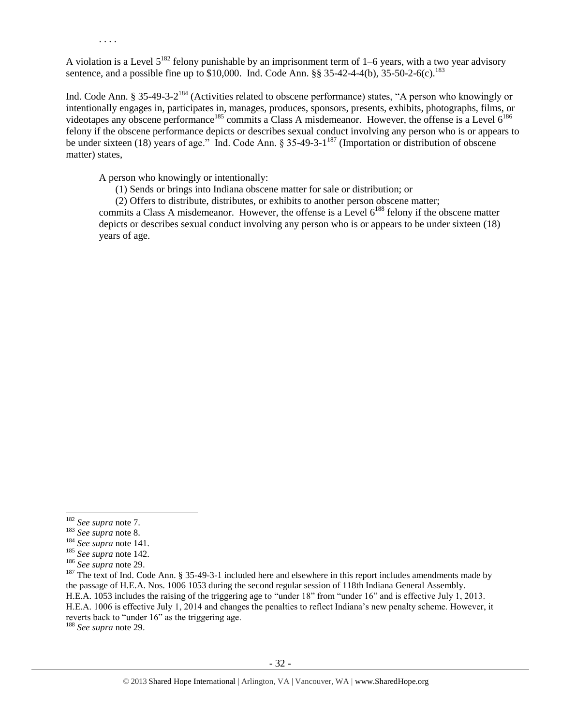. . . .

A violation is a Level  $5^{182}$  felony punishable by an imprisonment term of 1–6 years, with a two year advisory sentence, and a possible fine up to \$10,000. Ind. Code Ann. §§ 35-42-4-4(b), 35-50-2-6(c).<sup>183</sup>

Ind. Code Ann. § 35-49-3-2<sup>184</sup> (Activities related to obscene performance) states, "A person who knowingly or intentionally engages in, participates in, manages, produces, sponsors, presents, exhibits, photographs, films, or videotapes any obscene performance<sup>185</sup> commits a Class A misdemeanor. However, the offense is a Level  $6^{186}$ felony if the obscene performance depicts or describes sexual conduct involving any person who is or appears to be under sixteen (18) years of age." Ind. Code Ann. § 35-49-3-1<sup>187</sup> (Importation or distribution of obscene matter) states,

A person who knowingly or intentionally:

(1) Sends or brings into Indiana obscene matter for sale or distribution; or

(2) Offers to distribute, distributes, or exhibits to another person obscene matter;

commits a Class A misdemeanor. However, the offense is a Level  $6^{188}$  felony if the obscene matter depicts or describes sexual conduct involving any person who is or appears to be under sixteen (18) years of age.

 $\overline{\phantom{a}}$ 

<sup>182</sup> *See supra* not[e 7.](#page-2-3)

<sup>183</sup> *See supra* not[e 8.](#page-2-0)

<sup>184</sup> *See supra* not[e 141.](#page-22-0)

<sup>185</sup> *See supra* not[e 142.](#page-22-1)

<sup>186</sup> *See supra* not[e 29.](#page-7-1)

 $187$  The text of Ind. Code Ann. § 35-49-3-1 included here and elsewhere in this report includes amendments made by the passage of H.E.A. Nos. 1006 1053 during the second regular session of 118th Indiana General Assembly. H.E.A. 1053 includes the raising of the triggering age to "under 18" from "under 16" and is effective July 1, 2013. H.E.A. 1006 is effective July 1, 2014 and changes the penalties to reflect Indiana's new penalty scheme. However, it reverts back to "under 16" as the triggering age.

<sup>188</sup> *See supra* not[e 29.](#page-7-1)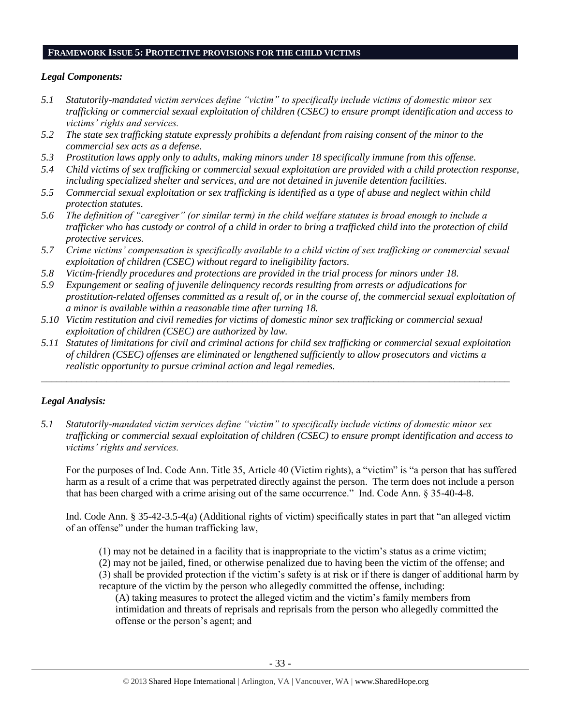#### **FRAMEWORK ISSUE 5: PROTECTIVE PROVISIONS FOR THE CHILD VICTIMS**

#### *Legal Components:*

- *5.1 Statutorily-mandated victim services define "victim" to specifically include victims of domestic minor sex trafficking or commercial sexual exploitation of children (CSEC) to ensure prompt identification and access to victims' rights and services.*
- *5.2 The state sex trafficking statute expressly prohibits a defendant from raising consent of the minor to the commercial sex acts as a defense.*
- *5.3 Prostitution laws apply only to adults, making minors under 18 specifically immune from this offense.*
- *5.4 Child victims of sex trafficking or commercial sexual exploitation are provided with a child protection response, including specialized shelter and services, and are not detained in juvenile detention facilities.*
- *5.5 Commercial sexual exploitation or sex trafficking is identified as a type of abuse and neglect within child protection statutes.*
- *5.6 The definition of "caregiver" (or similar term) in the child welfare statutes is broad enough to include a trafficker who has custody or control of a child in order to bring a trafficked child into the protection of child protective services.*
- *5.7 Crime victims' compensation is specifically available to a child victim of sex trafficking or commercial sexual exploitation of children (CSEC) without regard to ineligibility factors.*
- *5.8 Victim-friendly procedures and protections are provided in the trial process for minors under 18.*
- *5.9 Expungement or sealing of juvenile delinquency records resulting from arrests or adjudications for prostitution-related offenses committed as a result of, or in the course of, the commercial sexual exploitation of a minor is available within a reasonable time after turning 18.*
- *5.10 Victim restitution and civil remedies for victims of domestic minor sex trafficking or commercial sexual exploitation of children (CSEC) are authorized by law.*
- *5.11 Statutes of limitations for civil and criminal actions for child sex trafficking or commercial sexual exploitation of children (CSEC) offenses are eliminated or lengthened sufficiently to allow prosecutors and victims a realistic opportunity to pursue criminal action and legal remedies.*

*\_\_\_\_\_\_\_\_\_\_\_\_\_\_\_\_\_\_\_\_\_\_\_\_\_\_\_\_\_\_\_\_\_\_\_\_\_\_\_\_\_\_\_\_\_\_\_\_\_\_\_\_\_\_\_\_\_\_\_\_\_\_\_\_\_\_\_\_\_\_\_\_\_\_\_\_\_\_\_\_\_\_\_\_\_\_\_\_\_\_\_\_\_*

# *Legal Analysis:*

*5.1 Statutorily-mandated victim services define "victim" to specifically include victims of domestic minor sex trafficking or commercial sexual exploitation of children (CSEC) to ensure prompt identification and access to victims' rights and services.*

For the purposes of Ind. Code Ann. Title 35, Article 40 (Victim rights), a "victim" is "a person that has suffered harm as a result of a crime that was perpetrated directly against the person. The term does not include a person that has been charged with a crime arising out of the same occurrence." Ind. Code Ann. § 35-40-4-8.

Ind. Code Ann. § 35-42-3.5-4(a) (Additional rights of victim) specifically states in part that "an alleged victim of an offense" under the human trafficking law,

(1) may not be detained in a facility that is inappropriate to the victim's status as a crime victim;

(2) may not be jailed, fined, or otherwise penalized due to having been the victim of the offense; and (3) shall be provided protection if the victim's safety is at risk or if there is danger of additional harm by recapture of the victim by the person who allegedly committed the offense, including:

(A) taking measures to protect the alleged victim and the victim's family members from intimidation and threats of reprisals and reprisals from the person who allegedly committed the offense or the person's agent; and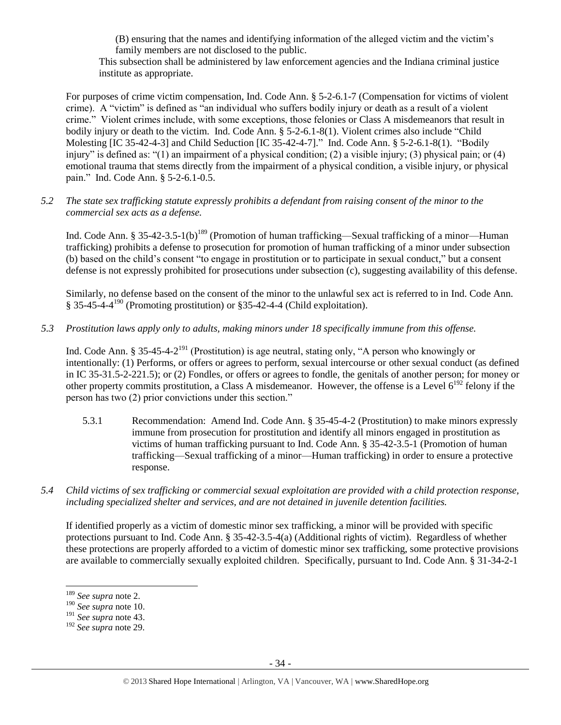(B) ensuring that the names and identifying information of the alleged victim and the victim's family members are not disclosed to the public.

This subsection shall be administered by law enforcement agencies and the Indiana criminal justice institute as appropriate.

For purposes of crime victim compensation, Ind. Code Ann. § 5-2-6.1-7 (Compensation for victims of violent crime). A "victim" is defined as "an individual who suffers bodily injury or death as a result of a violent crime." Violent crimes include, with some exceptions, those felonies or Class A misdemeanors that result in bodily injury or death to the victim. Ind. Code Ann. § 5-2-6.1-8(1). Violent crimes also include "Child Molesting [IC 35-42-4-3] and Child Seduction [IC 35-42-4-7]." Ind. Code Ann. § 5-2-6.1-8(1). "Bodily injury" is defined as: "(1) an impairment of a physical condition; (2) a visible injury; (3) physical pain; or (4) emotional trauma that stems directly from the impairment of a physical condition, a visible injury, or physical pain." Ind. Code Ann. § 5-2-6.1-0.5.

## *5.2 The state sex trafficking statute expressly prohibits a defendant from raising consent of the minor to the commercial sex acts as a defense.*

Ind. Code Ann. § 35-42-3.5-1(b)<sup>189</sup> (Promotion of human trafficking—Sexual trafficking of a minor—Human trafficking) prohibits a defense to prosecution for promotion of human trafficking of a minor under subsection (b) based on the child's consent "to engage in prostitution or to participate in sexual conduct," but a consent defense is not expressly prohibited for prosecutions under subsection (c), suggesting availability of this defense.

Similarly, no defense based on the consent of the minor to the unlawful sex act is referred to in Ind. Code Ann. § 35-45-4-4<sup>190</sup> (Promoting prostitution) or §35-42-4-4 (Child exploitation).

# *5.3 Prostitution laws apply only to adults, making minors under 18 specifically immune from this offense.*

Ind. Code Ann. § 35-45-4-2<sup>191</sup> (Prostitution) is age neutral, stating only, "A person who knowingly or intentionally: (1) Performs, or offers or agrees to perform, sexual intercourse or other sexual conduct (as defined in IC 35-31.5-2-221.5); or (2) Fondles, or offers or agrees to fondle, the genitals of another person; for money or other property commits prostitution, a Class A misdemeanor. However, the offense is a Level  $6^{192}$  felony if the person has two (2) prior convictions under this section."

- 5.3.1 Recommendation: Amend Ind. Code Ann. § 35-45-4-2 (Prostitution) to make minors expressly immune from prosecution for prostitution and identify all minors engaged in prostitution as victims of human trafficking pursuant to Ind. Code Ann. § 35-42-3.5-1 (Promotion of human trafficking—Sexual trafficking of a minor—Human trafficking) in order to ensure a protective response.
- *5.4 Child victims of sex trafficking or commercial sexual exploitation are provided with a child protection response, including specialized shelter and services, and are not detained in juvenile detention facilities.*

If identified properly as a victim of domestic minor sex trafficking, a minor will be provided with specific protections pursuant to Ind. Code Ann. § 35-42-3.5-4(a) (Additional rights of victim). Regardless of whether these protections are properly afforded to a victim of domestic minor sex trafficking, some protective provisions are available to commercially sexually exploited children. Specifically, pursuant to Ind. Code Ann. § 31-34-2-1

 $\overline{\phantom{a}}$ 

<sup>189</sup> *See supra* not[e 2.](#page-0-0)

<sup>190</sup> *See supra* not[e 10.](#page-2-6)

<sup>191</sup> *See supra* not[e 43.](#page-9-2)

<sup>192</sup> *See supra* note [29.](#page-7-1)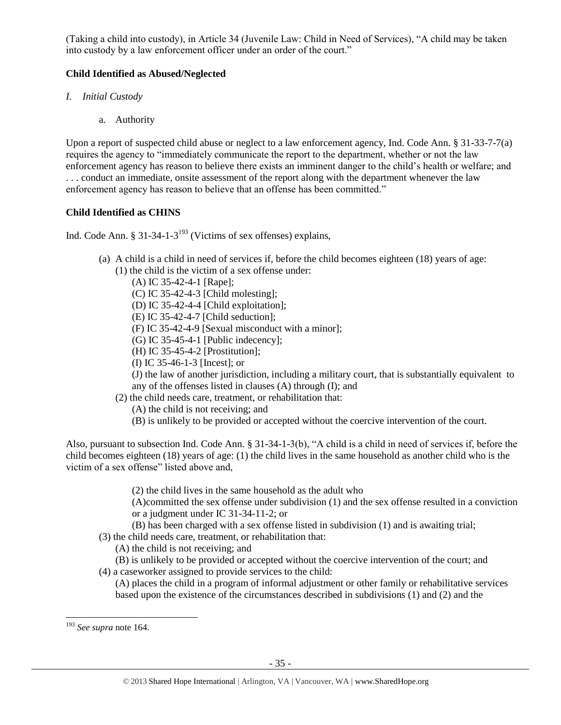(Taking a child into custody), in Article 34 (Juvenile Law: Child in Need of Services), "A child may be taken into custody by a law enforcement officer under an order of the court."

# **Child Identified as Abused/Neglected**

- *I. Initial Custody*
	- a. Authority

Upon a report of suspected child abuse or neglect to a law enforcement agency, Ind. Code Ann. § 31-33-7-7(a) requires the agency to "immediately communicate the report to the department, whether or not the law enforcement agency has reason to believe there exists an imminent danger to the child's health or welfare; and . . . conduct an immediate, onsite assessment of the report along with the department whenever the law enforcement agency has reason to believe that an offense has been committed."

# **Child Identified as CHINS**

Ind. Code Ann. § 31-34-1-3<sup>193</sup> (Victims of sex offenses) explains,

- (a) A child is a child in need of services if, before the child becomes eighteen (18) years of age: (1) the child is the victim of a sex offense under:
	- (A) IC 35-42-4-1 [Rape];
	- (C) IC 35-42-4-3 [Child molesting];
	- (D) IC 35-42-4-4 [Child exploitation];
	- (E) IC 35-42-4-7 [Child seduction];
	- (F) IC 35-42-4-9 [Sexual misconduct with a minor];
	- (G) IC 35-45-4-1 [Public indecency];
	- (H) IC 35-45-4-2 [Prostitution];
	- (I) IC 35-46-1-3 [Incest]; or
	- (J) the law of another jurisdiction, including a military court, that is substantially equivalent to any of the offenses listed in clauses (A) through (I); and
	- (2) the child needs care, treatment, or rehabilitation that:
		- (A) the child is not receiving; and
		- (B) is unlikely to be provided or accepted without the coercive intervention of the court.

Also, pursuant to subsection Ind. Code Ann. § 31-34-1-3(b), "A child is a child in need of services if, before the child becomes eighteen (18) years of age: (1) the child lives in the same household as another child who is the victim of a sex offense" listed above and,

- (2) the child lives in the same household as the adult who
- (A)committed the sex offense under subdivision (1) and the sex offense resulted in a conviction or a judgment under IC 31-34-11-2; or
- (B) has been charged with a sex offense listed in subdivision (1) and is awaiting trial;
- (3) the child needs care, treatment, or rehabilitation that:
	- (A) the child is not receiving; and
- (B) is unlikely to be provided or accepted without the coercive intervention of the court; and
- (4) a caseworker assigned to provide services to the child: (A) places the child in a program of informal adjustment or other family or rehabilitative services based upon the existence of the circumstances described in subdivisions (1) and (2) and the

l <sup>193</sup> *See supra* not[e 164.](#page-26-0)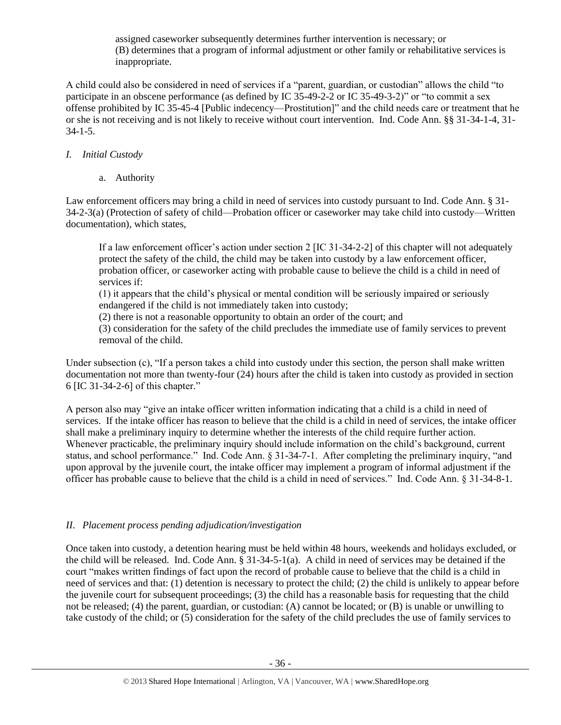assigned caseworker subsequently determines further intervention is necessary; or (B) determines that a program of informal adjustment or other family or rehabilitative services is inappropriate.

A child could also be considered in need of services if a "parent, guardian, or custodian" allows the child "to participate in an obscene performance (as defined by IC 35-49-2-2 or IC 35-49-3-2)" or "to commit a sex offense prohibited by IC 35-45-4 [Public indecency—Prostitution]" and the child needs care or treatment that he or she is not receiving and is not likely to receive without court intervention. Ind. Code Ann. §§ 31-34-1-4, 31- 34-1-5.

# *I. Initial Custody*

a. Authority

Law enforcement officers may bring a child in need of services into custody pursuant to Ind. Code Ann. § 31- 34-2-3(a) (Protection of safety of child—Probation officer or caseworker may take child into custody—Written documentation), which states,

If a law enforcement officer's action under section 2 [IC 31-34-2-2] of this chapter will not adequately protect the safety of the child, the child may be taken into custody by a law enforcement officer, probation officer, or caseworker acting with probable cause to believe the child is a child in need of services if:

(1) it appears that the child's physical or mental condition will be seriously impaired or seriously endangered if the child is not immediately taken into custody;

(2) there is not a reasonable opportunity to obtain an order of the court; and

(3) consideration for the safety of the child precludes the immediate use of family services to prevent removal of the child.

Under subsection (c), "If a person takes a child into custody under this section, the person shall make written documentation not more than twenty-four (24) hours after the child is taken into custody as provided in section 6 [IC 31-34-2-6] of this chapter."

A person also may "give an intake officer written information indicating that a child is a child in need of services. If the intake officer has reason to believe that the child is a child in need of services, the intake officer shall make a preliminary inquiry to determine whether the interests of the child require further action. Whenever practicable, the preliminary inquiry should include information on the child's background, current status, and school performance." Ind. Code Ann. § 31-34-7-1. After completing the preliminary inquiry, "and upon approval by the juvenile court, the intake officer may implement a program of informal adjustment if the officer has probable cause to believe that the child is a child in need of services." Ind. Code Ann. § 31-34-8-1.

# *II. Placement process pending adjudication/investigation*

Once taken into custody, a detention hearing must be held within 48 hours, weekends and holidays excluded, or the child will be released. Ind. Code Ann. § 31-34-5-1(a). A child in need of services may be detained if the court "makes written findings of fact upon the record of probable cause to believe that the child is a child in need of services and that: (1) detention is necessary to protect the child; (2) the child is unlikely to appear before the juvenile court for subsequent proceedings; (3) the child has a reasonable basis for requesting that the child not be released; (4) the parent, guardian, or custodian: (A) cannot be located; or (B) is unable or unwilling to take custody of the child; or (5) consideration for the safety of the child precludes the use of family services to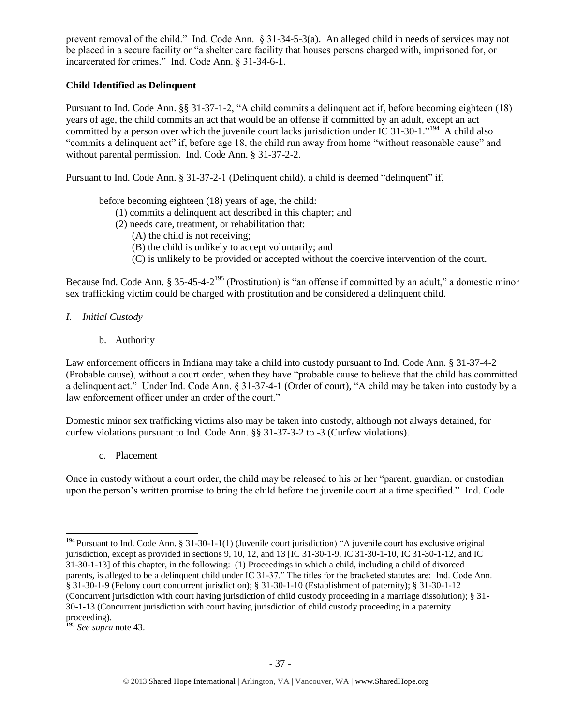prevent removal of the child." Ind. Code Ann. § 31-34-5-3(a). An alleged child in needs of services may not be placed in a secure facility or "a shelter care facility that houses persons charged with, imprisoned for, or incarcerated for crimes." Ind. Code Ann. § 31-34-6-1.

# **Child Identified as Delinquent**

Pursuant to Ind. Code Ann. §§ 31-37-1-2, "A child commits a delinquent act if, before becoming eighteen (18) years of age, the child commits an act that would be an offense if committed by an adult, except an act committed by a person over which the juvenile court lacks jurisdiction under IC 31-30-1."<sup>194</sup>  $\hat{A}$  child also "commits a delinquent act" if, before age 18, the child run away from home "without reasonable cause" and without parental permission. Ind. Code Ann. § 31-37-2-2.

Pursuant to Ind. Code Ann. § 31-37-2-1 (Delinquent child), a child is deemed "delinquent" if,

before becoming eighteen (18) years of age, the child:

- (1) commits a delinquent act described in this chapter; and
- (2) needs care, treatment, or rehabilitation that:
	- (A) the child is not receiving;
	- (B) the child is unlikely to accept voluntarily; and
	- (C) is unlikely to be provided or accepted without the coercive intervention of the court.

Because Ind. Code Ann. § 35-45-4-2<sup>195</sup> (Prostitution) is "an offense if committed by an adult," a domestic minor sex trafficking victim could be charged with prostitution and be considered a delinquent child.

## *I. Initial Custody*

b. Authority

Law enforcement officers in Indiana may take a child into custody pursuant to Ind. Code Ann. § 31-37-4-2 (Probable cause), without a court order, when they have "probable cause to believe that the child has committed a delinquent act." Under Ind. Code Ann. § 31-37-4-1 (Order of court), "A child may be taken into custody by a law enforcement officer under an order of the court."

Domestic minor sex trafficking victims also may be taken into custody, although not always detained, for curfew violations pursuant to Ind. Code Ann. §§ 31-37-3-2 to -3 (Curfew violations).

c. Placement

Once in custody without a court order, the child may be released to his or her "parent, guardian, or custodian upon the person's written promise to bring the child before the juvenile court at a time specified." Ind. Code

 $\overline{a}$ <sup>194</sup> Pursuant to Ind. Code Ann. § 31-30-1-1(1) (Juvenile court jurisdiction) "A juvenile court has exclusive original jurisdiction, except as provided in sections 9, 10, 12, and 13 [IC 31-30-1-9, IC 31-30-1-10, IC 31-30-1-12, and IC 31-30-1-13] of this chapter, in the following: (1) Proceedings in which a child, including a child of divorced parents, is alleged to be a delinquent child under IC 31-37." The titles for the bracketed statutes are: Ind. Code Ann. § 31-30-1-9 (Felony court concurrent jurisdiction); § 31-30-1-10 (Establishment of paternity); § 31-30-1-12 (Concurrent jurisdiction with court having jurisdiction of child custody proceeding in a marriage dissolution); § 31- 30-1-13 (Concurrent jurisdiction with court having jurisdiction of child custody proceeding in a paternity proceeding).

<sup>195</sup> *See supra* not[e 43.](#page-9-2)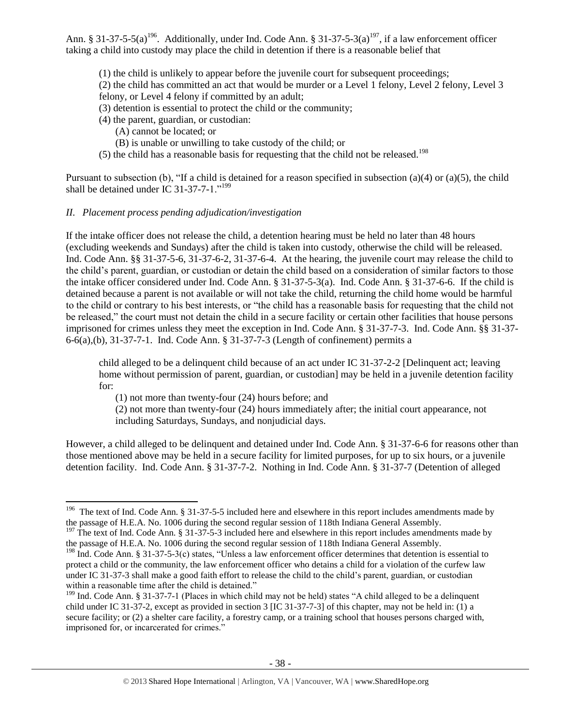Ann. § 31-37-5-5(a)<sup>196</sup>. Additionally, under Ind. Code Ann. § 31-37-5-3(a)<sup>197</sup>, if a law enforcement officer taking a child into custody may place the child in detention if there is a reasonable belief that

(1) the child is unlikely to appear before the juvenile court for subsequent proceedings;

(2) the child has committed an act that would be murder or a Level 1 felony, Level 2 felony, Level 3 felony, or Level 4 felony if committed by an adult;

- (3) detention is essential to protect the child or the community;
- (4) the parent, guardian, or custodian:
	- (A) cannot be located; or
	- (B) is unable or unwilling to take custody of the child; or
- (5) the child has a reasonable basis for requesting that the child not be released.<sup>198</sup>

Pursuant to subsection (b), "If a child is detained for a reason specified in subsection (a)(4) or (a)(5), the child shall be detained under IC 31-37-7-1."<sup>199</sup>

# *II. Placement process pending adjudication/investigation*

If the intake officer does not release the child, a detention hearing must be held no later than 48 hours (excluding weekends and Sundays) after the child is taken into custody, otherwise the child will be released. Ind. Code Ann. §§ 31-37-5-6, 31-37-6-2, 31-37-6-4. At the hearing, the juvenile court may release the child to the child's parent, guardian, or custodian or detain the child based on a consideration of similar factors to those the intake officer considered under Ind. Code Ann. § 31-37-5-3(a). Ind. Code Ann. § 31-37-6-6. If the child is detained because a parent is not available or will not take the child, returning the child home would be harmful to the child or contrary to his best interests, or "the child has a reasonable basis for requesting that the child not be released," the court must not detain the child in a secure facility or certain other facilities that house persons imprisoned for crimes unless they meet the exception in Ind. Code Ann. § 31-37-7-3. Ind. Code Ann. §§ 31-37- 6-6(a),(b), 31-37-7-1. Ind. Code Ann. § 31-37-7-3 (Length of confinement) permits a

child alleged to be a delinquent child because of an act under IC 31-37-2-2 [Delinquent act; leaving home without permission of parent, guardian, or custodian] may be held in a juvenile detention facility for:

(1) not more than twenty-four (24) hours before; and

(2) not more than twenty-four (24) hours immediately after; the initial court appearance, not including Saturdays, Sundays, and nonjudicial days.

However, a child alleged to be delinquent and detained under Ind. Code Ann. § 31-37-6-6 for reasons other than those mentioned above may be held in a secure facility for limited purposes, for up to six hours, or a juvenile detention facility. Ind. Code Ann. § 31-37-7-2. Nothing in Ind. Code Ann. § 31-37-7 (Detention of alleged

 196 The text of Ind. Code Ann. § 31-37-5-5 included here and elsewhere in this report includes amendments made by the passage of H.E.A. No. 1006 during the second regular session of 118th Indiana General Assembly.

<sup>&</sup>lt;sup>197</sup> The text of Ind. Code Ann. § 31-37-5-3 included here and elsewhere in this report includes amendments made by the passage of H.E.A. No. 1006 during the second regular session of 118th Indiana General Assembly.

<sup>&</sup>lt;sup>198</sup> Ind. Code Ann. § 31-37-5-3(c) states, "Unless a law enforcement officer determines that detention is essential to protect a child or the community, the law enforcement officer who detains a child for a violation of the curfew law under IC 31-37-3 shall make a good faith effort to release the child to the child's parent, guardian, or custodian within a reasonable time after the child is detained."

 $199$  Ind. Code Ann. § 31-37-7-1 (Places in which child may not be held) states "A child alleged to be a delinquent child under IC 31-37-2, except as provided in section 3 [IC 31-37-7-3] of this chapter, may not be held in: (1) a secure facility; or (2) a shelter care facility, a forestry camp, or a training school that houses persons charged with, imprisoned for, or incarcerated for crimes."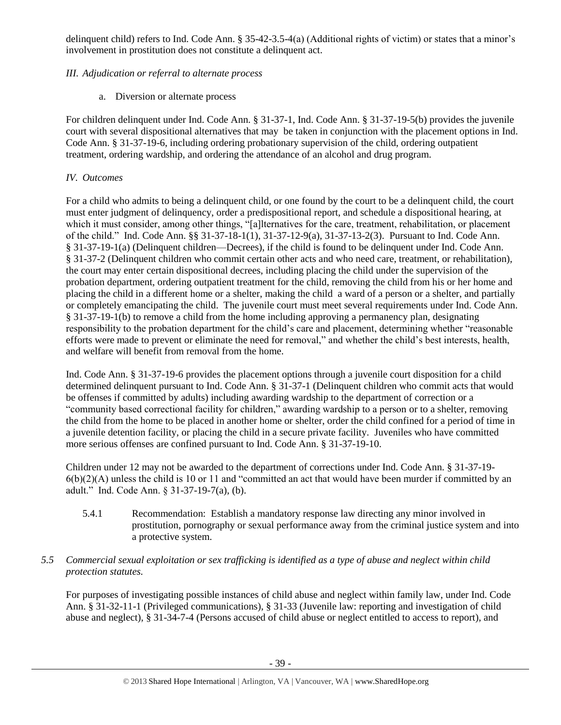delinquent child) refers to Ind. Code Ann. § 35-42-3.5-4(a) (Additional rights of victim) or states that a minor's involvement in prostitution does not constitute a delinquent act.

# *III. Adjudication or referral to alternate process*

a. Diversion or alternate process

For children delinquent under Ind. Code Ann. § 31-37-1, Ind. Code Ann. § 31-37-19-5(b) provides the juvenile court with several dispositional alternatives that may be taken in conjunction with the placement options in Ind. Code Ann. § 31-37-19-6, including ordering probationary supervision of the child, ordering outpatient treatment, ordering wardship, and ordering the attendance of an alcohol and drug program.

# *IV. Outcomes*

For a child who admits to being a delinquent child, or one found by the court to be a delinquent child, the court must enter judgment of delinquency, order a predispositional report, and schedule a dispositional hearing, at which it must consider, among other things, "[a]lternatives for the care, treatment, rehabilitation, or placement of the child." Ind. Code Ann. §§ 31-37-18-1(1), 31-37-12-9(a), 31-37-13-2(3). Pursuant to Ind. Code Ann. § 31-37-19-1(a) (Delinquent children—Decrees), if the child is found to be delinquent under Ind. Code Ann. § 31-37-2 (Delinquent children who commit certain other acts and who need care, treatment, or rehabilitation), the court may enter certain dispositional decrees, including placing the child under the supervision of the probation department, ordering outpatient treatment for the child, removing the child from his or her home and placing the child in a different home or a shelter, making the child a ward of a person or a shelter, and partially or completely emancipating the child. The juvenile court must meet several requirements under Ind. Code Ann. § 31-37-19-1(b) to remove a child from the home including approving a permanency plan, designating responsibility to the probation department for the child's care and placement, determining whether "reasonable efforts were made to prevent or eliminate the need for removal," and whether the child's best interests, health, and welfare will benefit from removal from the home.

Ind. Code Ann. § 31-37-19-6 provides the placement options through a juvenile court disposition for a child determined delinquent pursuant to Ind. Code Ann. § 31-37-1 (Delinquent children who commit acts that would be offenses if committed by adults) including awarding wardship to the department of correction or a "community based correctional facility for children," awarding wardship to a person or to a shelter, removing the child from the home to be placed in another home or shelter, order the child confined for a period of time in a juvenile detention facility, or placing the child in a secure private facility. Juveniles who have committed more serious offenses are confined pursuant to Ind. Code Ann. § 31-37-19-10.

Children under 12 may not be awarded to the department of corrections under Ind. Code Ann. § 31-37-19-  $6(b)(2)(A)$  unless the child is 10 or 11 and "committed an act that would have been murder if committed by an adult." Ind. Code Ann. § 31-37-19-7(a), (b).

5.4.1 Recommendation: Establish a mandatory response law directing any minor involved in prostitution, pornography or sexual performance away from the criminal justice system and into a protective system.

# *5.5 Commercial sexual exploitation or sex trafficking is identified as a type of abuse and neglect within child protection statutes.*

For purposes of investigating possible instances of child abuse and neglect within family law, under Ind. Code Ann. § 31-32-11-1 (Privileged communications), § 31-33 (Juvenile law: reporting and investigation of child abuse and neglect), § 31-34-7-4 (Persons accused of child abuse or neglect entitled to access to report), and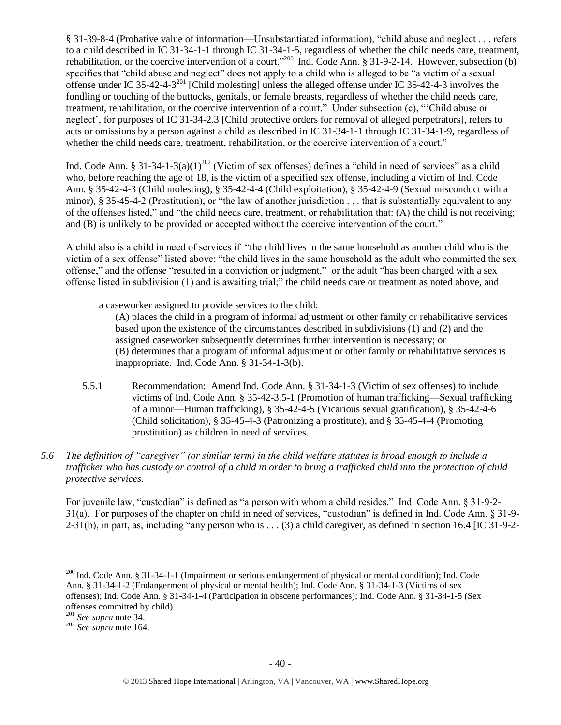§ 31-39-8-4 (Probative value of information—Unsubstantiated information), "child abuse and neglect . . . refers to a child described in IC 31-34-1-1 through IC 31-34-1-5, regardless of whether the child needs care, treatment, rehabilitation, or the coercive intervention of a court."<sup>200</sup> Ind. Code Ann. § 31-9-2-14. However, subsection (b) specifies that "child abuse and neglect" does not apply to a child who is alleged to be "a victim of a sexual offense under IC 35-42-4-3 $^{201}$  [Child molesting] unless the alleged offense under IC 35-42-4-3 involves the fondling or touching of the buttocks, genitals, or female breasts, regardless of whether the child needs care, treatment, rehabilitation, or the coercive intervention of a court." Under subsection (c), "'Child abuse or neglect', for purposes of IC 31-34-2.3 [Child protective orders for removal of alleged perpetrators], refers to acts or omissions by a person against a child as described in IC 31-34-1-1 through IC 31-34-1-9, regardless of whether the child needs care, treatment, rehabilitation, or the coercive intervention of a court."

Ind. Code Ann. § 31-34-1-3(a)(1)<sup>202</sup> (Victim of sex offenses) defines a "child in need of services" as a child who, before reaching the age of 18, is the victim of a specified sex offense, including a victim of Ind. Code Ann. § 35-42-4-3 (Child molesting), § 35-42-4-4 (Child exploitation), § 35-42-4-9 (Sexual misconduct with a minor), § 35-45-4-2 (Prostitution), or "the law of another jurisdiction . . . that is substantially equivalent to any of the offenses listed," and "the child needs care, treatment, or rehabilitation that: (A) the child is not receiving; and (B) is unlikely to be provided or accepted without the coercive intervention of the court."

A child also is a child in need of services if "the child lives in the same household as another child who is the victim of a sex offense" listed above; "the child lives in the same household as the adult who committed the sex offense," and the offense "resulted in a conviction or judgment," or the adult "has been charged with a sex offense listed in subdivision (1) and is awaiting trial;" the child needs care or treatment as noted above, and

a caseworker assigned to provide services to the child:

(A) places the child in a program of informal adjustment or other family or rehabilitative services based upon the existence of the circumstances described in subdivisions (1) and (2) and the assigned caseworker subsequently determines further intervention is necessary; or (B) determines that a program of informal adjustment or other family or rehabilitative services is inappropriate. Ind. Code Ann. § 31-34-1-3(b).

- 5.5.1 Recommendation: Amend Ind. Code Ann. § 31-34-1-3 (Victim of sex offenses) to include victims of Ind. Code Ann. § 35-42-3.5-1 (Promotion of human trafficking—Sexual trafficking of a minor—Human trafficking), § 35-42-4-5 (Vicarious sexual gratification), § 35-42-4-6 (Child solicitation), § 35-45-4-3 (Patronizing a prostitute), and § 35-45-4-4 (Promoting prostitution) as children in need of services.
- *5.6 The definition of "caregiver" (or similar term) in the child welfare statutes is broad enough to include a trafficker who has custody or control of a child in order to bring a trafficked child into the protection of child protective services.*

For juvenile law, "custodian" is defined as "a person with whom a child resides." Ind. Code Ann. § 31-9-2- 31(a). For purposes of the chapter on child in need of services, "custodian" is defined in Ind. Code Ann. § 31-9-  $2-31(b)$ , in part, as, including "any person who is . . . (3) a child caregiver, as defined in section 16.4 [IC 31-9-2-

 $\overline{a}$ <sup>200</sup> Ind. Code Ann. § 31-34-1-1 (Impairment or serious endangerment of physical or mental condition); Ind. Code Ann. § 31-34-1-2 (Endangerment of physical or mental health); Ind. Code Ann. § 31-34-1-3 (Victims of sex offenses); Ind. Code Ann. § 31-34-1-4 (Participation in obscene performances); Ind. Code Ann. § 31-34-1-5 (Sex offenses committed by child).

<sup>201</sup> *See supra* not[e 34.](#page-8-0)

<sup>202</sup> *See supra* not[e 164.](#page-26-0)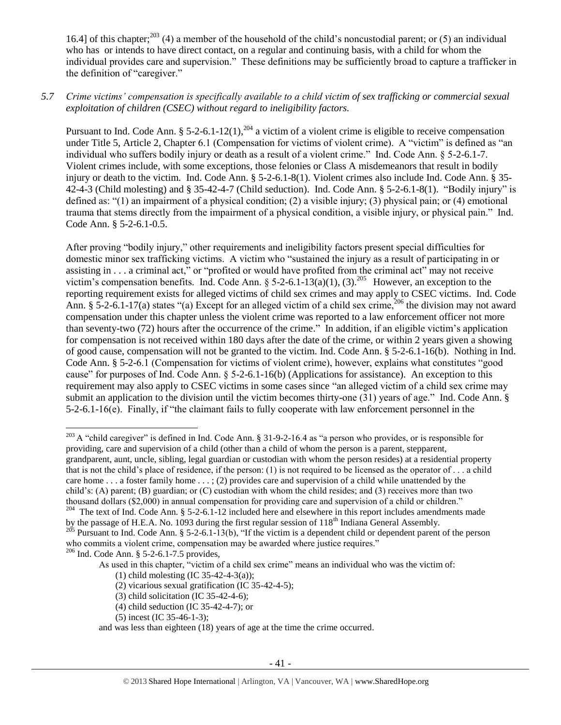16.4] of this chapter;<sup>203</sup> (4) a member of the household of the child's noncustodial parent; or (5) an individual who has or intends to have direct contact, on a regular and continuing basis, with a child for whom the individual provides care and supervision." These definitions may be sufficiently broad to capture a trafficker in the definition of "caregiver."

## *5.7 Crime victims' compensation is specifically available to a child victim of sex trafficking or commercial sexual exploitation of children (CSEC) without regard to ineligibility factors.*

Pursuant to Ind. Code Ann. § 5-2-6.1-12(1),<sup>204</sup> a victim of a violent crime is eligible to receive compensation under Title 5, Article 2, Chapter 6.1 (Compensation for victims of violent crime). A "victim" is defined as "an individual who suffers bodily injury or death as a result of a violent crime." Ind. Code Ann. § 5-2-6.1-7. Violent crimes include, with some exceptions, those felonies or Class A misdemeanors that result in bodily injury or death to the victim. Ind. Code Ann. § 5-2-6.1-8(1). Violent crimes also include Ind. Code Ann. § 35- 42-4-3 (Child molesting) and § 35-42-4-7 (Child seduction). Ind. Code Ann. § 5-2-6.1-8(1). "Bodily injury" is defined as: "(1) an impairment of a physical condition; (2) a visible injury; (3) physical pain; or (4) emotional trauma that stems directly from the impairment of a physical condition, a visible injury, or physical pain." Ind. Code Ann. § 5-2-6.1-0.5.

After proving "bodily injury," other requirements and ineligibility factors present special difficulties for domestic minor sex trafficking victims. A victim who "sustained the injury as a result of participating in or assisting in . . . a criminal act," or "profited or would have profited from the criminal act" may not receive victim's compensation benefits. Ind. Code Ann. § 5-2-6.1-13(a)(1), (3).<sup>205</sup> However, an exception to the reporting requirement exists for alleged victims of child sex crimes and may apply to CSEC victims. Ind. Code Ann. § 5-2-6.1-17(a) states "(a) Except for an alleged victim of a child sex crime,<sup>206</sup> the division may not award compensation under this chapter unless the violent crime was reported to a law enforcement officer not more than seventy-two (72) hours after the occurrence of the crime." In addition, if an eligible victim's application for compensation is not received within 180 days after the date of the crime, or within 2 years given a showing of good cause, compensation will not be granted to the victim. Ind. Code Ann. § 5-2-6.1-16(b). Nothing in Ind. Code Ann. § 5-2-6.1 (Compensation for victims of violent crime), however, explains what constitutes "good cause" for purposes of Ind. Code Ann. § 5-2-6.1-16(b) (Applications for assistance). An exception to this requirement may also apply to CSEC victims in some cases since "an alleged victim of a child sex crime may submit an application to the division until the victim becomes thirty-one (31) years of age." Ind. Code Ann. § 5-2-6.1-16(e). Finally, if "the claimant fails to fully cooperate with law enforcement personnel in the

<sup>204</sup> The text of Ind. Code Ann. § 5-2-6.1-12 included here and elsewhere in this report includes amendments made by the passage of H.E.A. No. 1093 during the first regular session of 118<sup>th</sup> Indiana General Assembly.

(5) incest (IC 35-46-1-3);

 $\overline{\phantom{a}}$ <sup>203</sup> A "child caregiver" is defined in Ind. Code Ann. § 31-9-2-16.4 as "a person who provides, or is responsible for providing, care and supervision of a child (other than a child of whom the person is a parent, stepparent, grandparent, aunt, uncle, sibling, legal guardian or custodian with whom the person resides) at a residential property that is not the child's place of residence, if the person: (1) is not required to be licensed as the operator of . . . a child care home . . . a foster family home . . . ; (2) provides care and supervision of a child while unattended by the child's: (A) parent; (B) guardian; or (C) custodian with whom the child resides; and (3) receives more than two thousand dollars (\$2,000) in annual compensation for providing care and supervision of a child or children."

<sup>&</sup>lt;sup>205</sup> Pursuant to Ind. Code Ann. § 5-2-6.1-13(b), "If the victim is a dependent child or dependent parent of the person who commits a violent crime, compensation may be awarded where justice requires."

<sup>206</sup> Ind. Code Ann. § 5-2-6.1-7.5 provides,

As used in this chapter, "victim of a child sex crime" means an individual who was the victim of:

<sup>(1)</sup> child molesting (IC 35-42-4-3(a));

<sup>(2)</sup> vicarious sexual gratification (IC 35-42-4-5);

<sup>(3)</sup> child solicitation (IC 35-42-4-6);

<sup>(4)</sup> child seduction (IC 35-42-4-7); or

and was less than eighteen (18) years of age at the time the crime occurred.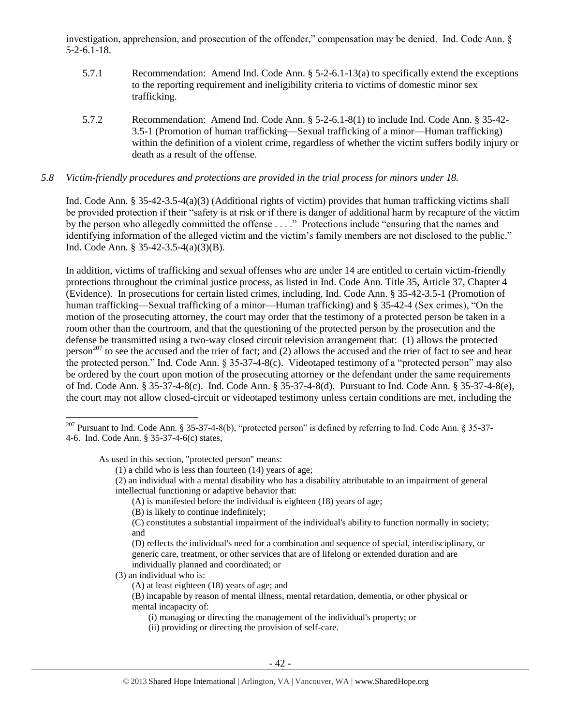investigation, apprehension, and prosecution of the offender," compensation may be denied. Ind. Code Ann. § 5-2-6.1-18.

- 5.7.1 Recommendation: Amend Ind. Code Ann. § 5-2-6.1-13(a) to specifically extend the exceptions to the reporting requirement and ineligibility criteria to victims of domestic minor sex trafficking.
- 5.7.2 Recommendation: Amend Ind. Code Ann. § 5-2-6.1-8(1) to include Ind. Code Ann. § 35-42- 3.5-1 (Promotion of human trafficking—Sexual trafficking of a minor—Human trafficking) within the definition of a violent crime, regardless of whether the victim suffers bodily injury or death as a result of the offense.

#### *5.8 Victim-friendly procedures and protections are provided in the trial process for minors under 18.*

Ind. Code Ann. § 35-42-3.5-4(a)(3) (Additional rights of victim) provides that human trafficking victims shall be provided protection if their "safety is at risk or if there is danger of additional harm by recapture of the victim by the person who allegedly committed the offense . . . ." Protections include "ensuring that the names and identifying information of the alleged victim and the victim's family members are not disclosed to the public." Ind. Code Ann. § 35-42-3.5-4(a)(3)(B).

In addition, victims of trafficking and sexual offenses who are under 14 are entitled to certain victim-friendly protections throughout the criminal justice process, as listed in Ind. Code Ann. Title 35, Article 37, Chapter 4 (Evidence). In prosecutions for certain listed crimes, including, Ind. Code Ann. § 35-42-3.5-1 (Promotion of human trafficking—Sexual trafficking of a minor—Human trafficking) and § 35-42-4 (Sex crimes), "On the motion of the prosecuting attorney, the court may order that the testimony of a protected person be taken in a room other than the courtroom, and that the questioning of the protected person by the prosecution and the defense be transmitted using a two-way closed circuit television arrangement that: (1) allows the protected person<sup>207</sup> to see the accused and the trier of fact; and  $(2)$  allows the accused and the trier of fact to see and hear the protected person." Ind. Code Ann. § 35-37-4-8(c). Videotaped testimony of a "protected person" may also be ordered by the court upon motion of the prosecuting attorney or the defendant under the same requirements of Ind. Code Ann. § 35-37-4-8(c). Ind. Code Ann. § 35-37-4-8(d). Pursuant to Ind. Code Ann. § 35-37-4-8(e), the court may not allow closed-circuit or videotaped testimony unless certain conditions are met, including the

As used in this section, "protected person" means:

- (A) is manifested before the individual is eighteen (18) years of age;
- (B) is likely to continue indefinitely;

- (3) an individual who is:
	- (A) at least eighteen (18) years of age; and

- (i) managing or directing the management of the individual's property; or
- (ii) providing or directing the provision of self-care.

 $\overline{\phantom{a}}$ <sup>207</sup> Pursuant to Ind. Code Ann. § 35-37-4-8(b), "protected person" is defined by referring to Ind. Code Ann. § 35-37-4-6. Ind. Code Ann. § 35-37-4-6(c) states,

<sup>(1)</sup> a child who is less than fourteen (14) years of age;

<sup>(2)</sup> an individual with a mental disability who has a disability attributable to an impairment of general intellectual functioning or adaptive behavior that:

<sup>(</sup>C) constitutes a substantial impairment of the individual's ability to function normally in society; and

<sup>(</sup>D) reflects the individual's need for a combination and sequence of special, interdisciplinary, or generic care, treatment, or other services that are of lifelong or extended duration and are individually planned and coordinated; or

<sup>(</sup>B) incapable by reason of mental illness, mental retardation, dementia, or other physical or mental incapacity of: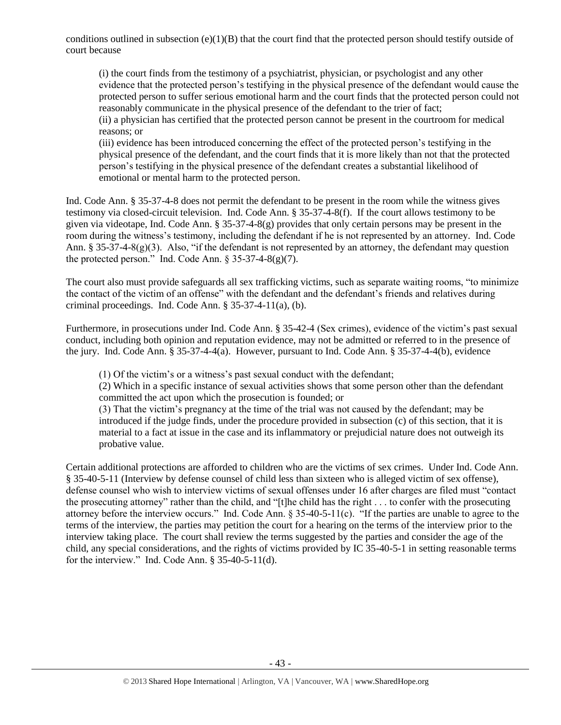conditions outlined in subsection  $(e)(1)(B)$  that the court find that the protected person should testify outside of court because

(i) the court finds from the testimony of a psychiatrist, physician, or psychologist and any other evidence that the protected person's testifying in the physical presence of the defendant would cause the protected person to suffer serious emotional harm and the court finds that the protected person could not reasonably communicate in the physical presence of the defendant to the trier of fact; (ii) a physician has certified that the protected person cannot be present in the courtroom for medical reasons; or

(iii) evidence has been introduced concerning the effect of the protected person's testifying in the physical presence of the defendant, and the court finds that it is more likely than not that the protected person's testifying in the physical presence of the defendant creates a substantial likelihood of emotional or mental harm to the protected person.

Ind. Code Ann. § 35-37-4-8 does not permit the defendant to be present in the room while the witness gives testimony via closed-circuit television. Ind. Code Ann. § 35-37-4-8(f). If the court allows testimony to be given via videotape, Ind. Code Ann. § 35-37-4-8(g) provides that only certain persons may be present in the room during the witness's testimony, including the defendant if he is not represented by an attorney. Ind. Code Ann. § 35-37-4-8(g)(3). Also, "if the defendant is not represented by an attorney, the defendant may question the protected person." Ind. Code Ann.  $\frac{1}{2}$  35-37-4-8(g)(7).

The court also must provide safeguards all sex trafficking victims, such as separate waiting rooms, "to minimize the contact of the victim of an offense" with the defendant and the defendant's friends and relatives during criminal proceedings. Ind. Code Ann. § 35-37-4-11(a), (b).

Furthermore, in prosecutions under Ind. Code Ann. § 35-42-4 (Sex crimes), evidence of the victim's past sexual conduct, including both opinion and reputation evidence, may not be admitted or referred to in the presence of the jury. Ind. Code Ann. § 35-37-4-4(a). However, pursuant to Ind. Code Ann. § 35-37-4-4(b), evidence

(1) Of the victim's or a witness's past sexual conduct with the defendant;

(2) Which in a specific instance of sexual activities shows that some person other than the defendant committed the act upon which the prosecution is founded; or

(3) That the victim's pregnancy at the time of the trial was not caused by the defendant; may be introduced if the judge finds, under the procedure provided in subsection (c) of this section, that it is material to a fact at issue in the case and its inflammatory or prejudicial nature does not outweigh its probative value.

Certain additional protections are afforded to children who are the victims of sex crimes. Under Ind. Code Ann. § 35-40-5-11 (Interview by defense counsel of child less than sixteen who is alleged victim of sex offense), defense counsel who wish to interview victims of sexual offenses under 16 after charges are filed must "contact the prosecuting attorney" rather than the child, and "[t]he child has the right . . . to confer with the prosecuting attorney before the interview occurs." Ind. Code Ann. § 35-40-5-11(c). "If the parties are unable to agree to the terms of the interview, the parties may petition the court for a hearing on the terms of the interview prior to the interview taking place. The court shall review the terms suggested by the parties and consider the age of the child, any special considerations, and the rights of victims provided by IC 35-40-5-1 in setting reasonable terms for the interview." Ind. Code Ann.  $§$  35-40-5-11(d).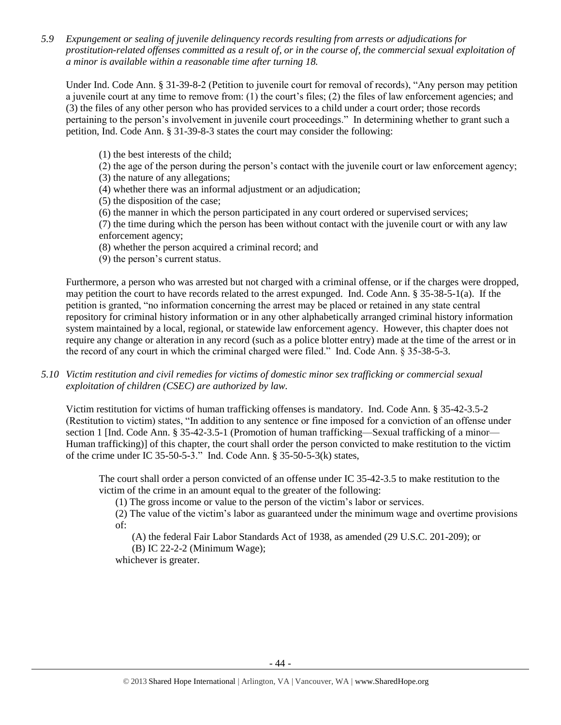*5.9 Expungement or sealing of juvenile delinquency records resulting from arrests or adjudications for prostitution-related offenses committed as a result of, or in the course of, the commercial sexual exploitation of a minor is available within a reasonable time after turning 18.*

Under Ind. Code Ann. § 31-39-8-2 (Petition to juvenile court for removal of records), "Any person may petition a juvenile court at any time to remove from: (1) the court's files; (2) the files of law enforcement agencies; and (3) the files of any other person who has provided services to a child under a court order; those records pertaining to the person's involvement in juvenile court proceedings." In determining whether to grant such a petition, Ind. Code Ann. § 31-39-8-3 states the court may consider the following:

(1) the best interests of the child;

(2) the age of the person during the person's contact with the juvenile court or law enforcement agency; (3) the nature of any allegations;

(4) whether there was an informal adjustment or an adjudication;

(5) the disposition of the case;

(6) the manner in which the person participated in any court ordered or supervised services;

(7) the time during which the person has been without contact with the juvenile court or with any law enforcement agency;

- (8) whether the person acquired a criminal record; and
- (9) the person's current status.

Furthermore, a person who was arrested but not charged with a criminal offense, or if the charges were dropped, may petition the court to have records related to the arrest expunged. Ind. Code Ann. § 35-38-5-1(a). If the petition is granted, "no information concerning the arrest may be placed or retained in any state central repository for criminal history information or in any other alphabetically arranged criminal history information system maintained by a local, regional, or statewide law enforcement agency. However, this chapter does not require any change or alteration in any record (such as a police blotter entry) made at the time of the arrest or in the record of any court in which the criminal charged were filed." Ind. Code Ann. § 35-38-5-3.

*5.10 Victim restitution and civil remedies for victims of domestic minor sex trafficking or commercial sexual exploitation of children (CSEC) are authorized by law.* 

Victim restitution for victims of human trafficking offenses is mandatory. Ind. Code Ann. § 35-42-3.5-2 (Restitution to victim) states, "In addition to any sentence or fine imposed for a conviction of an offense under section 1 [Ind. Code Ann. § 35-42-3.5-1 (Promotion of human trafficking—Sexual trafficking of a minor— Human trafficking)] of this chapter, the court shall order the person convicted to make restitution to the victim of the crime under IC 35-50-5-3." Ind. Code Ann. § 35-50-5-3(k) states,

The court shall order a person convicted of an offense under IC 35-42-3.5 to make restitution to the victim of the crime in an amount equal to the greater of the following:

(1) The gross income or value to the person of the victim's labor or services.

(2) The value of the victim's labor as guaranteed under the minimum wage and overtime provisions of:

(A) the federal Fair Labor Standards Act of 1938, as amended (29 U.S.C. 201-209); or

(B) IC 22-2-2 (Minimum Wage);

whichever is greater.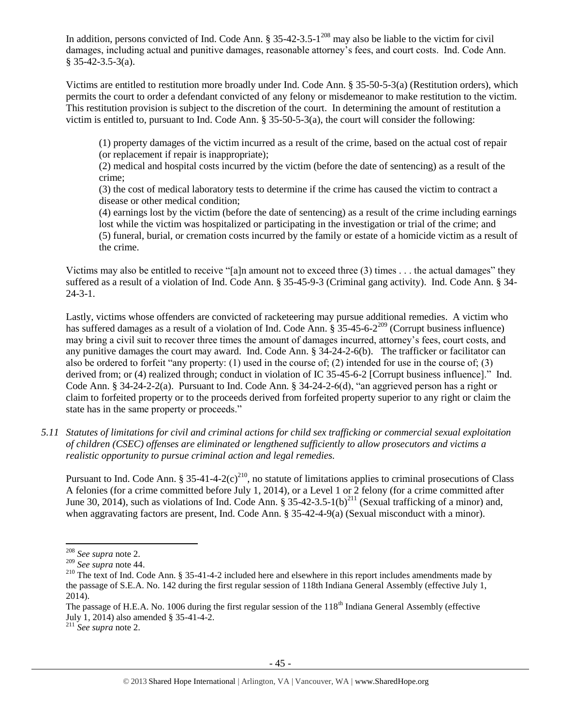In addition, persons convicted of Ind. Code Ann.  $\S 35-42-3.5-1<sup>208</sup>$  may also be liable to the victim for civil damages, including actual and punitive damages, reasonable attorney's fees, and court costs. Ind. Code Ann. § 35-42-3.5-3(a).

Victims are entitled to restitution more broadly under Ind. Code Ann. § 35-50-5-3(a) (Restitution orders), which permits the court to order a defendant convicted of any felony or misdemeanor to make restitution to the victim. This restitution provision is subject to the discretion of the court. In determining the amount of restitution a victim is entitled to, pursuant to Ind. Code Ann. § 35-50-5-3(a), the court will consider the following:

(1) property damages of the victim incurred as a result of the crime, based on the actual cost of repair (or replacement if repair is inappropriate);

(2) medical and hospital costs incurred by the victim (before the date of sentencing) as a result of the crime;

(3) the cost of medical laboratory tests to determine if the crime has caused the victim to contract a disease or other medical condition;

(4) earnings lost by the victim (before the date of sentencing) as a result of the crime including earnings lost while the victim was hospitalized or participating in the investigation or trial of the crime; and (5) funeral, burial, or cremation costs incurred by the family or estate of a homicide victim as a result of the crime.

Victims may also be entitled to receive "[a]n amount not to exceed three (3) times . . . the actual damages" they suffered as a result of a violation of Ind. Code Ann. § 35-45-9-3 (Criminal gang activity). Ind. Code Ann. § 34- 24-3-1.

Lastly, victims whose offenders are convicted of racketeering may pursue additional remedies. A victim who has suffered damages as a result of a violation of Ind. Code Ann.  $\S$  35-45-6-2<sup>209</sup> (Corrupt business influence) may bring a civil suit to recover three times the amount of damages incurred, attorney's fees, court costs, and any punitive damages the court may award. Ind. Code Ann. § 34-24-2-6(b). The trafficker or facilitator can also be ordered to forfeit "any property: (1) used in the course of; (2) intended for use in the course of; (3) derived from; or (4) realized through; conduct in violation of IC 35-45-6-2 [Corrupt business influence]." Ind. Code Ann. § 34-24-2-2(a). Pursuant to Ind. Code Ann. § 34-24-2-6(d), "an aggrieved person has a right or claim to forfeited property or to the proceeds derived from forfeited property superior to any right or claim the state has in the same property or proceeds."

*5.11 Statutes of limitations for civil and criminal actions for child sex trafficking or commercial sexual exploitation of children (CSEC) offenses are eliminated or lengthened sufficiently to allow prosecutors and victims a realistic opportunity to pursue criminal action and legal remedies.*

Pursuant to Ind. Code Ann. § 35-41-4-2(c)<sup>210</sup>, no statute of limitations applies to criminal prosecutions of Class A felonies (for a crime committed before July 1, 2014), or a Level 1 or 2 felony (for a crime committed after June 30, 2014), such as violations of Ind. Code Ann. § 35-42-3.5-1(b)<sup>211</sup> (Sexual trafficking of a minor) and, when aggravating factors are present, Ind. Code Ann. § 35-42-4-9(a) (Sexual misconduct with a minor).

 $\overline{\phantom{a}}$ <sup>208</sup> *See supra* not[e 2.](#page-0-0)

<sup>209</sup> *See supra* not[e 44.](#page-9-1)

<sup>&</sup>lt;sup>210</sup> The text of Ind. Code Ann. § 35-41-4-2 included here and elsewhere in this report includes amendments made by the passage of S.E.A. No. 142 during the first regular session of 118th Indiana General Assembly (effective July 1, 2014).

The passage of H.E.A. No. 1006 during the first regular session of the  $118<sup>th</sup>$  Indiana General Assembly (effective July 1, 2014) also amended § 35-41-4-2.

<sup>211</sup> *See supra* not[e 2.](#page-0-0)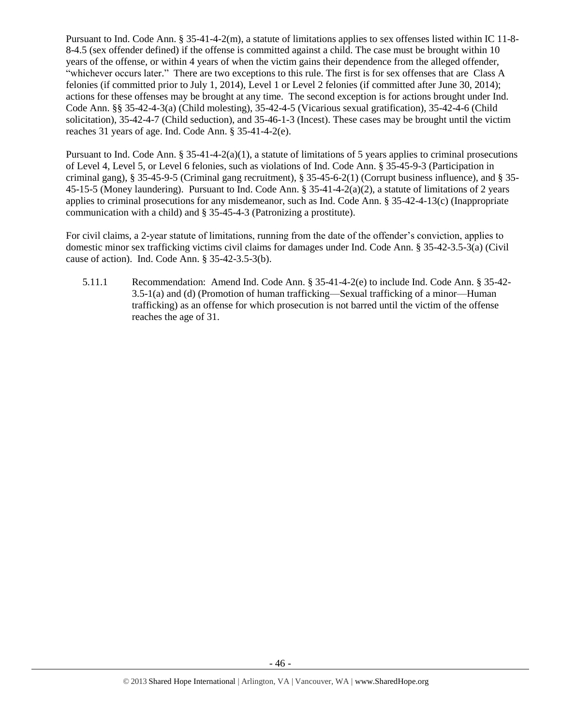Pursuant to Ind. Code Ann. § 35-41-4-2(m), a statute of limitations applies to sex offenses listed within IC 11-8- 8-4.5 (sex offender defined) if the offense is committed against a child. The case must be brought within 10 years of the offense, or within 4 years of when the victim gains their dependence from the alleged offender, "whichever occurs later." There are two exceptions to this rule. The first is for sex offenses that are Class A felonies (if committed prior to July 1, 2014), Level 1 or Level 2 felonies (if committed after June 30, 2014); actions for these offenses may be brought at any time. The second exception is for actions brought under Ind. Code Ann. §§ 35-42-4-3(a) (Child molesting), 35-42-4-5 (Vicarious sexual gratification), 35-42-4-6 (Child solicitation), 35-42-4-7 (Child seduction), and 35-46-1-3 (Incest). These cases may be brought until the victim reaches 31 years of age. Ind. Code Ann. § 35-41-4-2(e).

Pursuant to Ind. Code Ann.  $\S 35-41-4-2(a)(1)$ , a statute of limitations of 5 years applies to criminal prosecutions of Level 4, Level 5, or Level 6 felonies, such as violations of Ind. Code Ann. § 35-45-9-3 (Participation in criminal gang), § 35-45-9-5 (Criminal gang recruitment), § 35-45-6-2(1) (Corrupt business influence), and § 35- 45-15-5 (Money laundering). Pursuant to Ind. Code Ann. § 35-41-4-2(a)(2), a statute of limitations of 2 years applies to criminal prosecutions for any misdemeanor, such as Ind. Code Ann. § 35-42-4-13(c) (Inappropriate communication with a child) and § 35-45-4-3 (Patronizing a prostitute).

For civil claims, a 2-year statute of limitations, running from the date of the offender's conviction, applies to domestic minor sex trafficking victims civil claims for damages under Ind. Code Ann. § 35-42-3.5-3(a) (Civil cause of action). Ind. Code Ann. § 35-42-3.5-3(b).

5.11.1 Recommendation: Amend Ind. Code Ann. § 35-41-4-2(e) to include Ind. Code Ann. § 35-42- 3.5-1(a) and (d) (Promotion of human trafficking—Sexual trafficking of a minor—Human trafficking) as an offense for which prosecution is not barred until the victim of the offense reaches the age of 31.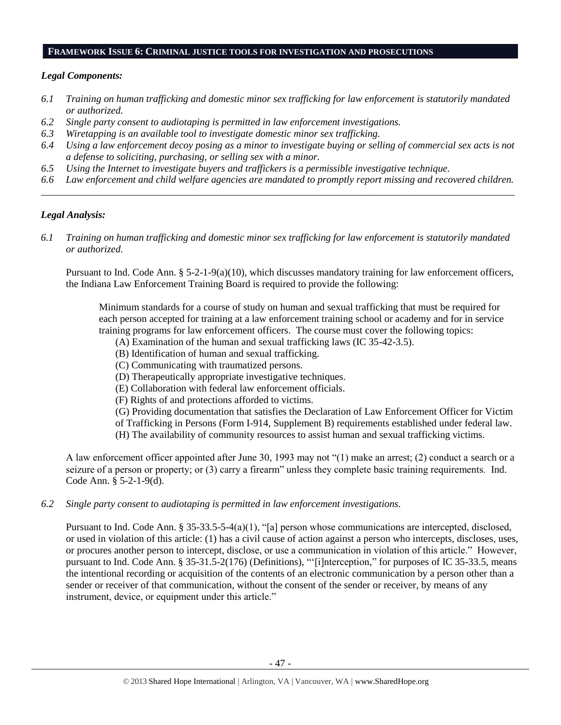# **FRAMEWORK ISSUE 6: CRIMINAL JUSTICE TOOLS FOR INVESTIGATION AND PROSECUTIONS**

## *Legal Components:*

- *6.1 Training on human trafficking and domestic minor sex trafficking for law enforcement is statutorily mandated or authorized.*
- *6.2 Single party consent to audiotaping is permitted in law enforcement investigations.*
- *6.3 Wiretapping is an available tool to investigate domestic minor sex trafficking.*
- *6.4 Using a law enforcement decoy posing as a minor to investigate buying or selling of commercial sex acts is not a defense to soliciting, purchasing, or selling sex with a minor.*
- *6.5 Using the Internet to investigate buyers and traffickers is a permissible investigative technique.*
- *6.6 Law enforcement and child welfare agencies are mandated to promptly report missing and recovered children. \_\_\_\_\_\_\_\_\_\_\_\_\_\_\_\_\_\_\_\_\_\_\_\_\_\_\_\_\_\_\_\_\_\_\_\_\_\_\_\_\_\_\_\_\_\_\_\_\_\_\_\_\_\_\_\_\_\_\_\_\_\_\_\_\_\_\_\_\_\_\_\_\_\_\_\_\_\_\_\_\_\_\_\_\_\_\_\_\_\_\_\_\_\_*

# *Legal Analysis:*

*6.1 Training on human trafficking and domestic minor sex trafficking for law enforcement is statutorily mandated or authorized.*

Pursuant to Ind. Code Ann. § 5-2-1-9(a)(10), which discusses mandatory training for law enforcement officers, the Indiana Law Enforcement Training Board is required to provide the following:

Minimum standards for a course of study on human and sexual trafficking that must be required for each person accepted for training at a law enforcement training school or academy and for in service training programs for law enforcement officers. The course must cover the following topics:

- (A) Examination of the human and sexual trafficking laws (IC 35-42-3.5).
- (B) Identification of human and sexual trafficking.
- (C) Communicating with traumatized persons.
- (D) Therapeutically appropriate investigative techniques.
- (E) Collaboration with federal law enforcement officials.
- (F) Rights of and protections afforded to victims.
- (G) Providing documentation that satisfies the Declaration of Law Enforcement Officer for Victim
- of Trafficking in Persons (Form I-914, Supplement B) requirements established under federal law.
- (H) The availability of community resources to assist human and sexual trafficking victims.

A law enforcement officer appointed after June 30, 1993 may not "(1) make an arrest; (2) conduct a search or a seizure of a person or property; or (3) carry a firearm" unless they complete basic training requirements. Ind. Code Ann. § 5-2-1-9(d).

*6.2 Single party consent to audiotaping is permitted in law enforcement investigations.*

Pursuant to Ind. Code Ann. § 35-33.5-5-4(a)(1), "[a] person whose communications are intercepted, disclosed, or used in violation of this article: (1) has a civil cause of action against a person who intercepts, discloses, uses, or procures another person to intercept, disclose, or use a communication in violation of this article." However, pursuant to Ind. Code Ann. § 35-31.5-2(176) (Definitions), "'[i]nterception," for purposes of IC 35-33.5, means the intentional recording or acquisition of the contents of an electronic communication by a person other than a sender or receiver of that communication, without the consent of the sender or receiver, by means of any instrument, device, or equipment under this article."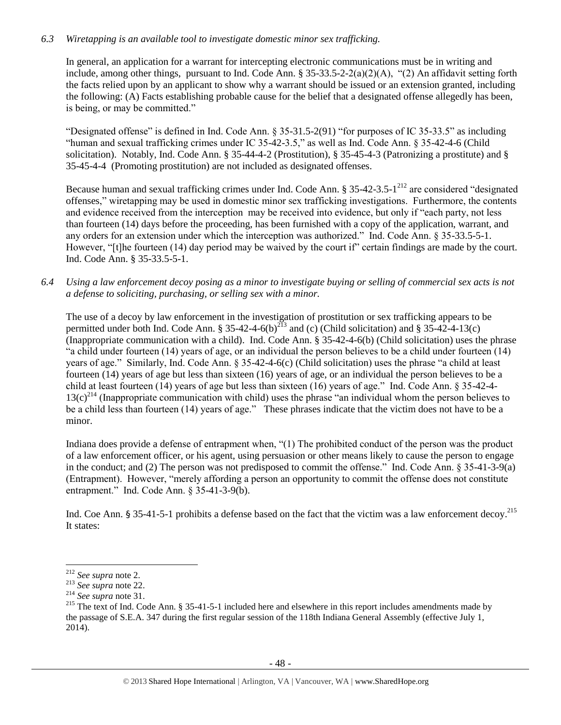# *6.3 Wiretapping is an available tool to investigate domestic minor sex trafficking.*

In general, an application for a warrant for intercepting electronic communications must be in writing and include, among other things, pursuant to Ind. Code Ann. § 35-33.5-2-2(a)(2)(A), "(2) An affidavit setting forth the facts relied upon by an applicant to show why a warrant should be issued or an extension granted, including the following: (A) Facts establishing probable cause for the belief that a designated offense allegedly has been, is being, or may be committed."

"Designated offense" is defined in Ind. Code Ann. § 35-31.5-2(91) "for purposes of IC 35-33.5" as including "human and sexual trafficking crimes under IC 35-42-3.5," as well as Ind. Code Ann. § 35-42-4-6 (Child solicitation). Notably, Ind. Code Ann. § 35-44-4-2 (Prostitution), § 35-45-4-3 (Patronizing a prostitute) and § 35-45-4-4 (Promoting prostitution) are not included as designated offenses.

Because human and sexual trafficking crimes under Ind. Code Ann. § 35-42-3.5-1<sup>212</sup> are considered "designated offenses," wiretapping may be used in domestic minor sex trafficking investigations. Furthermore, the contents and evidence received from the interception may be received into evidence, but only if "each party, not less than fourteen (14) days before the proceeding, has been furnished with a copy of the application, warrant, and any orders for an extension under which the interception was authorized." Ind. Code Ann. § 35-33.5-5-1. However, "[t]he fourteen (14) day period may be waived by the court if" certain findings are made by the court. Ind. Code Ann. § 35-33.5-5-1.

*6.4 Using a law enforcement decoy posing as a minor to investigate buying or selling of commercial sex acts is not a defense to soliciting, purchasing, or selling sex with a minor.*

The use of a decoy by law enforcement in the investigation of prostitution or sex trafficking appears to be permitted under both Ind. Code Ann. § 35-42-4-6(b)<sup>213</sup> and (c) (Child solicitation) and § 35-42-4-13(c) (Inappropriate communication with a child). Ind. Code Ann. § 35-42-4-6(b) (Child solicitation) uses the phrase "a child under fourteen (14) years of age, or an individual the person believes to be a child under fourteen (14) years of age." Similarly, Ind. Code Ann. § 35-42-4-6(c) (Child solicitation) uses the phrase "a child at least fourteen (14) years of age but less than sixteen (16) years of age, or an individual the person believes to be a child at least fourteen (14) years of age but less than sixteen (16) years of age." Ind. Code Ann. § 35-42-4-  $13(c)^{214}$  (Inappropriate communication with child) uses the phrase "an individual whom the person believes to be a child less than fourteen (14) years of age." These phrases indicate that the victim does not have to be a minor.

Indiana does provide a defense of entrapment when, "(1) The prohibited conduct of the person was the product of a law enforcement officer, or his agent, using persuasion or other means likely to cause the person to engage in the conduct; and (2) The person was not predisposed to commit the offense." Ind. Code Ann. § 35-41-3-9(a) (Entrapment). However, "merely affording a person an opportunity to commit the offense does not constitute entrapment." Ind. Code Ann. § 35-41-3-9(b).

Ind. Coe Ann. § 35-41-5-1 prohibits a defense based on the fact that the victim was a law enforcement decoy.<sup>215</sup> It states:

 $\overline{a}$ 

<sup>212</sup> *See supra* not[e 2.](#page-0-0)

<sup>213</sup> *See supra* not[e 22.](#page-5-0)

<sup>214</sup> *See supra* not[e 31.](#page-7-0)

<sup>&</sup>lt;sup>215</sup> The text of Ind. Code Ann. § 35-41-5-1 included here and elsewhere in this report includes amendments made by the passage of S.E.A. 347 during the first regular session of the 118th Indiana General Assembly (effective July 1, 2014).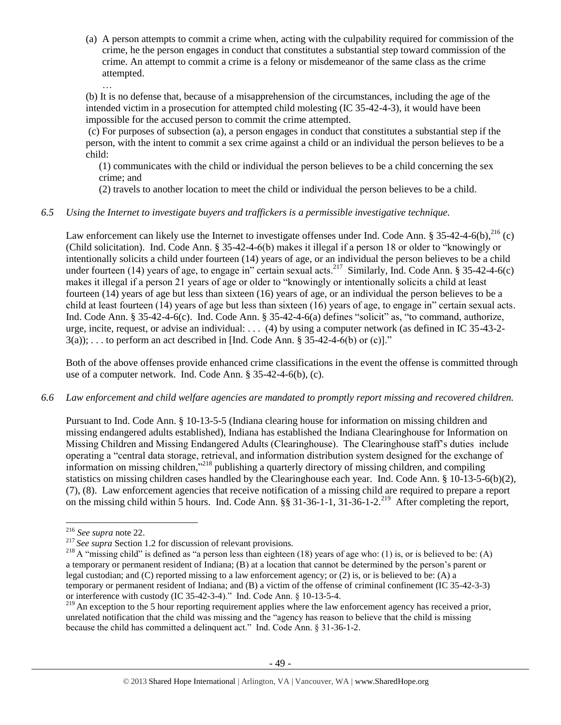(a) A person attempts to commit a crime when, acting with the culpability required for commission of the crime, he the person engages in conduct that constitutes a substantial step toward commission of the crime. An attempt to commit a crime is a felony or misdemeanor of the same class as the crime attempted.

(b) It is no defense that, because of a misapprehension of the circumstances, including the age of the intended victim in a prosecution for attempted child molesting (IC 35-42-4-3), it would have been impossible for the accused person to commit the crime attempted.

(c) For purposes of subsection (a), a person engages in conduct that constitutes a substantial step if the person, with the intent to commit a sex crime against a child or an individual the person believes to be a child:

(1) communicates with the child or individual the person believes to be a child concerning the sex crime; and

(2) travels to another location to meet the child or individual the person believes to be a child.

# *6.5 Using the Internet to investigate buyers and traffickers is a permissible investigative technique.*

Law enforcement can likely use the Internet to investigate offenses under Ind. Code Ann. § 35-42-4-6(b), $^{216}$  (c) (Child solicitation). Ind. Code Ann. § 35-42-4-6(b) makes it illegal if a person 18 or older to "knowingly or intentionally solicits a child under fourteen (14) years of age, or an individual the person believes to be a child under fourteen (14) years of age, to engage in" certain sexual acts.<sup>217</sup> Similarly, Ind. Code Ann. § 35-42-4-6(c) makes it illegal if a person 21 years of age or older to "knowingly or intentionally solicits a child at least fourteen (14) years of age but less than sixteen (16) years of age, or an individual the person believes to be a child at least fourteen (14) years of age but less than sixteen (16) years of age, to engage in" certain sexual acts. Ind. Code Ann. § 35-42-4-6(c). Ind. Code Ann. § 35-42-4-6(a) defines "solicit" as, "to command, authorize, urge, incite, request, or advise an individual: . . . (4) by using a computer network (as defined in IC 35-43-2-  $3(a)$ ; ... to perform an act described in [Ind. Code Ann. § 35-42-4-6(b) or (c)]."

Both of the above offenses provide enhanced crime classifications in the event the offense is committed through use of a computer network. Ind. Code Ann. § 35-42-4-6(b), (c).

## *6.6 Law enforcement and child welfare agencies are mandated to promptly report missing and recovered children.*

Pursuant to Ind. Code Ann. § 10-13-5-5 (Indiana clearing house for information on missing children and missing endangered adults established), Indiana has established the Indiana Clearinghouse for Information on Missing Children and Missing Endangered Adults (Clearinghouse). The Clearinghouse staff's duties include operating a "central data storage, retrieval, and information distribution system designed for the exchange of information on missing children,"<sup>218</sup> publishing a quarterly directory of missing children, and compiling statistics on missing children cases handled by the Clearinghouse each year. Ind. Code Ann. § 10-13-5-6(b)(2), (7), (8). Law enforcement agencies that receive notification of a missing child are required to prepare a report on the missing child within 5 hours. Ind. Code Ann.  $\S$ § 31-36-1-1, 31-36-1-2.<sup>219</sup> After completing the report,

 $\overline{\phantom{a}}$ 

…

<sup>216</sup> *See supra* not[e 22.](#page-5-0)

<sup>&</sup>lt;sup>217</sup> See supra Section 1.2 for discussion of relevant provisions.

<sup>&</sup>lt;sup>218</sup> A "missing child" is defined as "a person less than eighteen (18) years of age who: (1) is, or is believed to be: (A) a temporary or permanent resident of Indiana; (B) at a location that cannot be determined by the person's parent or legal custodian; and (C) reported missing to a law enforcement agency; or (2) is, or is believed to be: (A) a temporary or permanent resident of Indiana; and (B) a victim of the offense of criminal confinement (IC 35-42-3-3) or interference with custody (IC 35-42-3-4)." Ind. Code Ann. § 10-13-5-4.

<sup>&</sup>lt;sup>219</sup> An exception to the 5 hour reporting requirement applies where the law enforcement agency has received a prior, unrelated notification that the child was missing and the "agency has reason to believe that the child is missing because the child has committed a delinquent act." Ind. Code Ann. § 31-36-1-2.